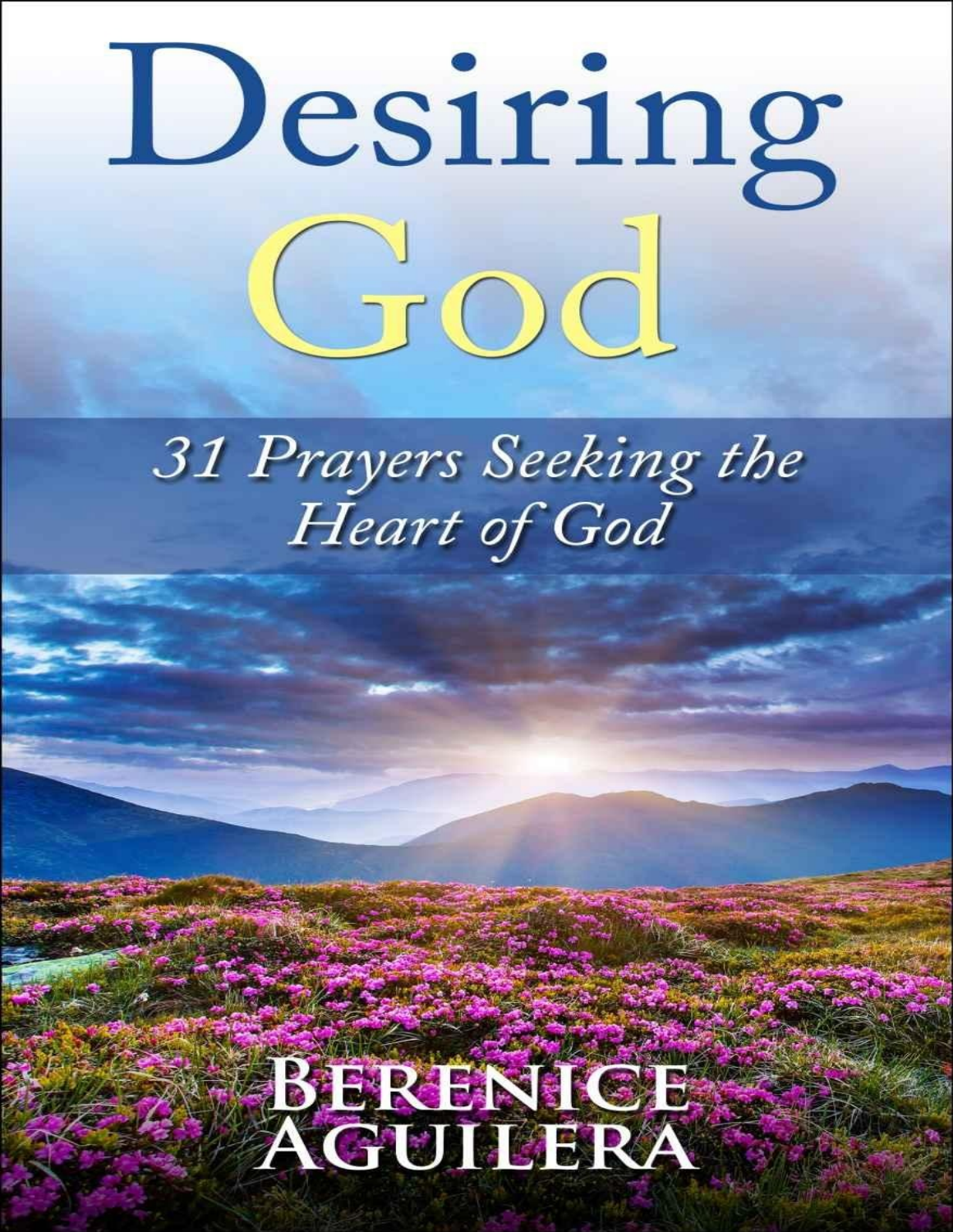# Desiring Grod

## 31 Prayers Seeking the Heart of God

# **BERENICE** AGUILERA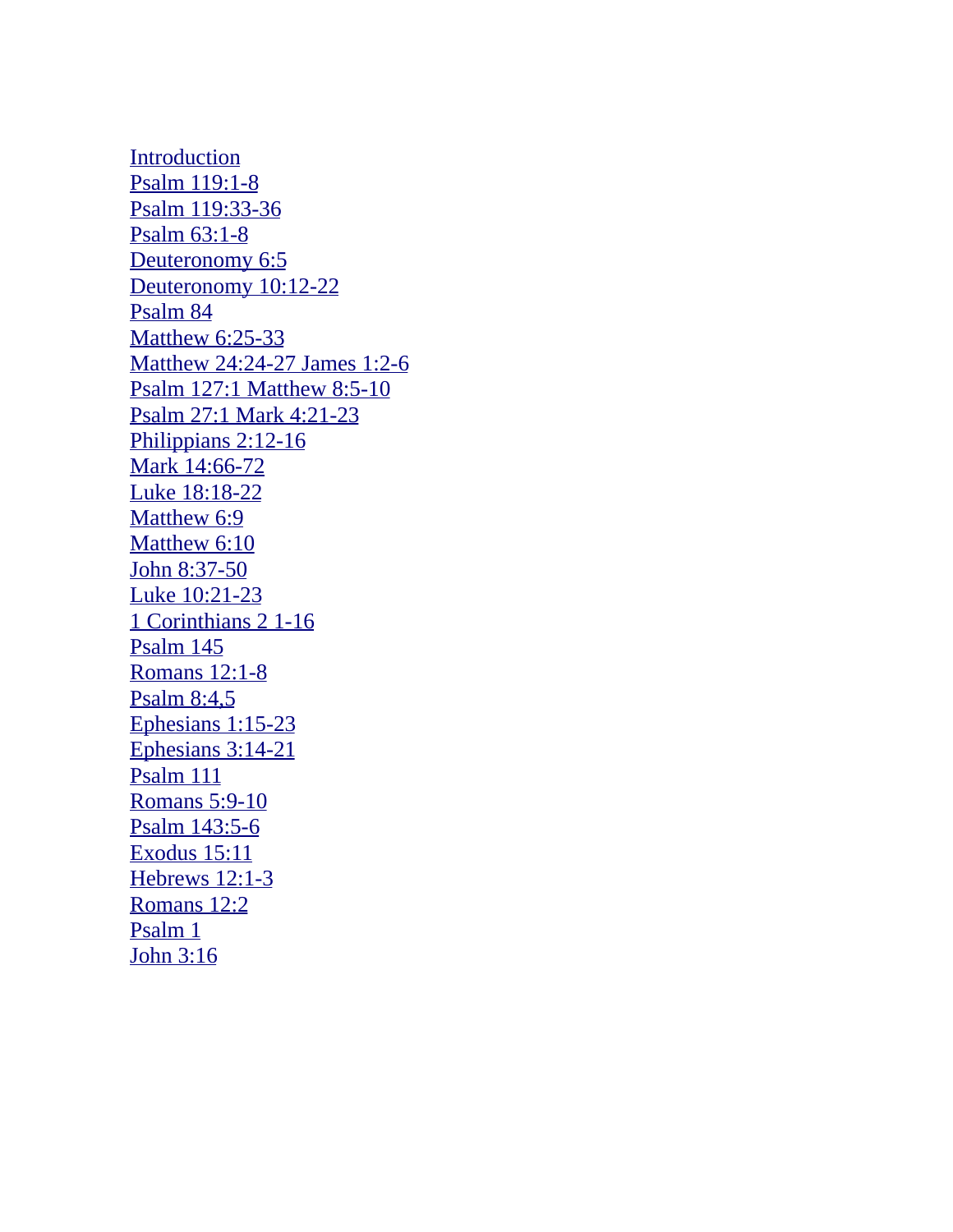[Introduction](#page-4-0) Psalm [119:1-8](#page-5-0) Psalm [119:33-36](#page-6-0) Psalm [63:1-8](#page-7-0) [Deuteronomy](#page-8-0) 6:5 [Deuteronomy](#page-9-0) 10:12-22 [Psalm](#page-10-0) 84 [Matthew](#page-11-0) 6:25-33 Matthew [24:24-27](#page-12-0) James 1:2-6 Psalm 127:1 [Matthew](#page-13-0) 8:5-10 Psalm 27:1 Mark [4:21-23](#page-14-0) [Philippians](#page-15-0) 2:12-16 Mark [14:66-72](#page-16-0) Luke [18:18-22](#page-17-0) [Matthew](#page-18-0) 6:9 [Matthew](#page-19-0) 6:10 John [8:37-50](#page-20-0) Luke [10:21-23](#page-21-0) 1 [Corinthians](#page-22-0) 2 1-16 [Psalm](#page-23-0) 145 [Romans](#page-24-0) 12:1-8 [Psalm](#page-25-0) 8:4,5 [Ephesians](#page-26-0) 1:15-23 [Ephesians](#page-27-0) 3:14-21 [Psalm](#page-28-0) 111 [Romans](#page-29-0) 5:9-10 Psalm [143:5-6](#page-30-0) [Exodus](#page-31-0) 15:11 [Hebrews](#page-32-0) 12:1-3 [Romans](#page-33-0) 12:2 [Psalm](#page-34-0) 1 [John](#page-35-0) 3:16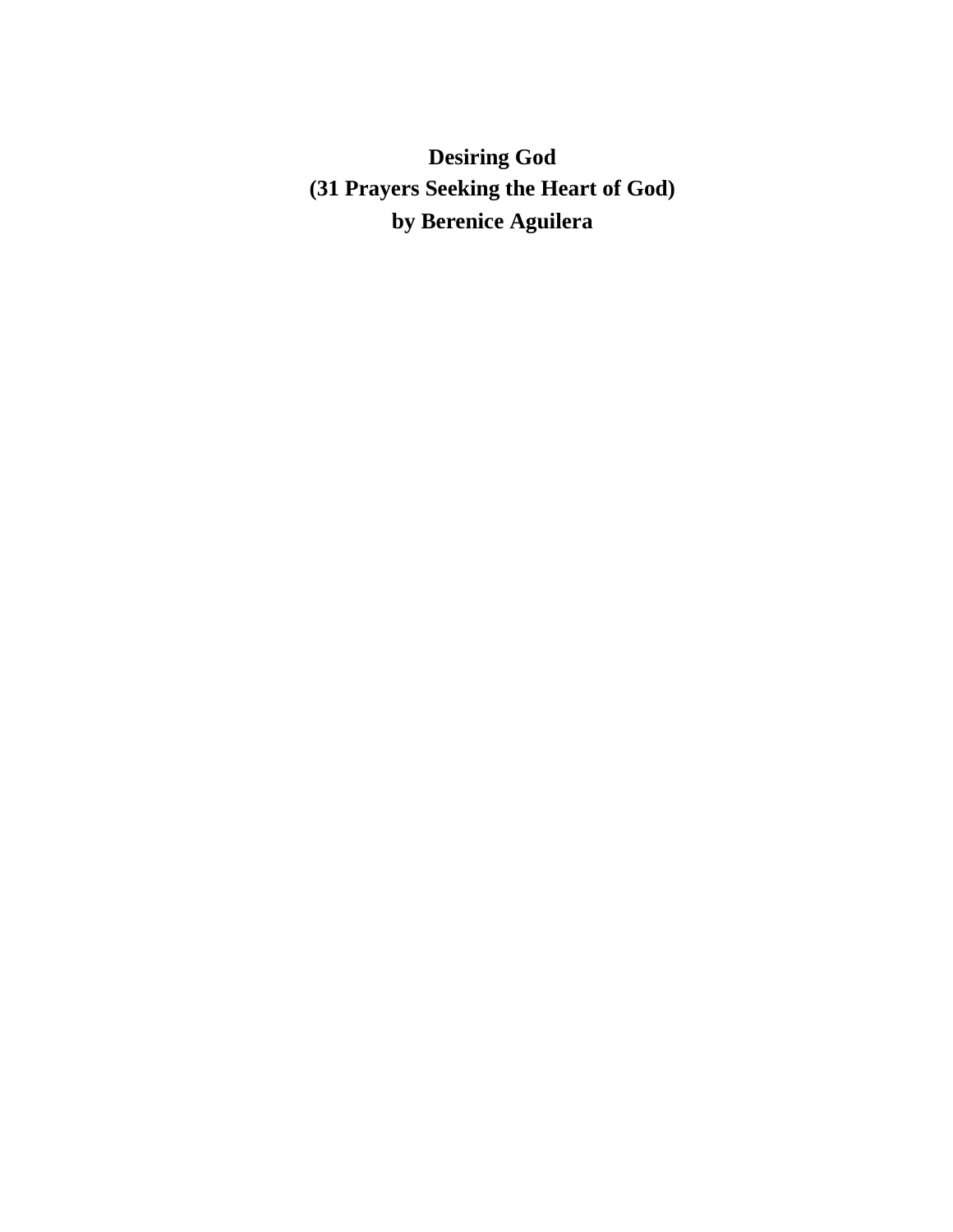**Desiring God (31 Prayers Seeking the Heart of God) by Berenice Aguilera**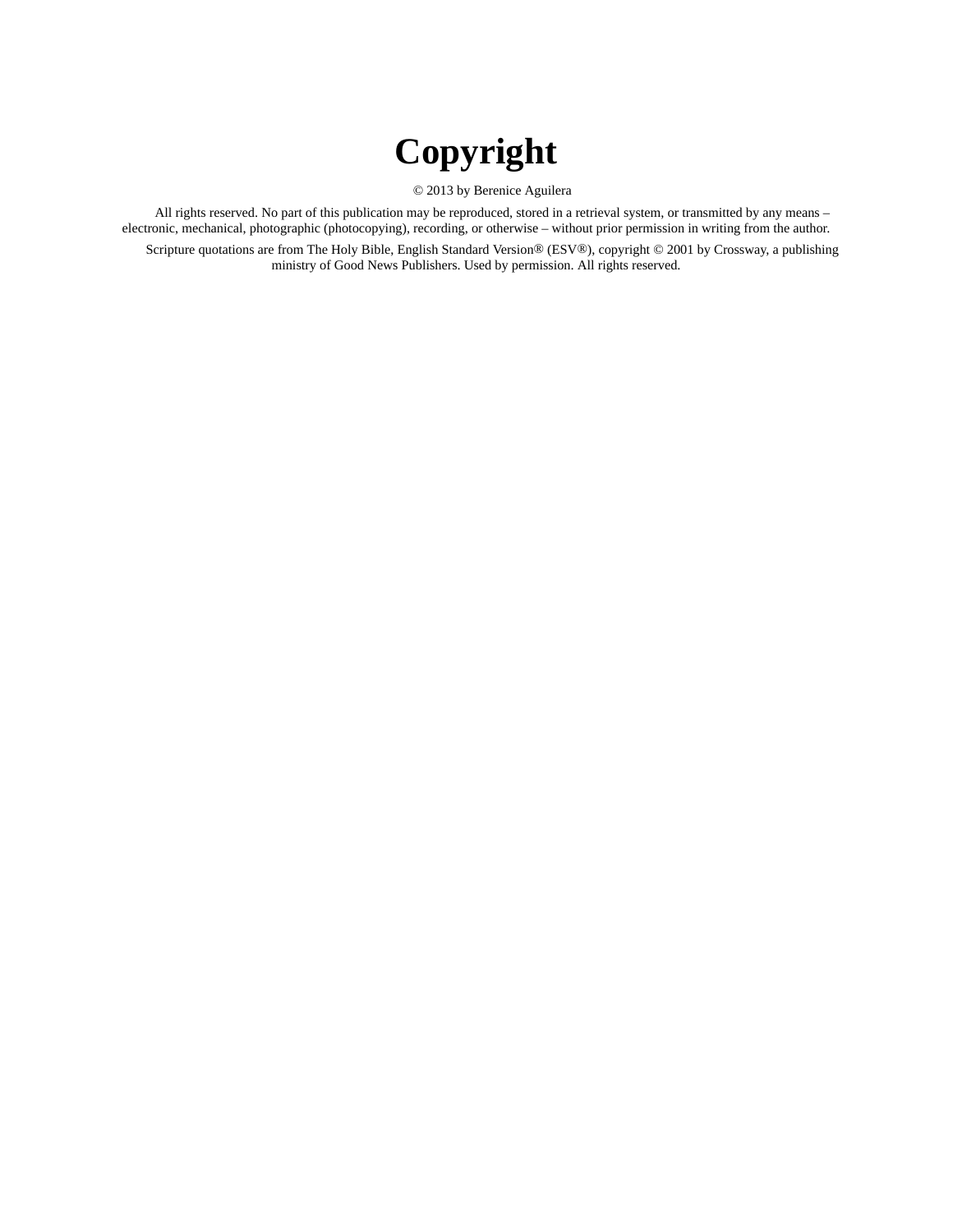## **Copyright**

#### © 2013 by Berenice Aguilera

All rights reserved. No part of this publication may be reproduced, stored in a retrieval system, or transmitted by any means – electronic, mechanical, photographic (photocopying), recording, or otherwise – without prior permission in writing from the author. Scripture quotations are from The Holy Bible, English Standard Version® (ESV®), copyright © 2001 by Crossway, a publishing ministry of Good News Publishers. Used by permission. All rights reserved.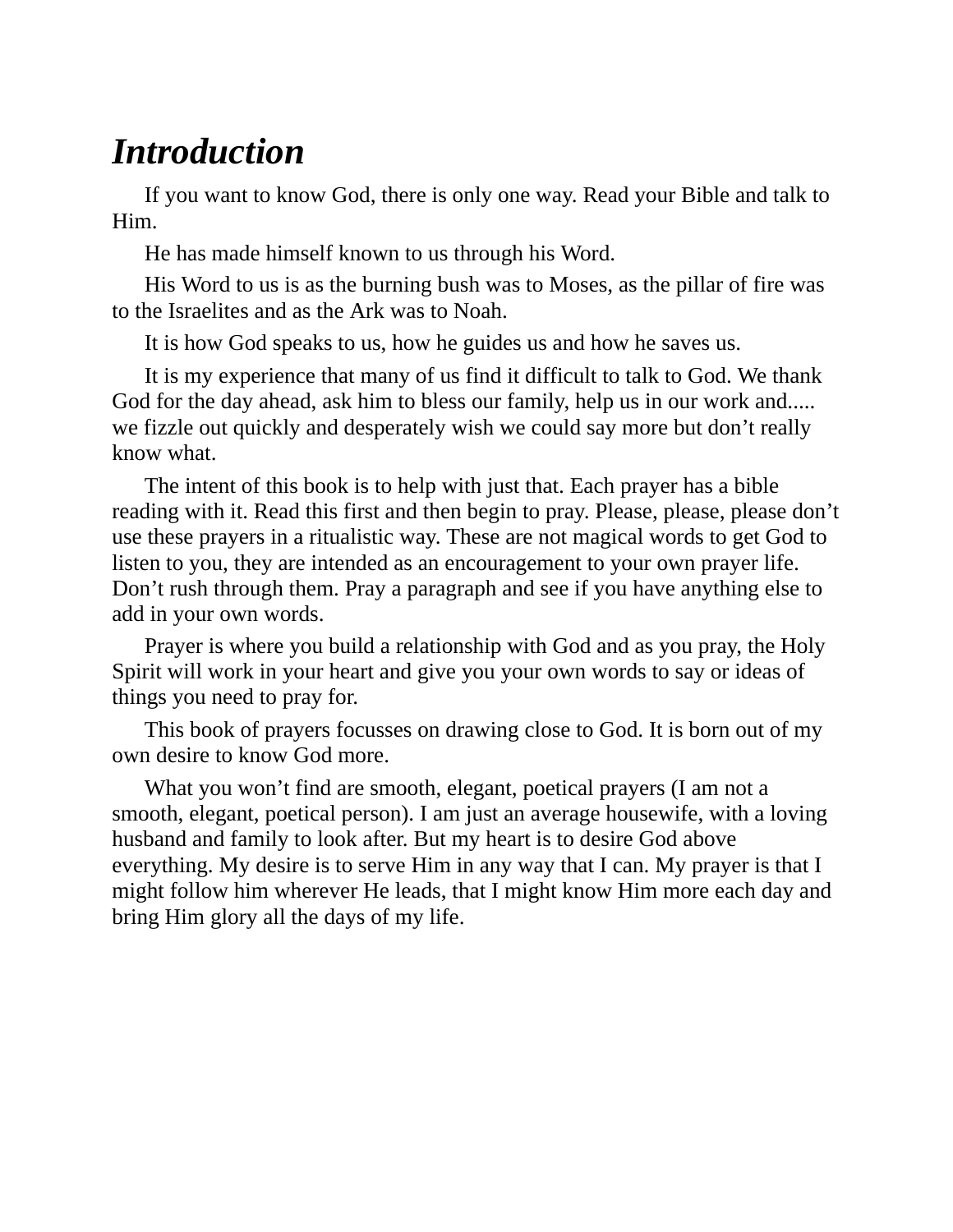## <span id="page-4-0"></span>*Introduction*

If you want to know God, there is only one way. Read your Bible and talk to Him.

He has made himself known to us through his Word.

His Word to us is as the burning bush was to Moses, as the pillar of fire was to the Israelites and as the Ark was to Noah.

It is how God speaks to us, how he guides us and how he saves us.

It is my experience that many of us find it difficult to talk to God. We thank God for the day ahead, ask him to bless our family, help us in our work and..... we fizzle out quickly and desperately wish we could say more but don't really know what.

The intent of this book is to help with just that. Each prayer has a bible reading with it. Read this first and then begin to pray. Please, please, please don't use these prayers in a ritualistic way. These are not magical words to get God to listen to you, they are intended as an encouragement to your own prayer life. Don't rush through them. Pray a paragraph and see if you have anything else to add in your own words.

Prayer is where you build a relationship with God and as you pray, the Holy Spirit will work in your heart and give you your own words to say or ideas of things you need to pray for.

This book of prayers focusses on drawing close to God. It is born out of my own desire to know God more.

<span id="page-4-1"></span>What you won't find are smooth, elegant, poetical prayers (I am not a smooth, elegant, poetical person). I am just an average housewife, with a loving husband and family to look after. But my heart is to desire God above everything. My desire is to serve Him in any way that I can. My prayer is that I might follow him wherever He leads, that I might know Him more each day and bring Him glory all the days of my life.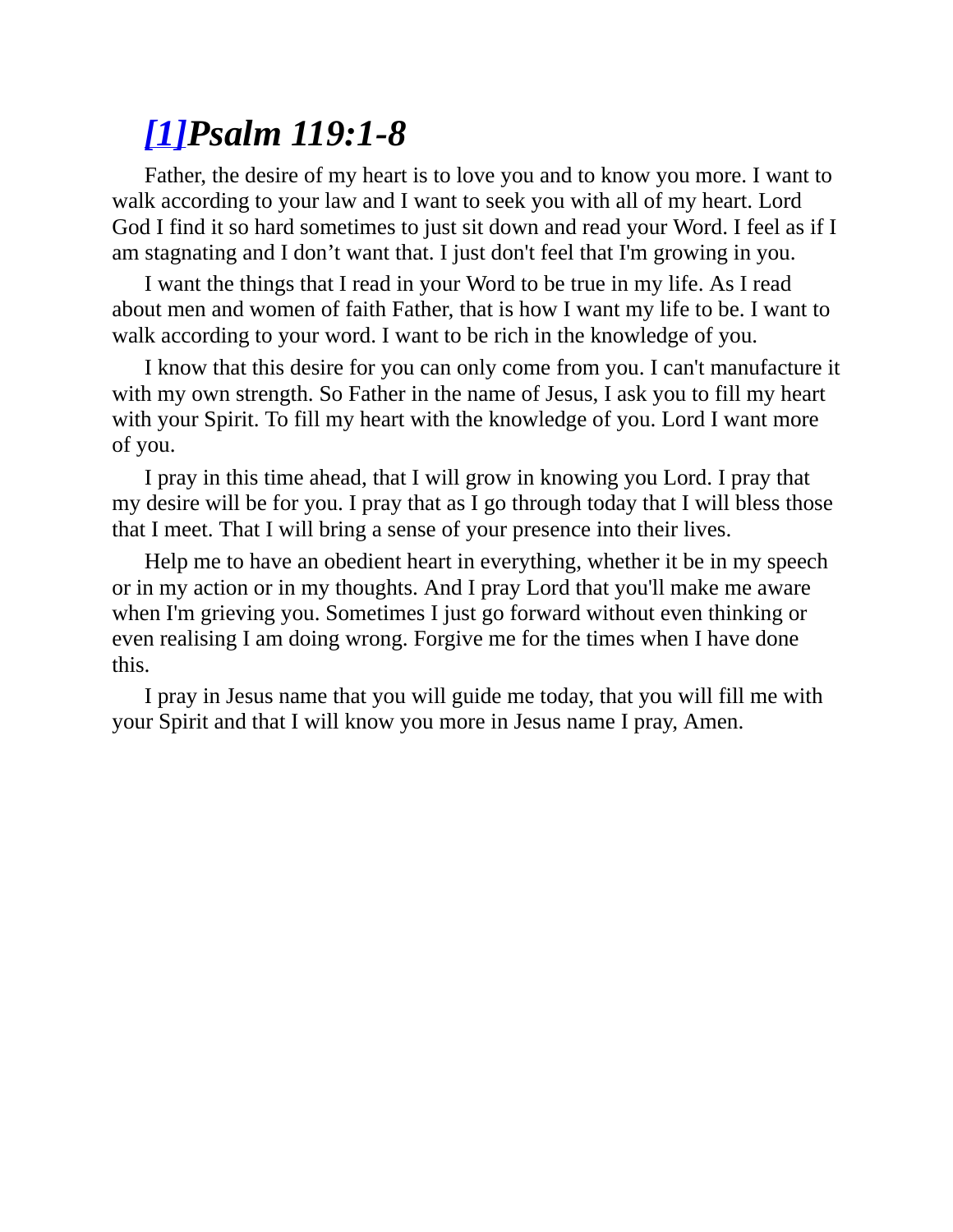## <span id="page-5-0"></span>*[\[1\]P](#page-37-0)salm 119:1-8*

Father, the desire of my heart is to love you and to know you more. I want to walk according to your law and I want to seek you with all of my heart. Lord God I find it so hard sometimes to just sit down and read your Word. I feel as if I am stagnating and I don't want that. I just don't feel that I'm growing in you.

I want the things that I read in your Word to be true in my life. As I read about men and women of faith Father, that is how I want my life to be. I want to walk according to your word. I want to be rich in the knowledge of you.

I know that this desire for you can only come from you. I can't manufacture it with my own strength. So Father in the name of Jesus, I ask you to fill my heart with your Spirit. To fill my heart with the knowledge of you. Lord I want more of you.

I pray in this time ahead, that I will grow in knowing you Lord. I pray that my desire will be for you. I pray that as I go through today that I will bless those that I meet. That I will bring a sense of your presence into their lives.

Help me to have an obedient heart in everything, whether it be in my speech or in my action or in my thoughts. And I pray Lord that you'll make me aware when I'm grieving you. Sometimes I just go forward without even thinking or even realising I am doing wrong. Forgive me for the times when I have done this.

<span id="page-5-1"></span>I pray in Jesus name that you will guide me today, that you will fill me with your Spirit and that I will know you more in Jesus name I pray, Amen.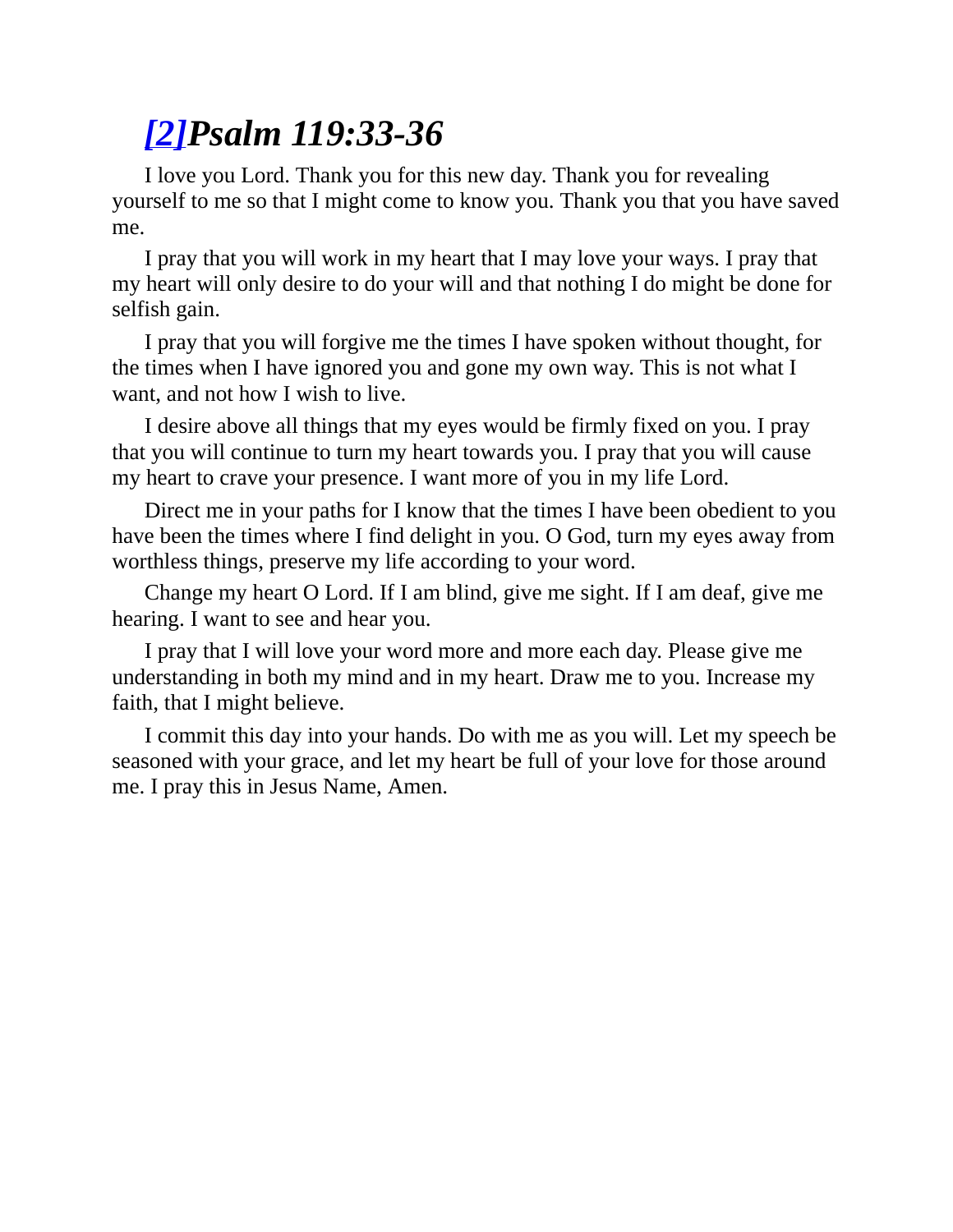## <span id="page-6-0"></span>*[\[2\]P](#page-37-1)salm 119:33-36*

I love you Lord. Thank you for this new day. Thank you for revealing yourself to me so that I might come to know you. Thank you that you have saved me.

I pray that you will work in my heart that I may love your ways. I pray that my heart will only desire to do your will and that nothing I do might be done for selfish gain.

I pray that you will forgive me the times I have spoken without thought, for the times when I have ignored you and gone my own way. This is not what I want, and not how I wish to live.

I desire above all things that my eyes would be firmly fixed on you. I pray that you will continue to turn my heart towards you. I pray that you will cause my heart to crave your presence. I want more of you in my life Lord.

Direct me in your paths for I know that the times I have been obedient to you have been the times where I find delight in you. O God, turn my eyes away from worthless things, preserve my life according to your word.

Change my heart O Lord. If I am blind, give me sight. If I am deaf, give me hearing. I want to see and hear you.

I pray that I will love your word more and more each day. Please give me understanding in both my mind and in my heart. Draw me to you. Increase my faith, that I might believe.

<span id="page-6-1"></span>I commit this day into your hands. Do with me as you will. Let my speech be seasoned with your grace, and let my heart be full of your love for those around me. I pray this in Jesus Name, Amen.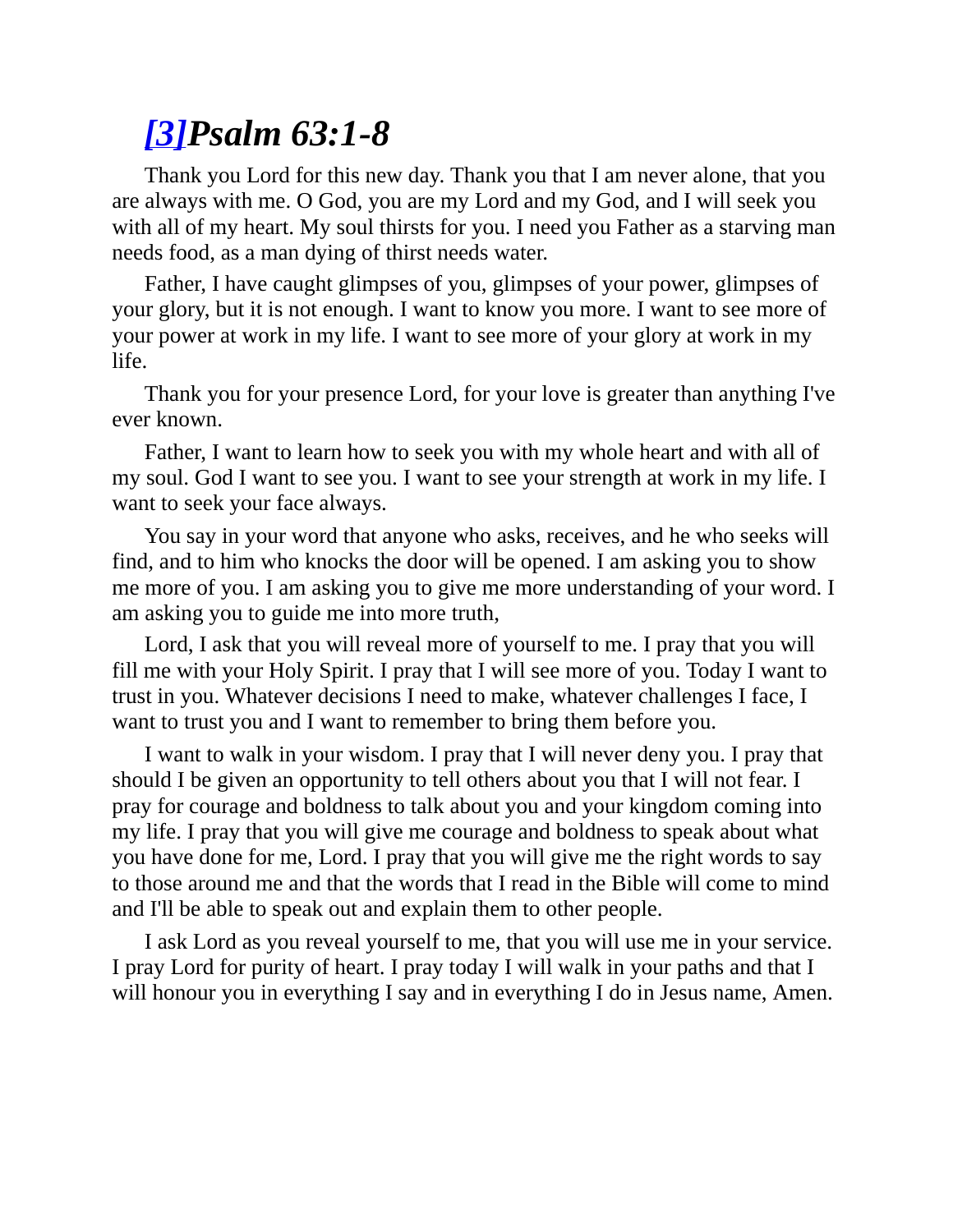## <span id="page-7-0"></span>*[\[3\]P](#page-37-2)salm 63:1-8*

Thank you Lord for this new day. Thank you that I am never alone, that you are always with me. O God, you are my Lord and my God, and I will seek you with all of my heart. My soul thirsts for you. I need you Father as a starving man needs food, as a man dying of thirst needs water.

Father, I have caught glimpses of you, glimpses of your power, glimpses of your glory, but it is not enough. I want to know you more. I want to see more of your power at work in my life. I want to see more of your glory at work in my life.

Thank you for your presence Lord, for your love is greater than anything I've ever known.

Father, I want to learn how to seek you with my whole heart and with all of my soul. God I want to see you. I want to see your strength at work in my life. I want to seek your face always.

You say in your word that anyone who asks, receives, and he who seeks will find, and to him who knocks the door will be opened. I am asking you to show me more of you. I am asking you to give me more understanding of your word. I am asking you to guide me into more truth,

Lord, I ask that you will reveal more of yourself to me. I pray that you will fill me with your Holy Spirit. I pray that I will see more of you. Today I want to trust in you. Whatever decisions I need to make, whatever challenges I face, I want to trust you and I want to remember to bring them before you.

I want to walk in your wisdom. I pray that I will never deny you. I pray that should I be given an opportunity to tell others about you that I will not fear. I pray for courage and boldness to talk about you and your kingdom coming into my life. I pray that you will give me courage and boldness to speak about what you have done for me, Lord. I pray that you will give me the right words to say to those around me and that the words that I read in the Bible will come to mind and I'll be able to speak out and explain them to other people.

I ask Lord as you reveal yourself to me, that you will use me in your service. I pray Lord for purity of heart. I pray today I will walk in your paths and that I will honour you in everything I say and in everything I do in Jesus name, Amen.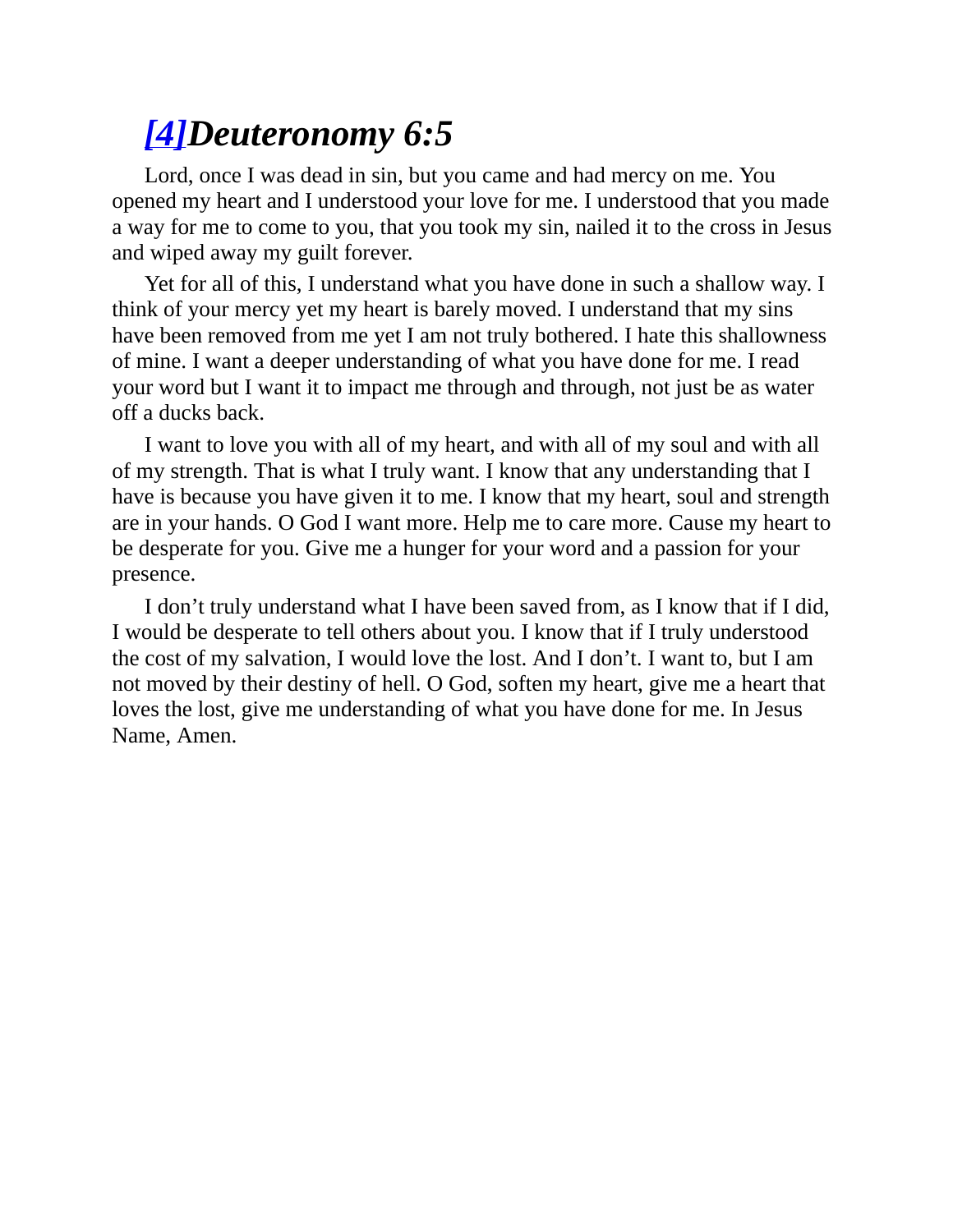## <span id="page-8-0"></span>*[\[4\]D](#page-37-3)euteronomy 6:5*

Lord, once I was dead in sin, but you came and had mercy on me. You opened my heart and I understood your love for me. I understood that you made a way for me to come to you, that you took my sin, nailed it to the cross in Jesus and wiped away my guilt forever.

Yet for all of this, I understand what you have done in such a shallow way. I think of your mercy yet my heart is barely moved. I understand that my sins have been removed from me yet I am not truly bothered. I hate this shallowness of mine. I want a deeper understanding of what you have done for me. I read your word but I want it to impact me through and through, not just be as water off a ducks back.

I want to love you with all of my heart, and with all of my soul and with all of my strength. That is what I truly want. I know that any understanding that I have is because you have given it to me. I know that my heart, soul and strength are in your hands. O God I want more. Help me to care more. Cause my heart to be desperate for you. Give me a hunger for your word and a passion for your presence.

<span id="page-8-1"></span>I don't truly understand what I have been saved from, as I know that if I did, I would be desperate to tell others about you. I know that if I truly understood the cost of my salvation, I would love the lost. And I don't. I want to, but I am not moved by their destiny of hell. O God, soften my heart, give me a heart that loves the lost, give me understanding of what you have done for me. In Jesus Name, Amen.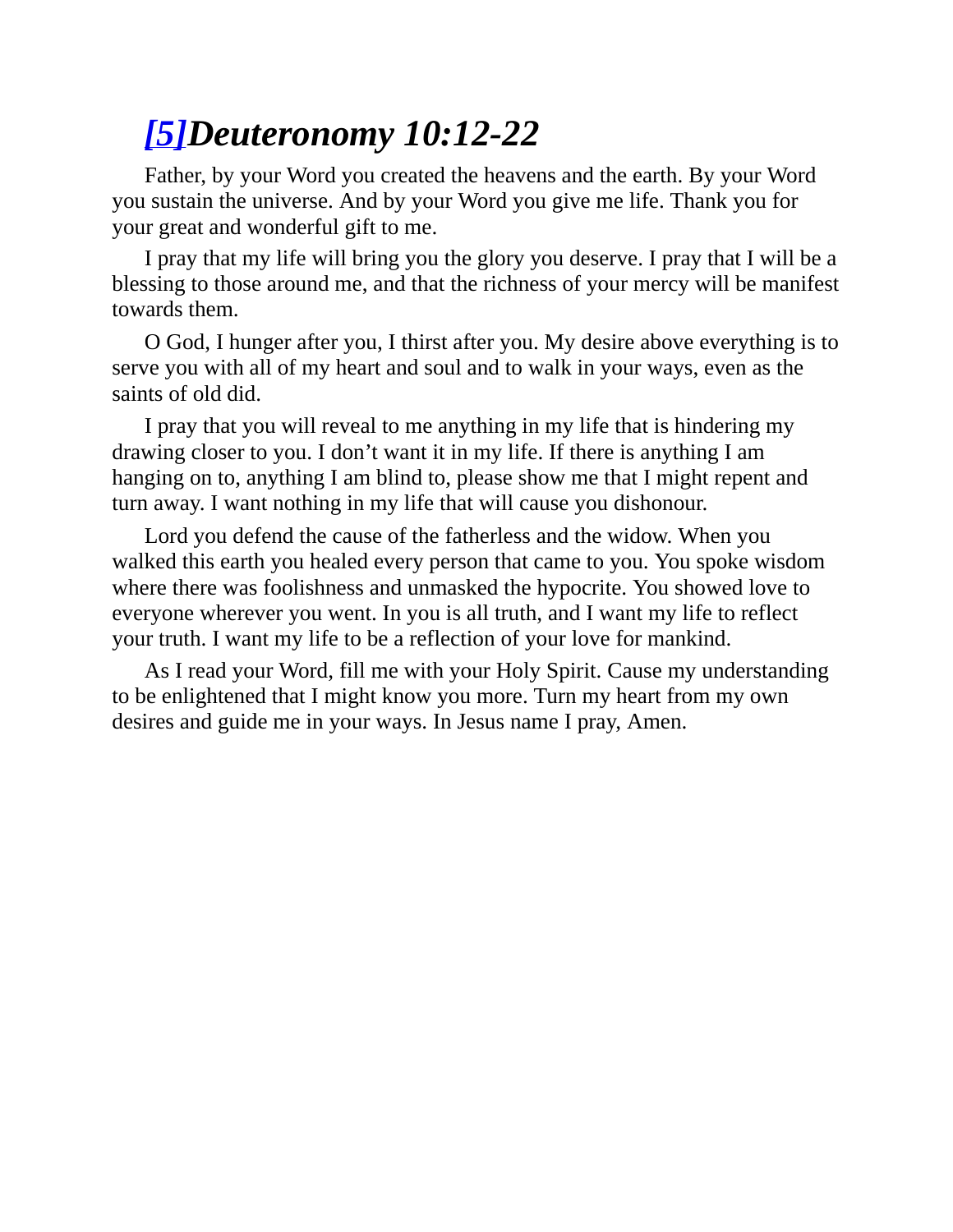## <span id="page-9-0"></span>*[\[5\]D](#page-37-4)euteronomy 10:12-22*

Father, by your Word you created the heavens and the earth. By your Word you sustain the universe. And by your Word you give me life. Thank you for your great and wonderful gift to me.

I pray that my life will bring you the glory you deserve. I pray that I will be a blessing to those around me, and that the richness of your mercy will be manifest towards them.

O God, I hunger after you, I thirst after you. My desire above everything is to serve you with all of my heart and soul and to walk in your ways, even as the saints of old did.

I pray that you will reveal to me anything in my life that is hindering my drawing closer to you. I don't want it in my life. If there is anything I am hanging on to, anything I am blind to, please show me that I might repent and turn away. I want nothing in my life that will cause you dishonour.

Lord you defend the cause of the fatherless and the widow. When you walked this earth you healed every person that came to you. You spoke wisdom where there was foolishness and unmasked the hypocrite. You showed love to everyone wherever you went. In you is all truth, and I want my life to reflect your truth. I want my life to be a reflection of your love for mankind.

<span id="page-9-1"></span>As I read your Word, fill me with your Holy Spirit. Cause my understanding to be enlightened that I might know you more. Turn my heart from my own desires and guide me in your ways. In Jesus name I pray, Amen.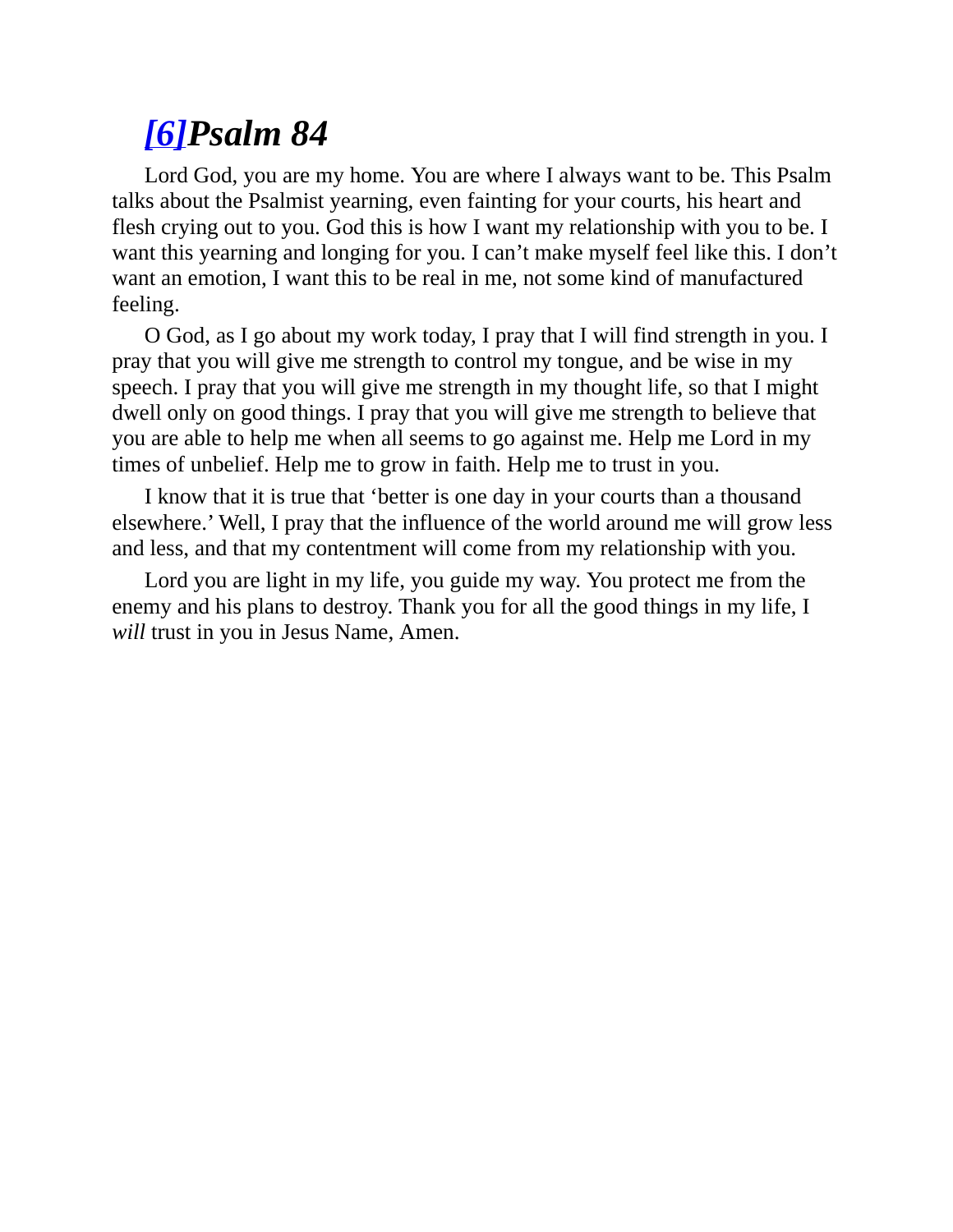## <span id="page-10-0"></span>*[\[6\]P](#page-38-0)salm 84*

Lord God, you are my home. You are where I always want to be. This Psalm talks about the Psalmist yearning, even fainting for your courts, his heart and flesh crying out to you. God this is how I want my relationship with you to be. I want this yearning and longing for you. I can't make myself feel like this. I don't want an emotion, I want this to be real in me, not some kind of manufactured feeling.

O God, as I go about my work today, I pray that I will find strength in you. I pray that you will give me strength to control my tongue, and be wise in my speech. I pray that you will give me strength in my thought life, so that I might dwell only on good things. I pray that you will give me strength to believe that you are able to help me when all seems to go against me. Help me Lord in my times of unbelief. Help me to grow in faith. Help me to trust in you.

I know that it is true that 'better is one day in your courts than a thousand elsewhere.' Well, I pray that the influence of the world around me will grow less and less, and that my contentment will come from my relationship with you.

<span id="page-10-1"></span>Lord you are light in my life, you guide my way. You protect me from the enemy and his plans to destroy. Thank you for all the good things in my life, I *will* trust in you in Jesus Name, Amen.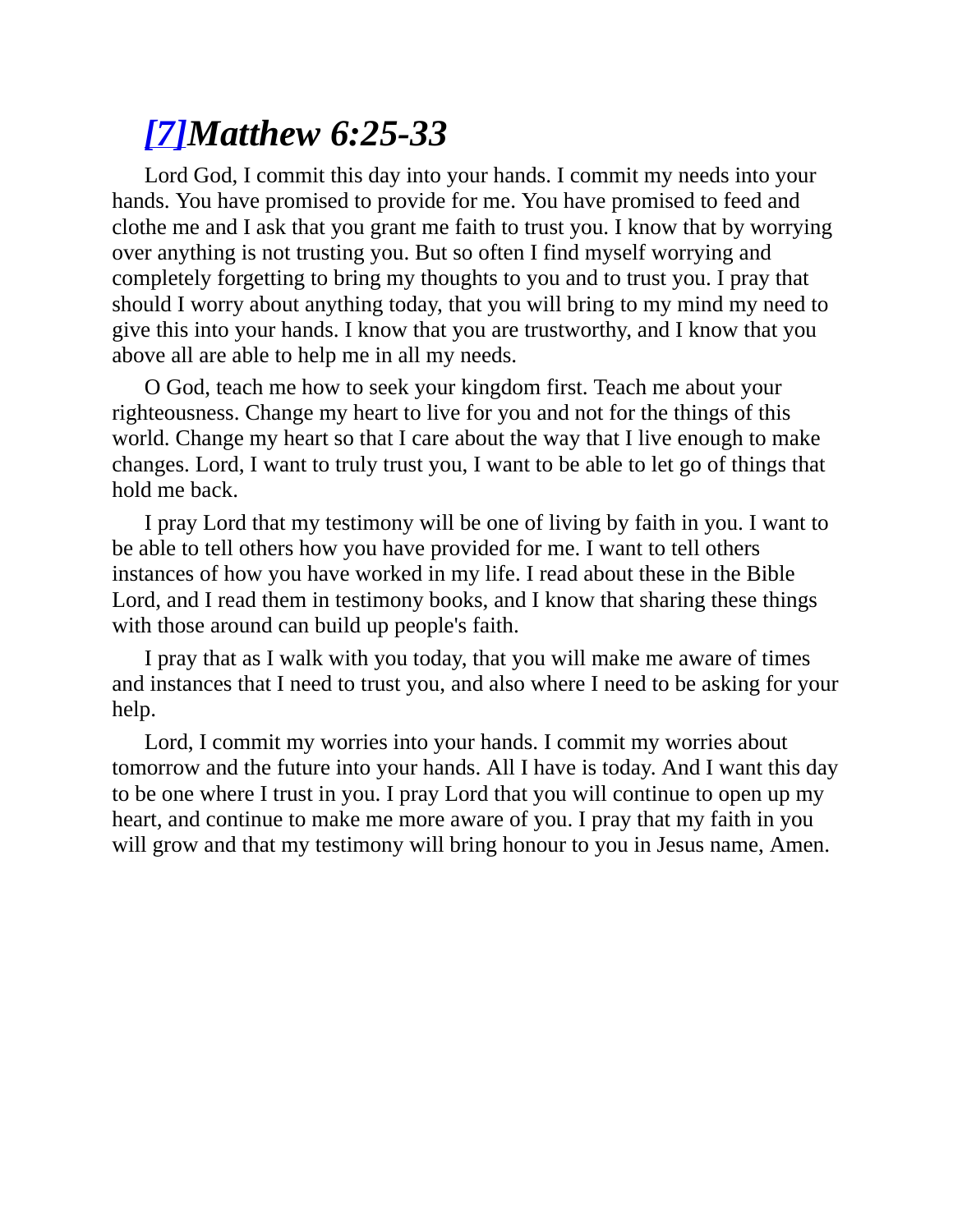## <span id="page-11-0"></span>*[\[7\]M](#page-39-0)atthew 6:25-33*

Lord God, I commit this day into your hands. I commit my needs into your hands. You have promised to provide for me. You have promised to feed and clothe me and I ask that you grant me faith to trust you. I know that by worrying over anything is not trusting you. But so often I find myself worrying and completely forgetting to bring my thoughts to you and to trust you. I pray that should I worry about anything today, that you will bring to my mind my need to give this into your hands. I know that you are trustworthy, and I know that you above all are able to help me in all my needs.

O God, teach me how to seek your kingdom first. Teach me about your righteousness. Change my heart to live for you and not for the things of this world. Change my heart so that I care about the way that I live enough to make changes. Lord, I want to truly trust you, I want to be able to let go of things that hold me back.

I pray Lord that my testimony will be one of living by faith in you. I want to be able to tell others how you have provided for me. I want to tell others instances of how you have worked in my life. I read about these in the Bible Lord, and I read them in testimony books, and I know that sharing these things with those around can build up people's faith.

I pray that as I walk with you today, that you will make me aware of times and instances that I need to trust you, and also where I need to be asking for your help.

<span id="page-11-1"></span>Lord, I commit my worries into your hands. I commit my worries about tomorrow and the future into your hands. All I have is today. And I want this day to be one where I trust in you. I pray Lord that you will continue to open up my heart, and continue to make me more aware of you. I pray that my faith in you will grow and that my testimony will bring honour to you in Jesus name, Amen.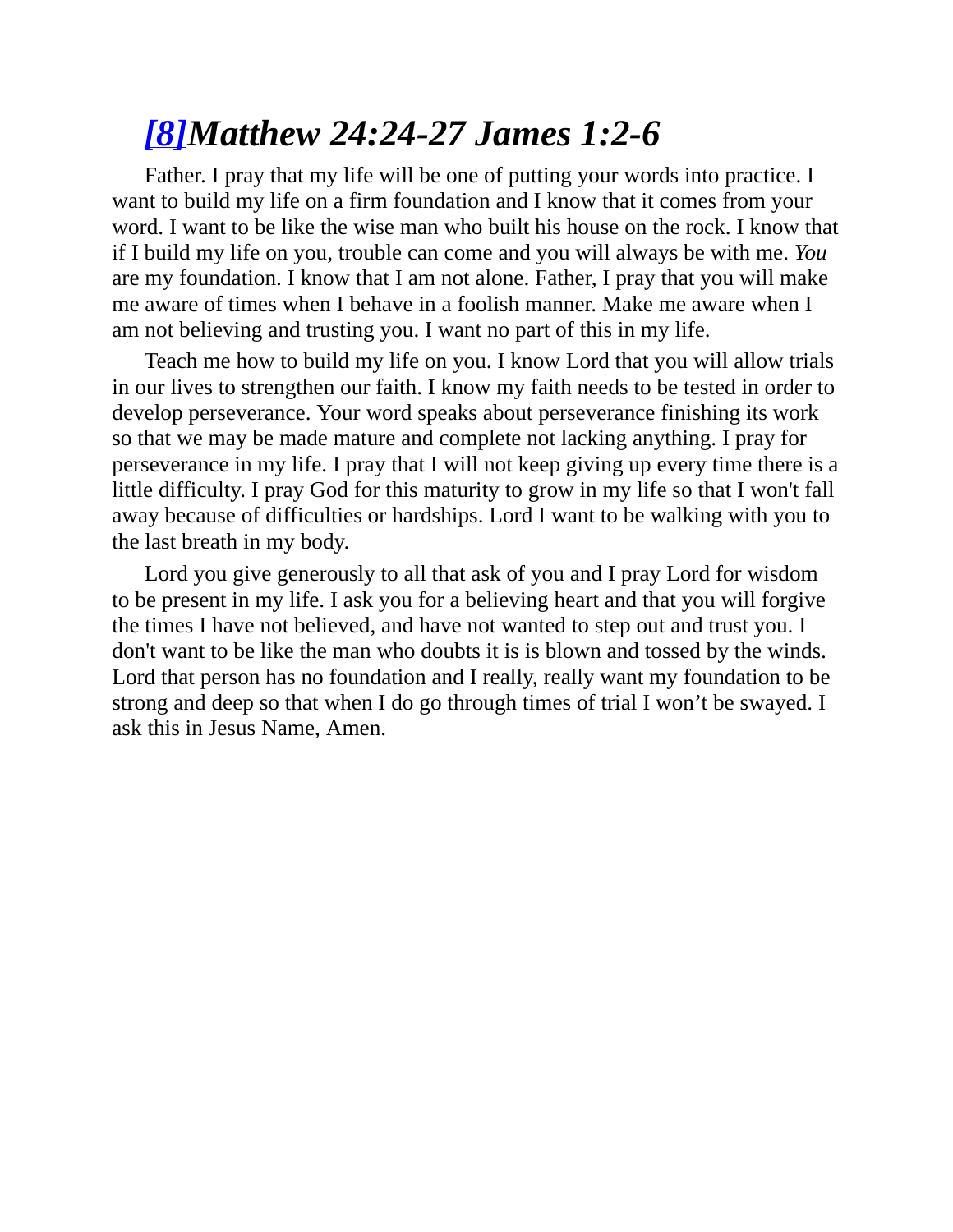## <span id="page-12-0"></span>*[\[8\]M](#page-39-1)atthew 24:24-27 James 1:2-6*

Father. I pray that my life will be one of putting your words into practice. I want to build my life on a firm foundation and I know that it comes from your word. I want to be like the wise man who built his house on the rock. I know that if I build my life on you, trouble can come and you will always be with me. *You* are my foundation. I know that I am not alone. Father, I pray that you will make me aware of times when I behave in a foolish manner. Make me aware when I am not believing and trusting you. I want no part of this in my life.

Teach me how to build my life on you. I know Lord that you will allow trials in our lives to strengthen our faith. I know my faith needs to be tested in order to develop perseverance. Your word speaks about perseverance finishing its work so that we may be made mature and complete not lacking anything. I pray for perseverance in my life. I pray that I will not keep giving up every time there is a little difficulty. I pray God for this maturity to grow in my life so that I won't fall away because of difficulties or hardships. Lord I want to be walking with you to the last breath in my body.

<span id="page-12-1"></span>Lord you give generously to all that ask of you and I pray Lord for wisdom to be present in my life. I ask you for a believing heart and that you will forgive the times I have not believed, and have not wanted to step out and trust you. I don't want to be like the man who doubts it is is blown and tossed by the winds. Lord that person has no foundation and I really, really want my foundation to be strong and deep so that when I do go through times of trial I won't be swayed. I ask this in Jesus Name, Amen.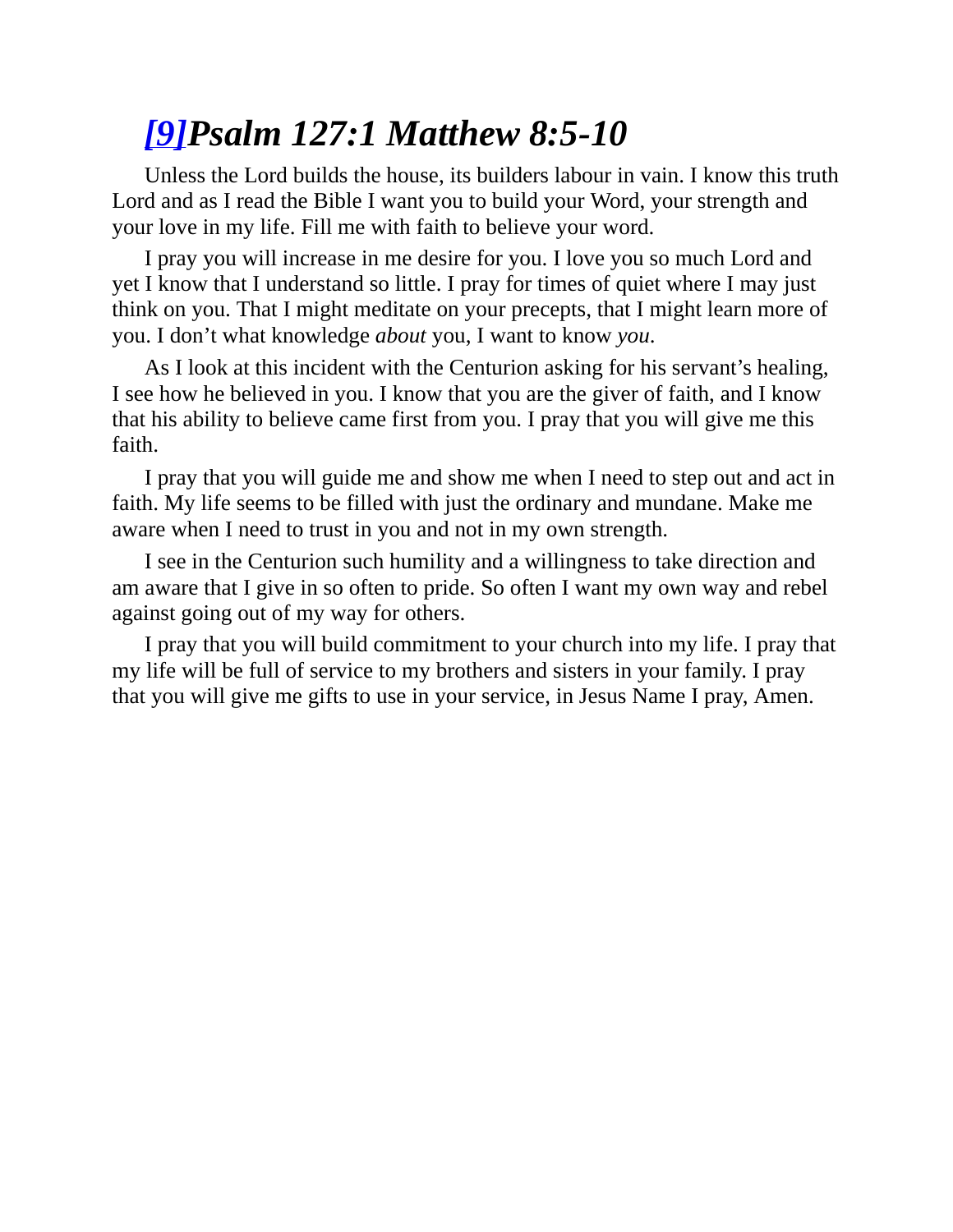## <span id="page-13-0"></span>*[\[9\]P](#page-40-0)salm 127:1 Matthew 8:5-10*

Unless the Lord builds the house, its builders labour in vain. I know this truth Lord and as I read the Bible I want you to build your Word, your strength and your love in my life. Fill me with faith to believe your word.

I pray you will increase in me desire for you. I love you so much Lord and yet I know that I understand so little. I pray for times of quiet where I may just think on you. That I might meditate on your precepts, that I might learn more of you. I don't what knowledge *about* you, I want to know *you*.

As I look at this incident with the Centurion asking for his servant's healing, I see how he believed in you. I know that you are the giver of faith, and I know that his ability to believe came first from you. I pray that you will give me this faith.

I pray that you will guide me and show me when I need to step out and act in faith. My life seems to be filled with just the ordinary and mundane. Make me aware when I need to trust in you and not in my own strength.

I see in the Centurion such humility and a willingness to take direction and am aware that I give in so often to pride. So often I want my own way and rebel against going out of my way for others.

<span id="page-13-1"></span>I pray that you will build commitment to your church into my life. I pray that my life will be full of service to my brothers and sisters in your family. I pray that you will give me gifts to use in your service, in Jesus Name I pray, Amen.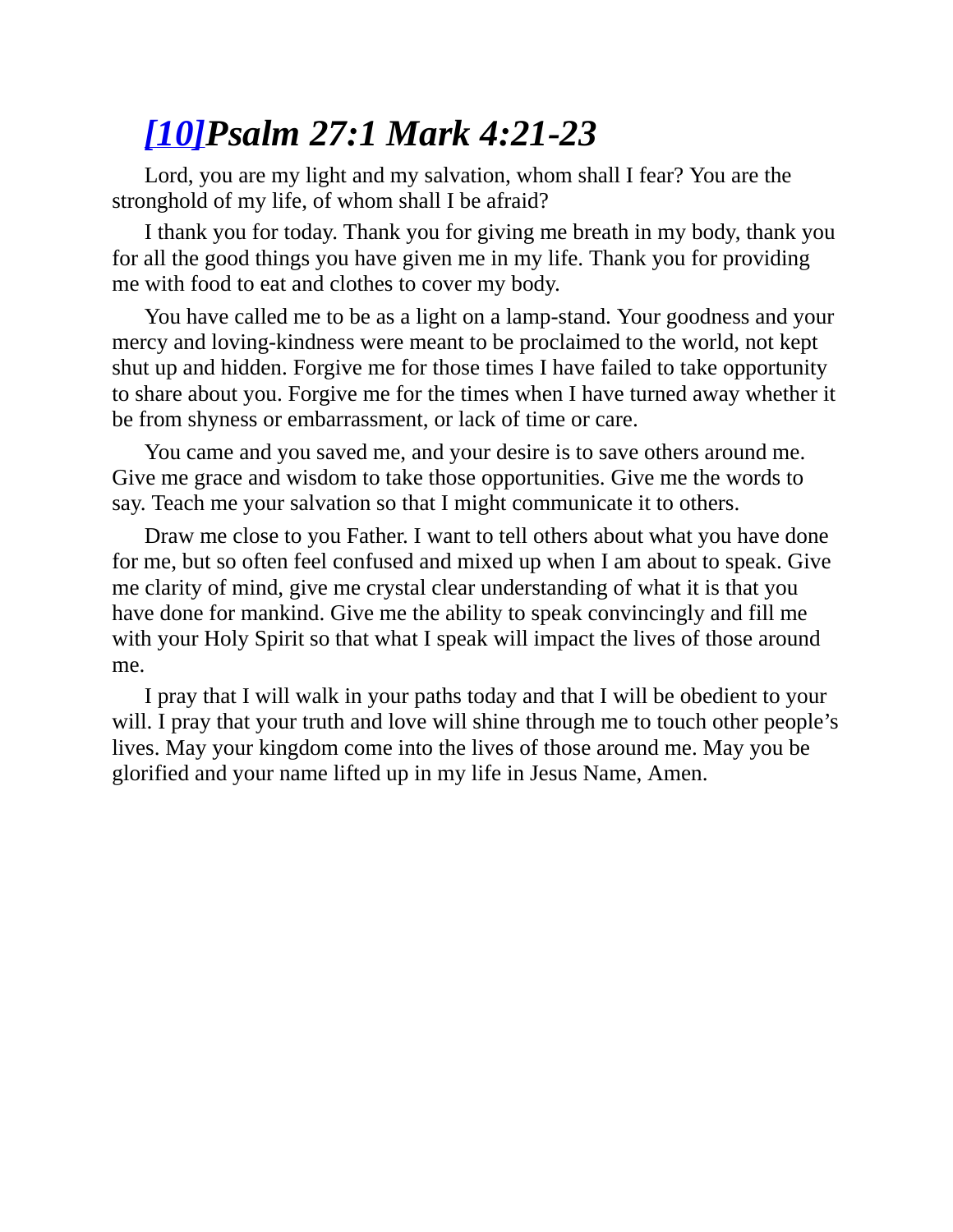## <span id="page-14-0"></span>*[\[10\]](#page-40-1)Psalm 27:1 Mark 4:21-23*

Lord, you are my light and my salvation, whom shall I fear? You are the stronghold of my life, of whom shall I be afraid?

I thank you for today. Thank you for giving me breath in my body, thank you for all the good things you have given me in my life. Thank you for providing me with food to eat and clothes to cover my body.

You have called me to be as a light on a lamp-stand. Your goodness and your mercy and loving-kindness were meant to be proclaimed to the world, not kept shut up and hidden. Forgive me for those times I have failed to take opportunity to share about you. Forgive me for the times when I have turned away whether it be from shyness or embarrassment, or lack of time or care.

You came and you saved me, and your desire is to save others around me. Give me grace and wisdom to take those opportunities. Give me the words to say. Teach me your salvation so that I might communicate it to others.

Draw me close to you Father. I want to tell others about what you have done for me, but so often feel confused and mixed up when I am about to speak. Give me clarity of mind, give me crystal clear understanding of what it is that you have done for mankind. Give me the ability to speak convincingly and fill me with your Holy Spirit so that what I speak will impact the lives of those around me.

<span id="page-14-1"></span>I pray that I will walk in your paths today and that I will be obedient to your will. I pray that your truth and love will shine through me to touch other people's lives. May your kingdom come into the lives of those around me. May you be glorified and your name lifted up in my life in Jesus Name, Amen.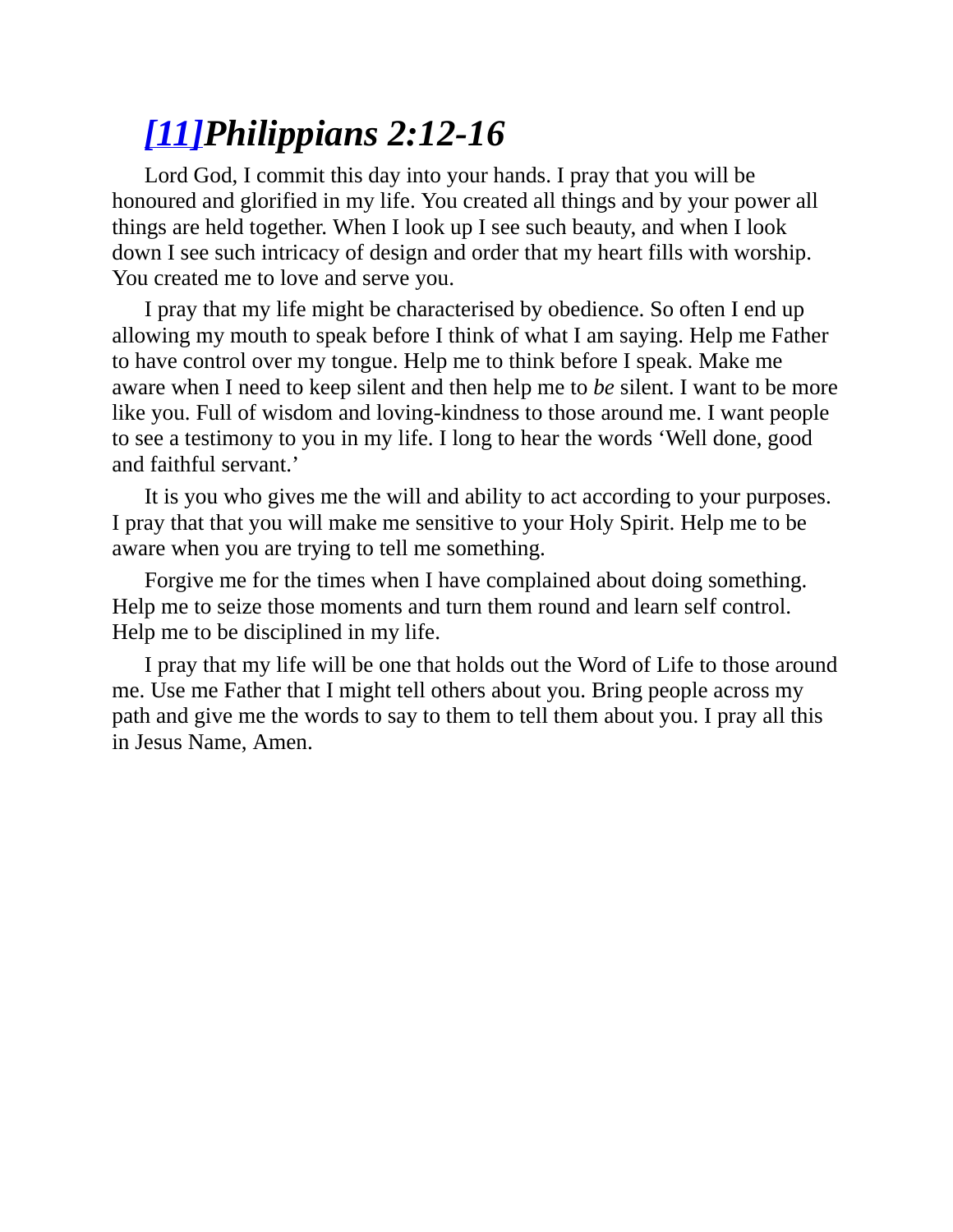## <span id="page-15-0"></span>*[\[11\]](#page-40-2)Philippians 2:12-16*

Lord God, I commit this day into your hands. I pray that you will be honoured and glorified in my life. You created all things and by your power all things are held together. When I look up I see such beauty, and when I look down I see such intricacy of design and order that my heart fills with worship. You created me to love and serve you.

I pray that my life might be characterised by obedience. So often I end up allowing my mouth to speak before I think of what I am saying. Help me Father to have control over my tongue. Help me to think before I speak. Make me aware when I need to keep silent and then help me to *be* silent. I want to be more like you. Full of wisdom and loving-kindness to those around me. I want people to see a testimony to you in my life. I long to hear the words 'Well done, good and faithful servant.'

It is you who gives me the will and ability to act according to your purposes. I pray that that you will make me sensitive to your Holy Spirit. Help me to be aware when you are trying to tell me something.

Forgive me for the times when I have complained about doing something. Help me to seize those moments and turn them round and learn self control. Help me to be disciplined in my life.

<span id="page-15-1"></span>I pray that my life will be one that holds out the Word of Life to those around me. Use me Father that I might tell others about you. Bring people across my path and give me the words to say to them to tell them about you. I pray all this in Jesus Name, Amen.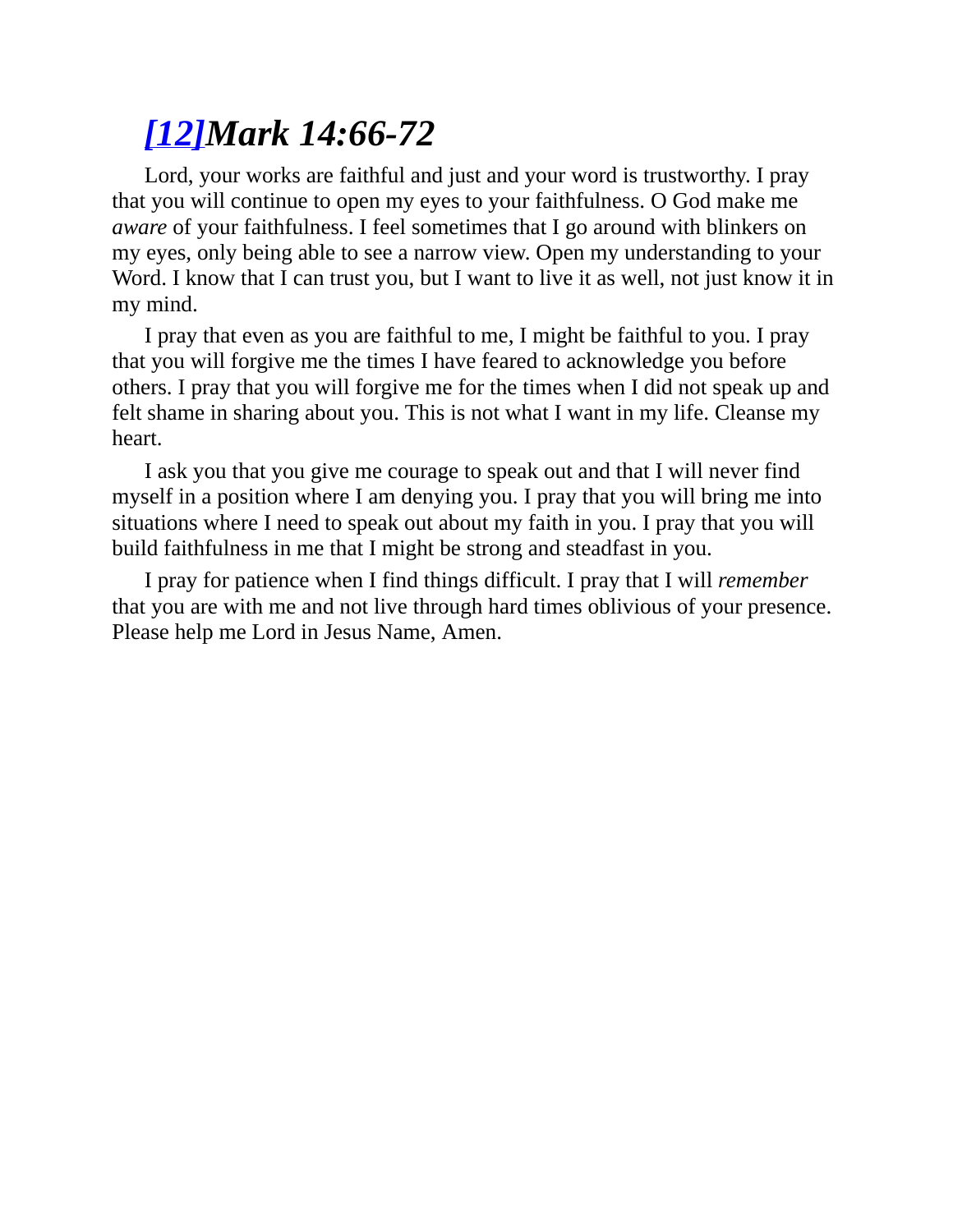## <span id="page-16-0"></span>*[\[12\]](#page-40-3)Mark 14:66-72*

Lord, your works are faithful and just and your word is trustworthy. I pray that you will continue to open my eyes to your faithfulness. O God make me *aware* of your faithfulness. I feel sometimes that I go around with blinkers on my eyes, only being able to see a narrow view. Open my understanding to your Word. I know that I can trust you, but I want to live it as well, not just know it in my mind.

I pray that even as you are faithful to me, I might be faithful to you. I pray that you will forgive me the times I have feared to acknowledge you before others. I pray that you will forgive me for the times when I did not speak up and felt shame in sharing about you. This is not what I want in my life. Cleanse my heart.

I ask you that you give me courage to speak out and that I will never find myself in a position where I am denying you. I pray that you will bring me into situations where I need to speak out about my faith in you. I pray that you will build faithfulness in me that I might be strong and steadfast in you.

<span id="page-16-1"></span>I pray for patience when I find things difficult. I pray that I will *remember* that you are with me and not live through hard times oblivious of your presence. Please help me Lord in Jesus Name, Amen.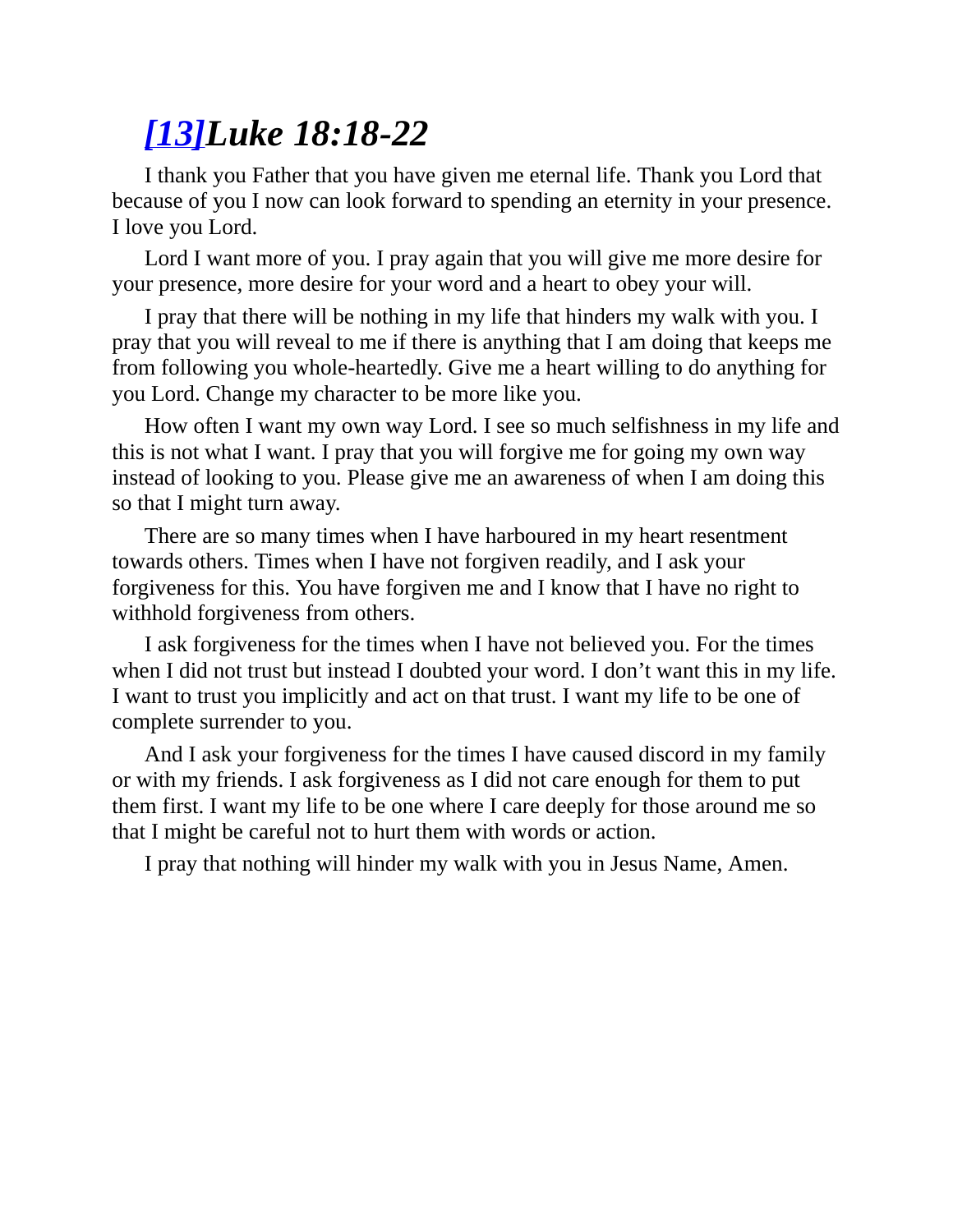## <span id="page-17-0"></span>*[\[13\]](#page-41-0)Luke 18:18-22*

I thank you Father that you have given me eternal life. Thank you Lord that because of you I now can look forward to spending an eternity in your presence. I love you Lord.

Lord I want more of you. I pray again that you will give me more desire for your presence, more desire for your word and a heart to obey your will.

I pray that there will be nothing in my life that hinders my walk with you. I pray that you will reveal to me if there is anything that I am doing that keeps me from following you whole-heartedly. Give me a heart willing to do anything for you Lord. Change my character to be more like you.

How often I want my own way Lord. I see so much selfishness in my life and this is not what I want. I pray that you will forgive me for going my own way instead of looking to you. Please give me an awareness of when I am doing this so that I might turn away.

There are so many times when I have harboured in my heart resentment towards others. Times when I have not forgiven readily, and I ask your forgiveness for this. You have forgiven me and I know that I have no right to withhold forgiveness from others.

I ask forgiveness for the times when I have not believed you. For the times when I did not trust but instead I doubted your word. I don't want this in my life. I want to trust you implicitly and act on that trust. I want my life to be one of complete surrender to you.

And I ask your forgiveness for the times I have caused discord in my family or with my friends. I ask forgiveness as I did not care enough for them to put them first. I want my life to be one where I care deeply for those around me so that I might be careful not to hurt them with words or action.

<span id="page-17-1"></span>I pray that nothing will hinder my walk with you in Jesus Name, Amen.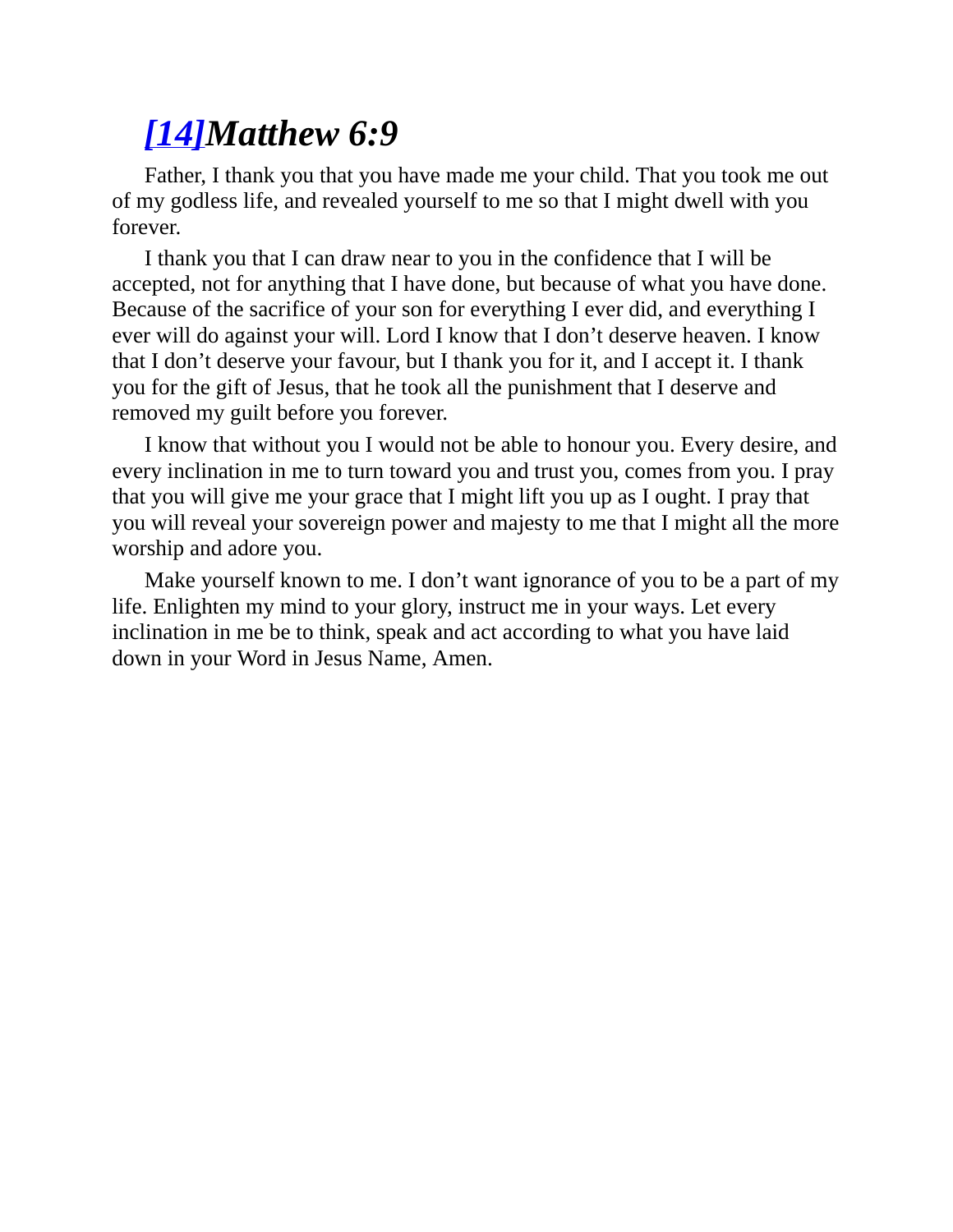## <span id="page-18-0"></span>*[\[14\]](#page-41-1)Matthew 6:9*

Father, I thank you that you have made me your child. That you took me out of my godless life, and revealed yourself to me so that I might dwell with you forever.

I thank you that I can draw near to you in the confidence that I will be accepted, not for anything that I have done, but because of what you have done. Because of the sacrifice of your son for everything I ever did, and everything I ever will do against your will. Lord I know that I don't deserve heaven. I know that I don't deserve your favour, but I thank you for it, and I accept it. I thank you for the gift of Jesus, that he took all the punishment that I deserve and removed my guilt before you forever.

I know that without you I would not be able to honour you. Every desire, and every inclination in me to turn toward you and trust you, comes from you. I pray that you will give me your grace that I might lift you up as I ought. I pray that you will reveal your sovereign power and majesty to me that I might all the more worship and adore you.

<span id="page-18-1"></span>Make yourself known to me. I don't want ignorance of you to be a part of my life. Enlighten my mind to your glory, instruct me in your ways. Let every inclination in me be to think, speak and act according to what you have laid down in your Word in Jesus Name, Amen.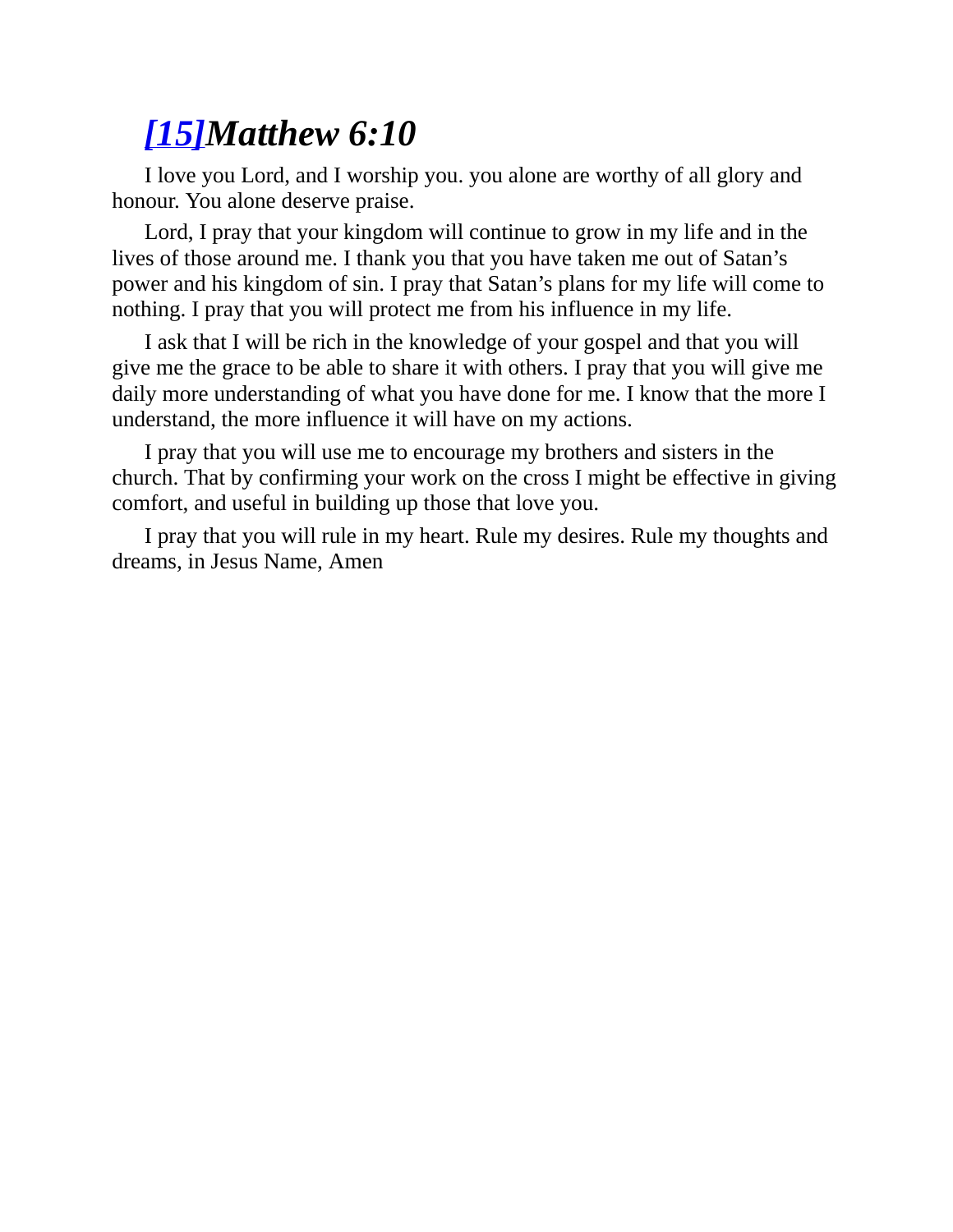## <span id="page-19-0"></span>*[\[15\]](#page-41-2)Matthew 6:10*

I love you Lord, and I worship you. you alone are worthy of all glory and honour. You alone deserve praise.

Lord, I pray that your kingdom will continue to grow in my life and in the lives of those around me. I thank you that you have taken me out of Satan's power and his kingdom of sin. I pray that Satan's plans for my life will come to nothing. I pray that you will protect me from his influence in my life.

I ask that I will be rich in the knowledge of your gospel and that you will give me the grace to be able to share it with others. I pray that you will give me daily more understanding of what you have done for me. I know that the more I understand, the more influence it will have on my actions.

I pray that you will use me to encourage my brothers and sisters in the church. That by confirming your work on the cross I might be effective in giving comfort, and useful in building up those that love you.

<span id="page-19-1"></span>I pray that you will rule in my heart. Rule my desires. Rule my thoughts and dreams, in Jesus Name, Amen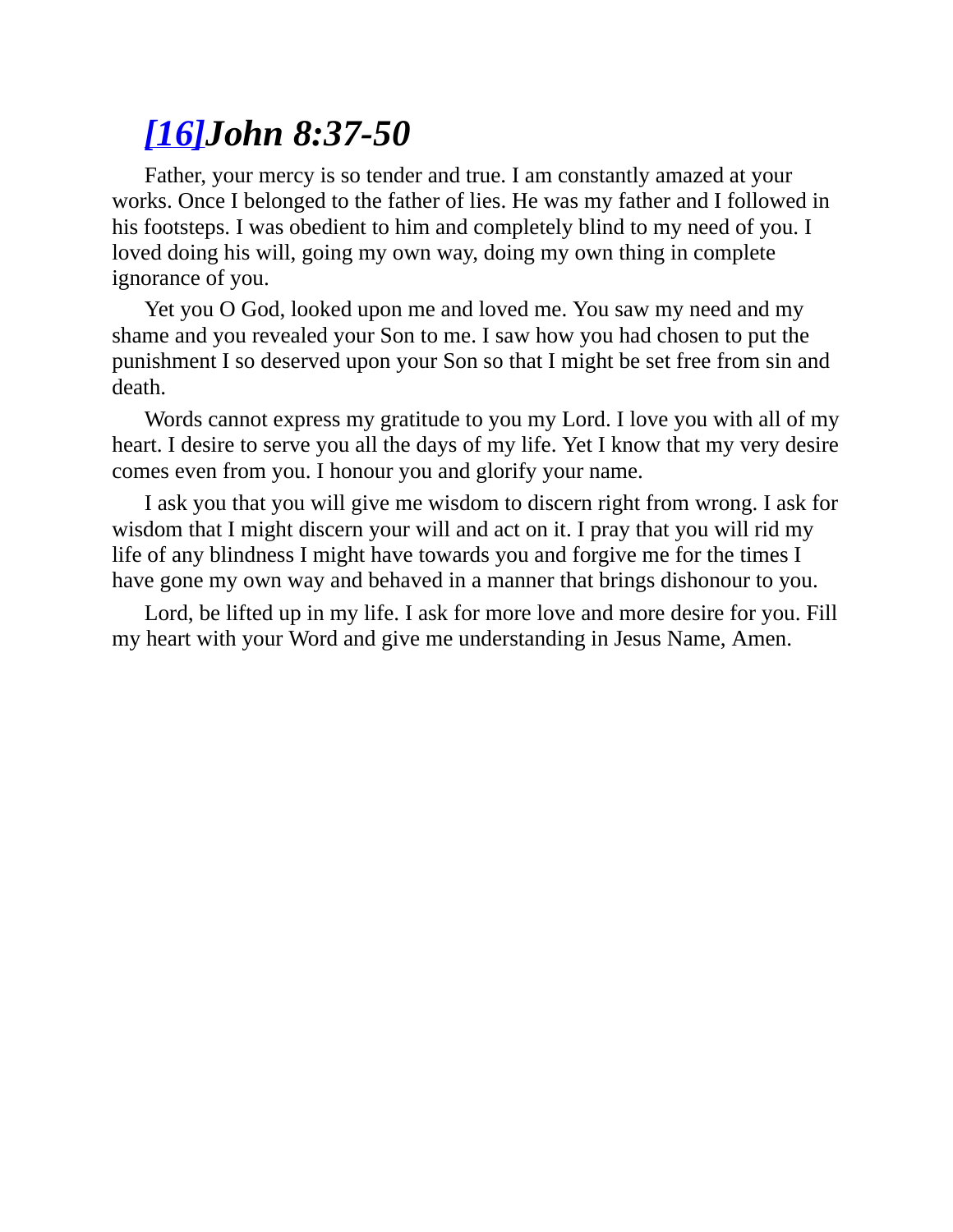## <span id="page-20-0"></span>*[\[16\]](#page-41-3)John 8:37-50*

Father, your mercy is so tender and true. I am constantly amazed at your works. Once I belonged to the father of lies. He was my father and I followed in his footsteps. I was obedient to him and completely blind to my need of you. I loved doing his will, going my own way, doing my own thing in complete ignorance of you.

Yet you O God, looked upon me and loved me. You saw my need and my shame and you revealed your Son to me. I saw how you had chosen to put the punishment I so deserved upon your Son so that I might be set free from sin and death.

Words cannot express my gratitude to you my Lord. I love you with all of my heart. I desire to serve you all the days of my life. Yet I know that my very desire comes even from you. I honour you and glorify your name.

I ask you that you will give me wisdom to discern right from wrong. I ask for wisdom that I might discern your will and act on it. I pray that you will rid my life of any blindness I might have towards you and forgive me for the times I have gone my own way and behaved in a manner that brings dishonour to you.

<span id="page-20-1"></span>Lord, be lifted up in my life. I ask for more love and more desire for you. Fill my heart with your Word and give me understanding in Jesus Name, Amen.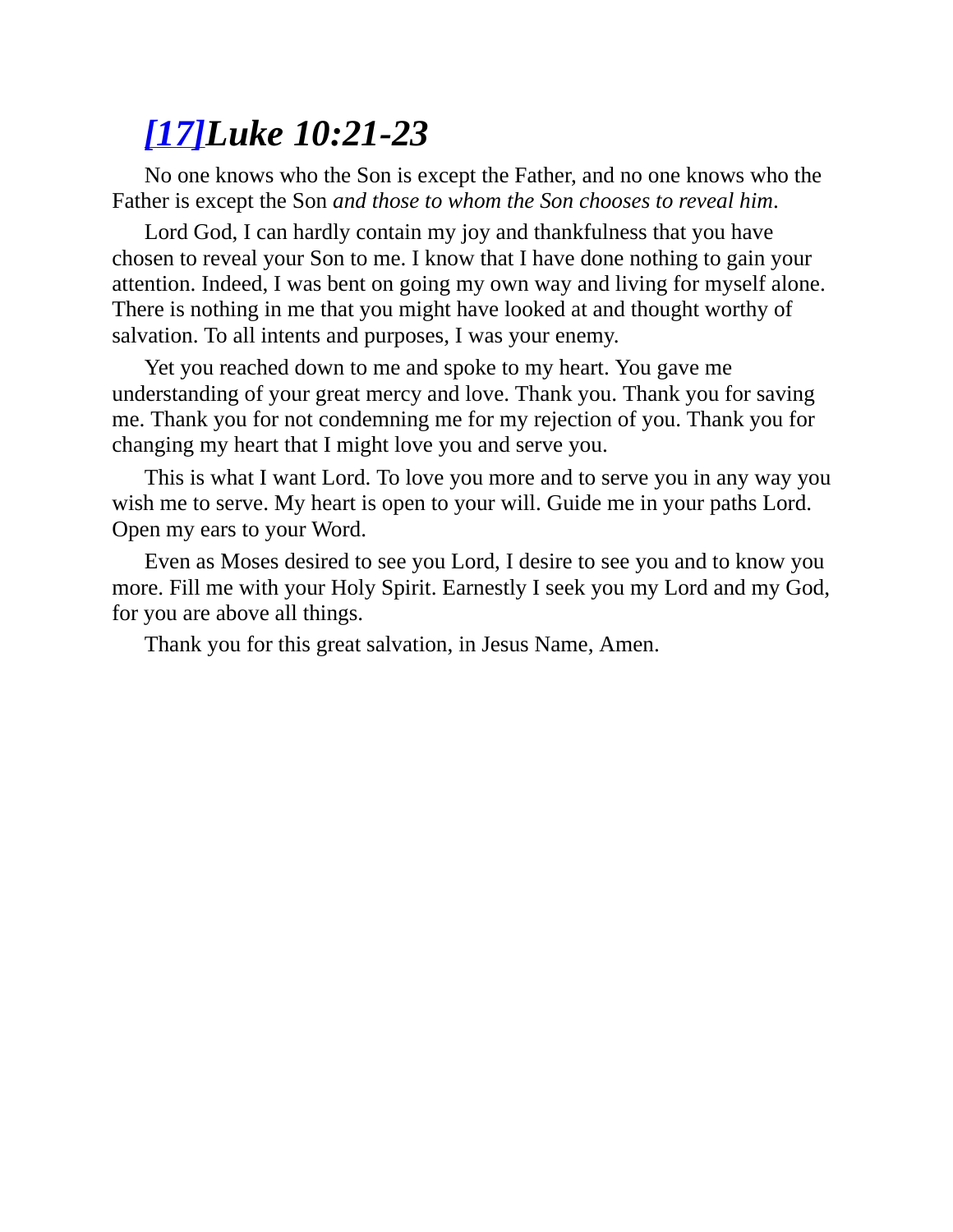## <span id="page-21-0"></span>*[\[17\]](#page-42-0)Luke 10:21-23*

No one knows who the Son is except the Father, and no one knows who the Father is except the Son *and those to whom the Son chooses to reveal him*.

Lord God, I can hardly contain my joy and thankfulness that you have chosen to reveal your Son to me. I know that I have done nothing to gain your attention. Indeed, I was bent on going my own way and living for myself alone. There is nothing in me that you might have looked at and thought worthy of salvation. To all intents and purposes, I was your enemy.

Yet you reached down to me and spoke to my heart. You gave me understanding of your great mercy and love. Thank you. Thank you for saving me. Thank you for not condemning me for my rejection of you. Thank you for changing my heart that I might love you and serve you.

This is what I want Lord. To love you more and to serve you in any way you wish me to serve. My heart is open to your will. Guide me in your paths Lord. Open my ears to your Word.

Even as Moses desired to see you Lord, I desire to see you and to know you more. Fill me with your Holy Spirit. Earnestly I seek you my Lord and my God, for you are above all things.

<span id="page-21-1"></span>Thank you for this great salvation, in Jesus Name, Amen.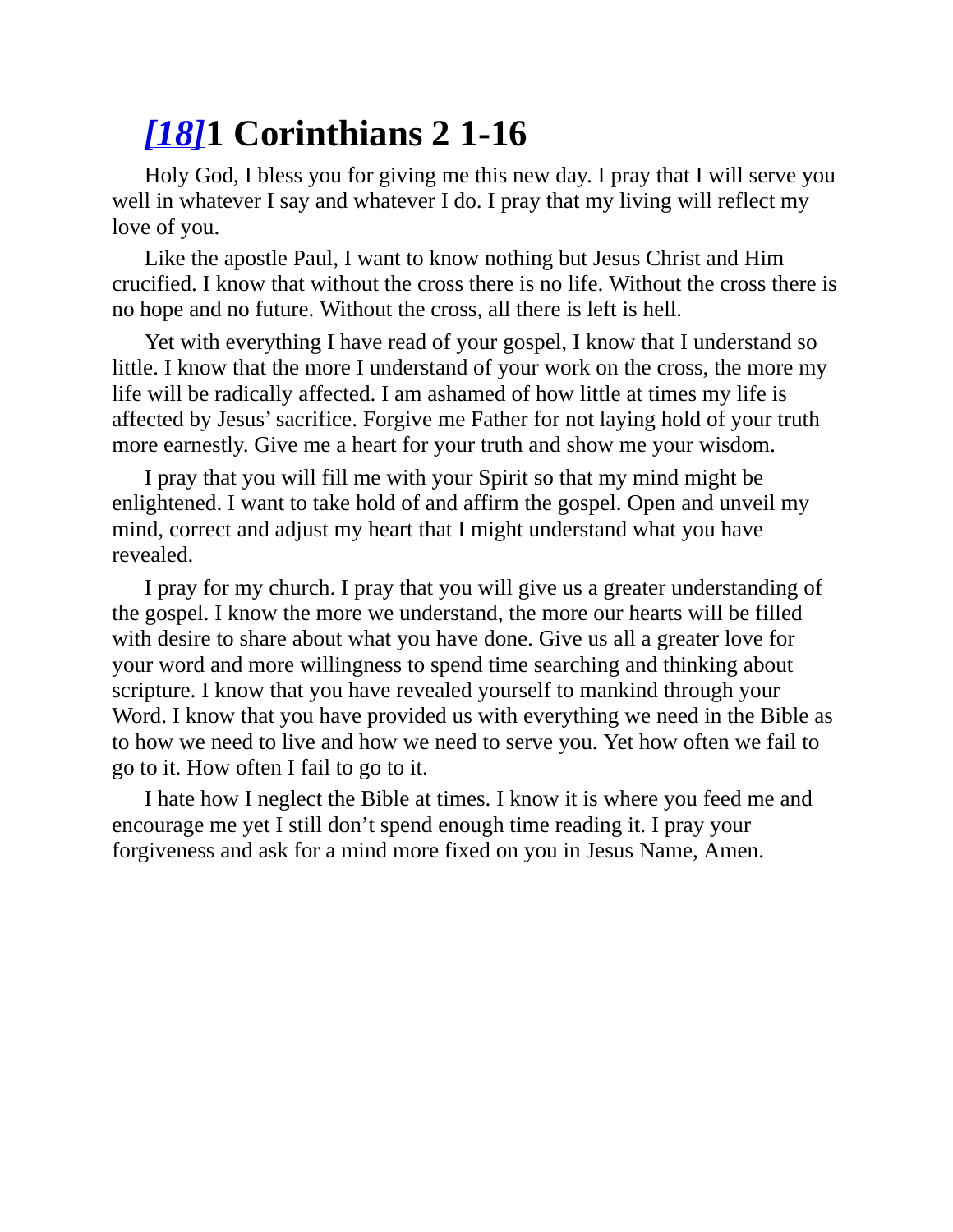## <span id="page-22-0"></span>*[\[18\]](#page-42-1)***1 Corinthians 2 1-16**

Holy God, I bless you for giving me this new day. I pray that I will serve you well in whatever I say and whatever I do. I pray that my living will reflect my love of you.

Like the apostle Paul, I want to know nothing but Jesus Christ and Him crucified. I know that without the cross there is no life. Without the cross there is no hope and no future. Without the cross, all there is left is hell.

Yet with everything I have read of your gospel, I know that I understand so little. I know that the more I understand of your work on the cross, the more my life will be radically affected. I am ashamed of how little at times my life is affected by Jesus'sacrifice. Forgive me Father for not laying hold of your truth more earnestly. Give me a heart for your truth and show me your wisdom.

I pray that you will fill me with your Spirit so that my mind might be enlightened. I want to take hold of and affirm the gospel. Open and unveil my mind, correct and adjust my heart that I might understand what you have revealed.

I pray for my church. I pray that you will give us a greater understanding of the gospel. I know the more we understand, the more our hearts will be filled with desire to share about what you have done. Give us all a greater love for your word and more willingness to spend time searching and thinking about scripture. I know that you have revealed yourself to mankind through your Word. I know that you have provided us with everything we need in the Bible as to how we need to live and how we need to serve you. Yet how often we fail to go to it. How often I fail to go to it.

<span id="page-22-1"></span>I hate how I neglect the Bible at times. I know it is where you feed me and encourage me yet I still don't spend enough time reading it. I pray your forgiveness and ask for a mind more fixed on you in Jesus Name, Amen.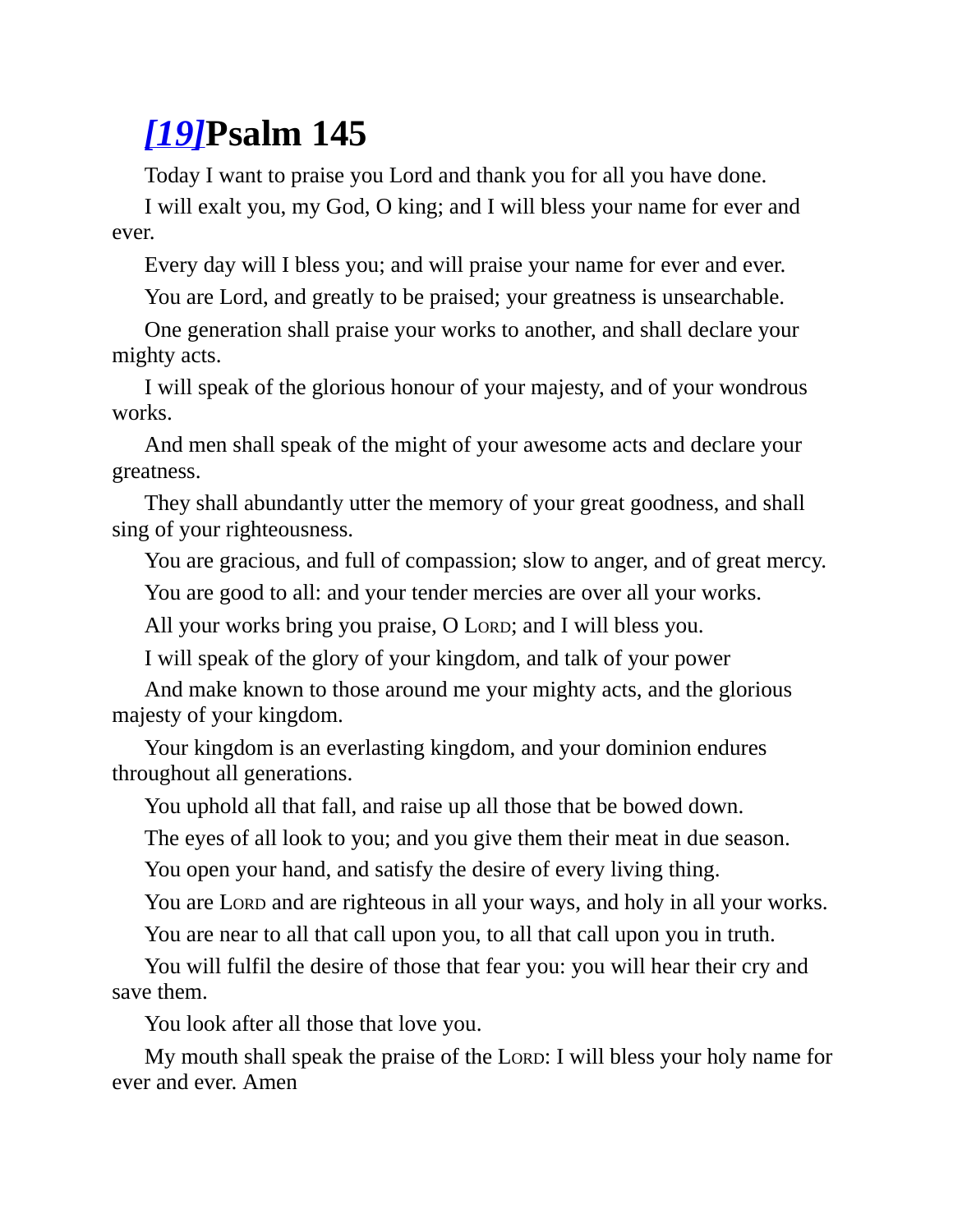## <span id="page-23-0"></span>*[\[19\]](#page-43-0)***Psalm 145**

Today I want to praise you Lord and thank you for all you have done.

I will exalt you, my God, O king; and I will bless your name for ever and ever.

Every day will I bless you; and will praise your name for ever and ever.

You are Lord, and greatly to be praised; your greatness is unsearchable.

One generation shall praise your works to another, and shall declare your mighty acts.

I will speak of the glorious honour of your majesty, and of your wondrous works.

And men shall speak of the might of your awesome acts and declare your greatness.

They shall abundantly utter the memory of your great goodness, and shall sing of your righteousness.

You are gracious, and full of compassion; slow to anger, and of great mercy.

You are good to all: and your tender mercies are over all your works.

All your works bring you praise, O LORD; and I will bless you.

I will speak of the glory of your kingdom, and talk of your power

And make known to those around me your mighty acts, and the glorious majesty of your kingdom.

Your kingdom is an everlasting kingdom, and your dominion endures throughout all generations.

You uphold all that fall, and raise up all those that be bowed down.

The eyes of all look to you; and you give them their meat in due season.

You open your hand, and satisfy the desire of every living thing.

You are LORD and are righteous in all your ways, and holy in all your works.

You are near to all that call upon you, to all that call upon you in truth.

You will fulfil the desire of those that fear you: you will hear their cry and save them.

You look after all those that love you.

<span id="page-23-1"></span>My mouth shall speak the praise of the LORD: I will bless your holy name for ever and ever. Amen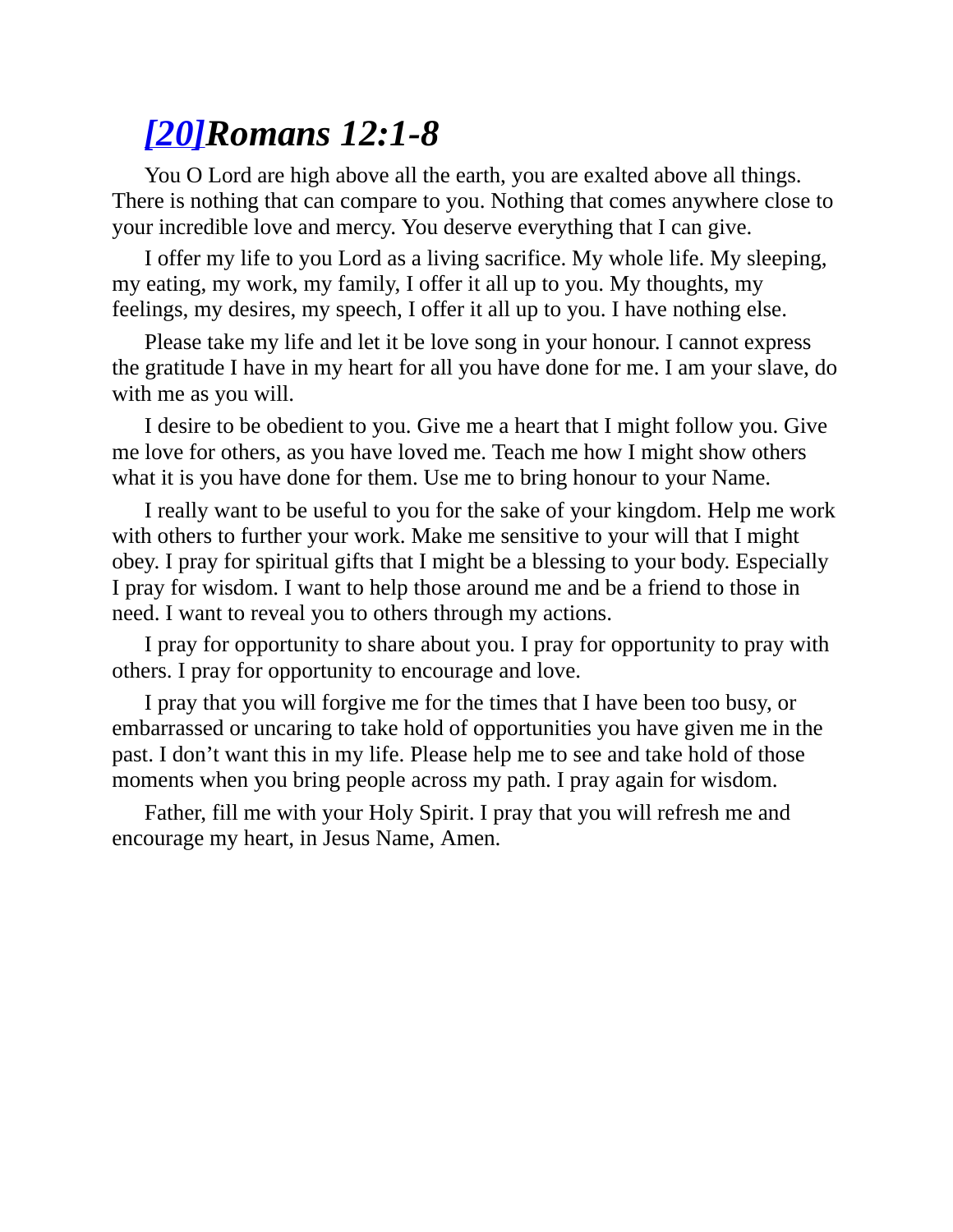## <span id="page-24-0"></span>*[\[20\]](#page-44-0)Romans 12:1-8*

You O Lord are high above all the earth, you are exalted above all things. There is nothing that can compare to you. Nothing that comes anywhere close to your incredible love and mercy. You deserve everything that I can give.

I offer my life to you Lord as a living sacrifice. My whole life. My sleeping, my eating, my work, my family, I offer it all up to you. My thoughts, my feelings, my desires, my speech, I offer it all up to you. I have nothing else.

Please take my life and let it be love song in your honour. I cannot express the gratitude I have in my heart for all you have done for me. I am your slave, do with me as you will.

I desire to be obedient to you. Give me a heart that I might follow you. Give me love for others, as you have loved me. Teach me how I might show others what it is you have done for them. Use me to bring honour to your Name.

I really want to be useful to you for the sake of your kingdom. Help me work with others to further your work. Make me sensitive to your will that I might obey. I pray for spiritual gifts that I might be a blessing to your body. Especially I pray for wisdom. I want to help those around me and be a friend to those in need. I want to reveal you to others through my actions.

I pray for opportunity to share about you. I pray for opportunity to pray with others. I pray for opportunity to encourage and love.

I pray that you will forgive me for the times that I have been too busy, or embarrassed or uncaring to take hold of opportunities you have given me in the past. I don't want this in my life. Please help me to see and take hold of those moments when you bring people across my path. I pray again for wisdom.

<span id="page-24-1"></span>Father, fill me with your Holy Spirit. I pray that you will refresh me and encourage my heart, in Jesus Name, Amen.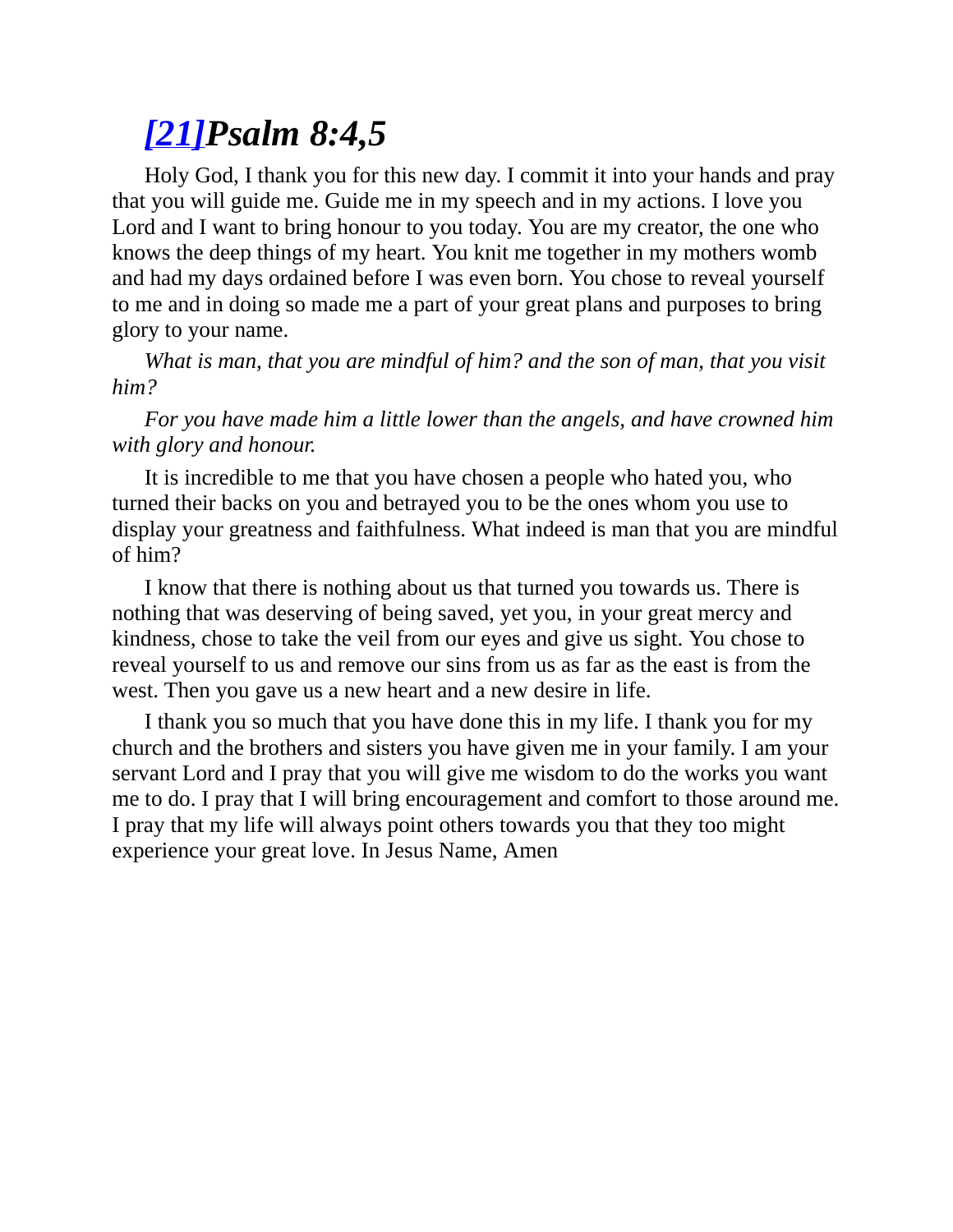## <span id="page-25-0"></span>*[\[21\]](#page-45-0)Psalm 8:4,5*

Holy God, I thank you for this new day. I commit it into your hands and pray that you will guide me. Guide me in my speech and in my actions. I love you Lord and I want to bring honour to you today. You are my creator, the one who knows the deep things of my heart. You knit me together in my mothers womb and had my days ordained before I was even born. You chose to reveal yourself to me and in doing so made me a part of your great plans and purposes to bring glory to your name.

*What is man, that you are mindful of him? and the son of man, that you visit him?*

*For you have made him a little lower than the angels, and have crowned him with glory and honour.*

It is incredible to me that you have chosen a people who hated you, who turned their backs on you and betrayed you to be the ones whom you use to display your greatness and faithfulness. What indeed is man that you are mindful of him?

I know that there is nothing about us that turned you towards us. There is nothing that was deserving of being saved, yet you, in your great mercy and kindness, chose to take the veil from our eyes and give us sight. You chose to reveal yourself to us and remove our sins from us as far as the east is from the west. Then you gave us a new heart and a new desire in life.

<span id="page-25-1"></span>I thank you so much that you have done this in my life. I thank you for my church and the brothers and sisters you have given me in your family. I am your servant Lord and I pray that you will give me wisdom to do the works you want me to do. I pray that I will bring encouragement and comfort to those around me. I pray that my life will always point others towards you that they too might experience your great love. In Jesus Name, Amen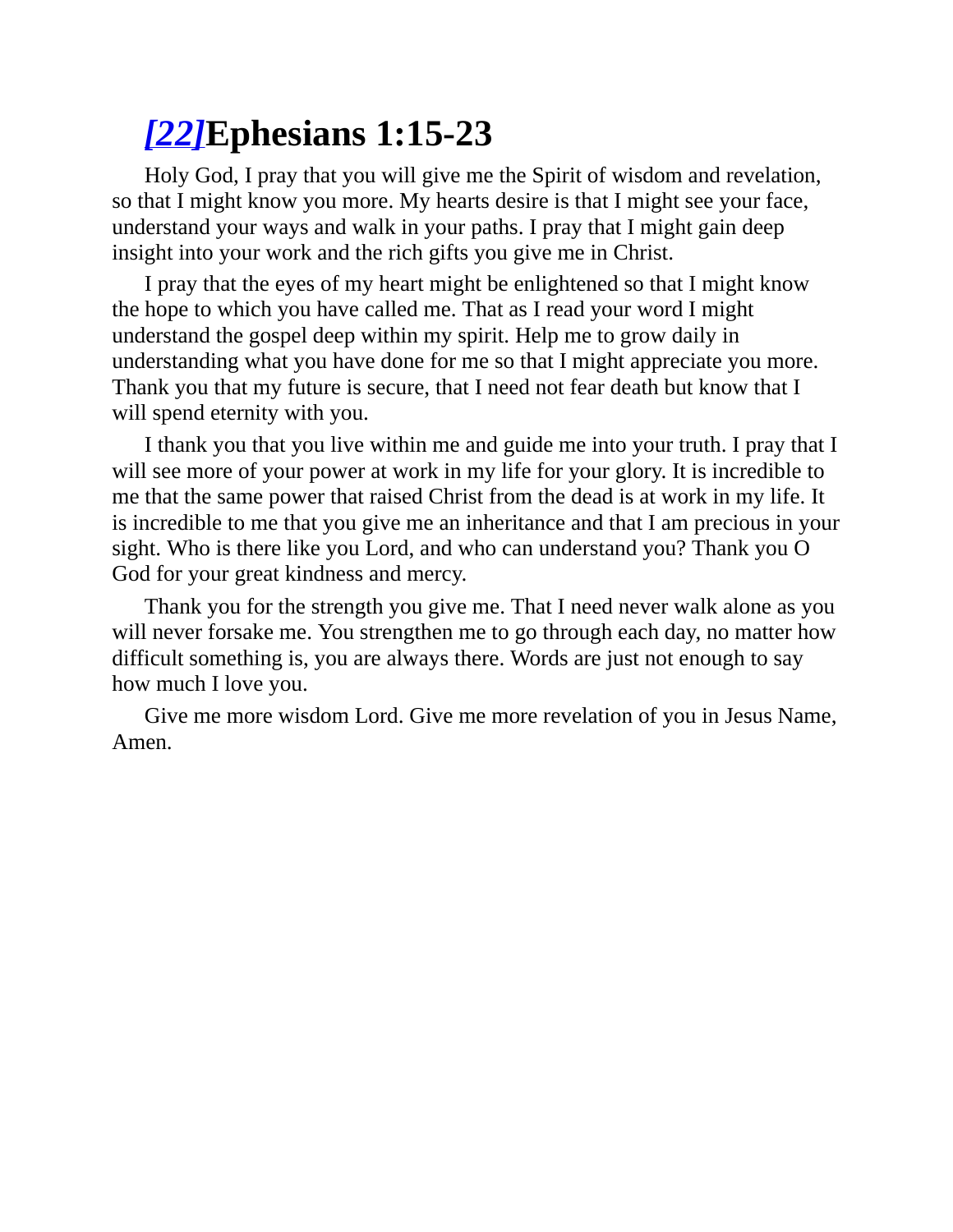## <span id="page-26-0"></span>*[\[22\]](#page-45-1)***Ephesians 1:15-23**

Holy God, I pray that you will give me the Spirit of wisdom and revelation, so that I might know you more. My hearts desire is that I might see your face, understand your ways and walk in your paths. I pray that I might gain deep insight into your work and the rich gifts you give me in Christ.

I pray that the eyes of my heart might be enlightened so that I might know the hope to which you have called me. That as I read your word I might understand the gospel deep within my spirit. Help me to grow daily in understanding what you have done for me so that I might appreciate you more. Thank you that my future is secure, that I need not fear death but know that I will spend eternity with you.

I thank you that you live within me and guide me into your truth. I pray that I will see more of your power at work in my life for your glory. It is incredible to me that the same power that raised Christ from the dead is at work in my life. It is incredible to me that you give me an inheritance and that I am precious in your sight. Who is there like you Lord, and who can understand you? Thank you O God for your great kindness and mercy.

Thank you for the strength you give me. That I need never walk alone as you will never forsake me. You strengthen me to go through each day, no matter how difficult something is, you are always there. Words are just not enough to say how much I love you.

<span id="page-26-1"></span>Give me more wisdom Lord. Give me more revelation of you in Jesus Name, Amen.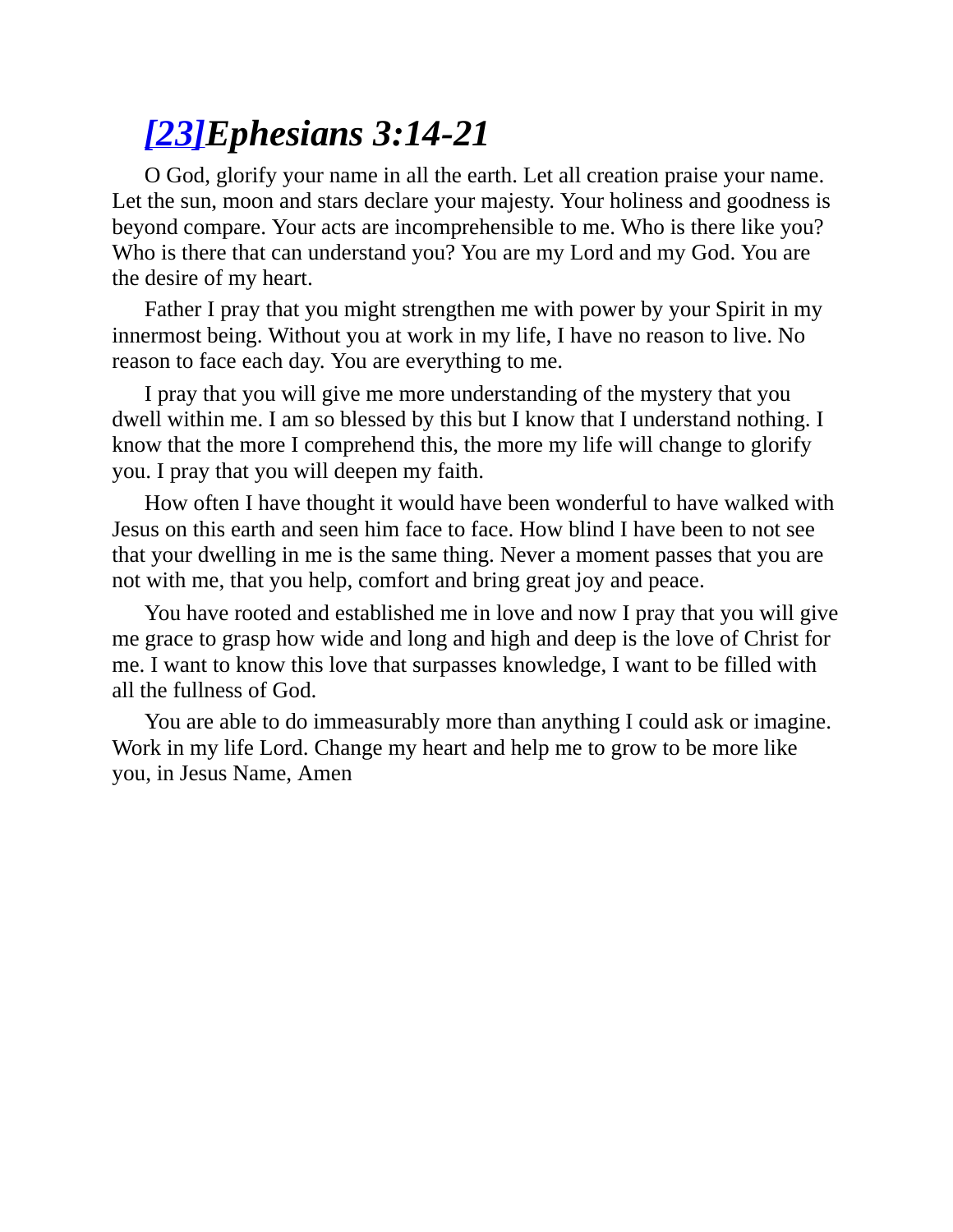## <span id="page-27-0"></span>*[\[23\]](#page-45-2)Ephesians 3:14-21*

O God, glorify your name in all the earth. Let all creation praise your name. Let the sun, moon and stars declare your majesty. Your holiness and goodness is beyond compare. Your acts are incomprehensible to me. Who is there like you? Who is there that can understand you? You are my Lord and my God. You are the desire of my heart.

Father I pray that you might strengthen me with power by your Spirit in my innermost being. Without you at work in my life, I have no reason to live. No reason to face each day. You are everything to me.

I pray that you will give me more understanding of the mystery that you dwell within me. I am so blessed by this but I know that I understand nothing. I know that the more I comprehend this, the more my life will change to glorify you. I pray that you will deepen my faith.

How often I have thought it would have been wonderful to have walked with Jesus on this earth and seen him face to face. How blind I have been to not see that your dwelling in me is the same thing. Never a moment passes that you are not with me, that you help, comfort and bring great joy and peace.

You have rooted and established me in love and now I pray that you will give me grace to grasp how wide and long and high and deep is the love of Christ for me. I want to know this love that surpasses knowledge, I want to be filled with all the fullness of God.

<span id="page-27-1"></span>You are able to do immeasurably more than anything I could ask or imagine. Work in my life Lord. Change my heart and help me to grow to be more like you, in Jesus Name, Amen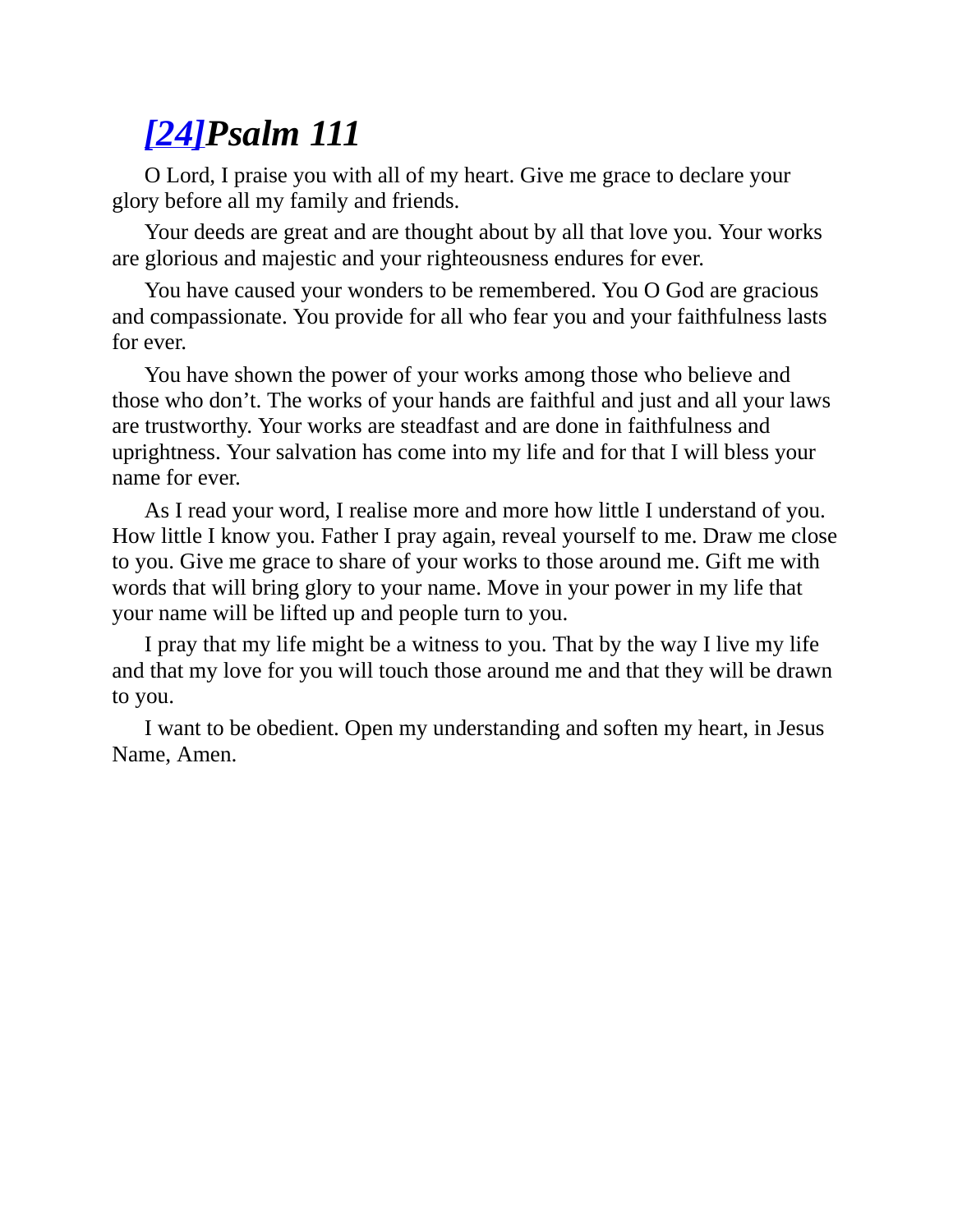## <span id="page-28-0"></span>*[\[24\]](#page-46-0)Psalm 111*

O Lord, I praise you with all of my heart. Give me grace to declare your glory before all my family and friends.

Your deeds are great and are thought about by all that love you. Your works are glorious and majestic and your righteousness endures for ever.

You have caused your wonders to be remembered. You O God are gracious and compassionate. You provide for all who fear you and your faithfulness lasts for ever.

You have shown the power of your works among those who believe and those who don't. The works of your hands are faithful and just and all your laws are trustworthy. Your works are steadfast and are done in faithfulness and uprightness. Your salvation has come into my life and for that I will bless your name for ever.

As I read your word, I realise more and more how little I understand of you. How little I know you. Father I pray again, reveal yourself to me. Draw me close to you. Give me grace to share of your works to those around me. Gift me with words that will bring glory to your name. Move in your power in my life that your name will be lifted up and people turn to you.

I pray that my life might be a witness to you. That by the way I live my life and that my love for you will touch those around me and that they will be drawn to you.

<span id="page-28-1"></span>I want to be obedient. Open my understanding and soften my heart, in Jesus Name, Amen.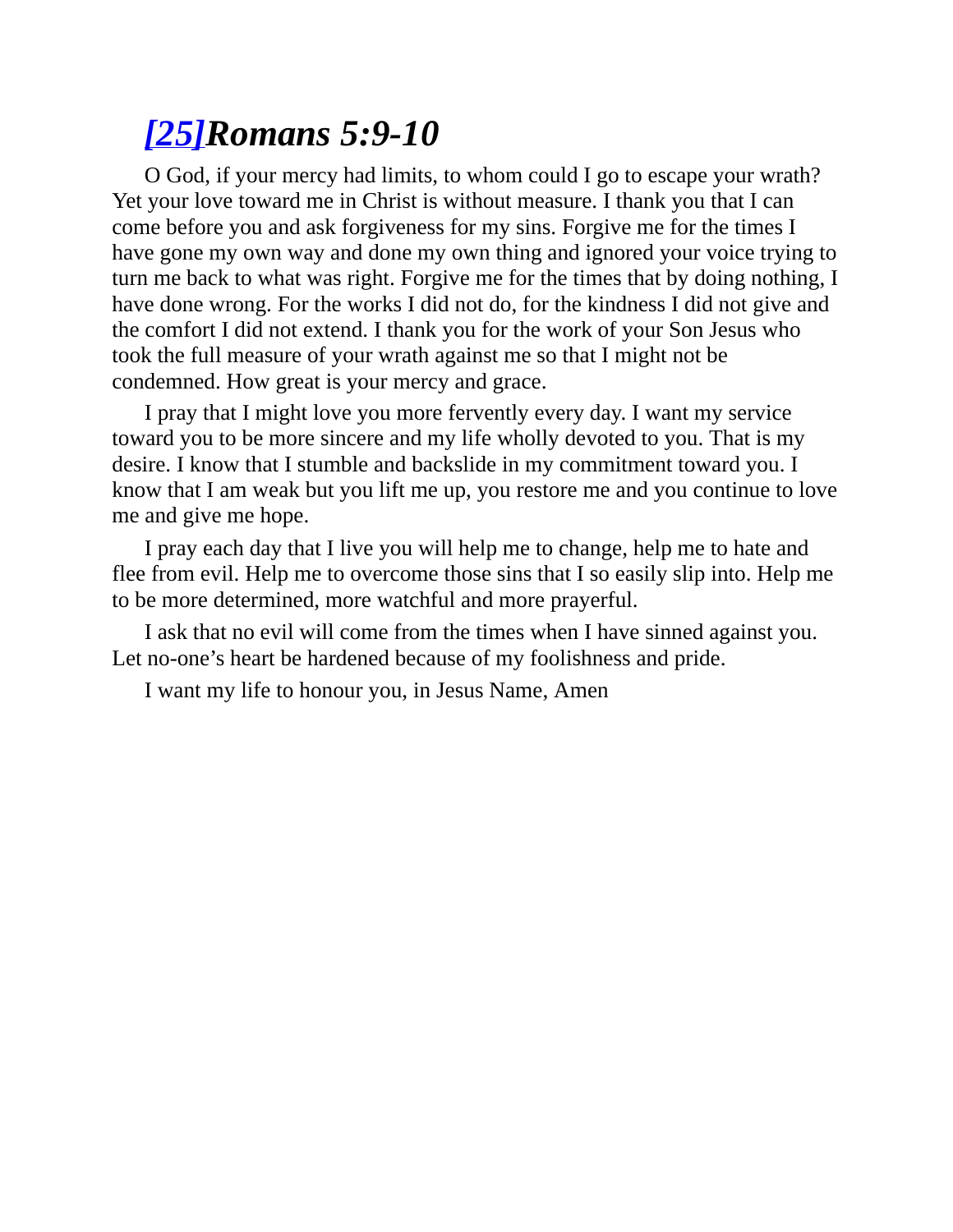## <span id="page-29-0"></span>*[\[25\]](#page-46-1)Romans 5:9-10*

O God, if your mercy had limits, to whom could I go to escape your wrath? Yet your love toward me in Christ is without measure. I thank you that I can come before you and ask forgiveness for my sins. Forgive me for the times I have gone my own way and done my own thing and ignored your voice trying to turn me back to what was right. Forgive me for the times that by doing nothing, I have done wrong. For the works I did not do, for the kindness I did not give and the comfort I did not extend. I thank you for the work of your Son Jesus who took the full measure of your wrath against me so that I might not be condemned. How great is your mercy and grace.

I pray that I might love you more fervently every day. I want my service toward you to be more sincere and my life wholly devoted to you. That is my desire. I know that I stumble and backslide in my commitment toward you. I know that I am weak but you lift me up, you restore me and you continue to love me and give me hope.

I pray each day that I live you will help me to change, help me to hate and flee from evil. Help me to overcome those sins that I so easily slip into. Help me to be more determined, more watchful and more prayerful.

I ask that no evil will come from the times when I have sinned against you. Let no-one's heart be hardened because of my foolishness and pride.

<span id="page-29-1"></span>I want my life to honour you, in Jesus Name, Amen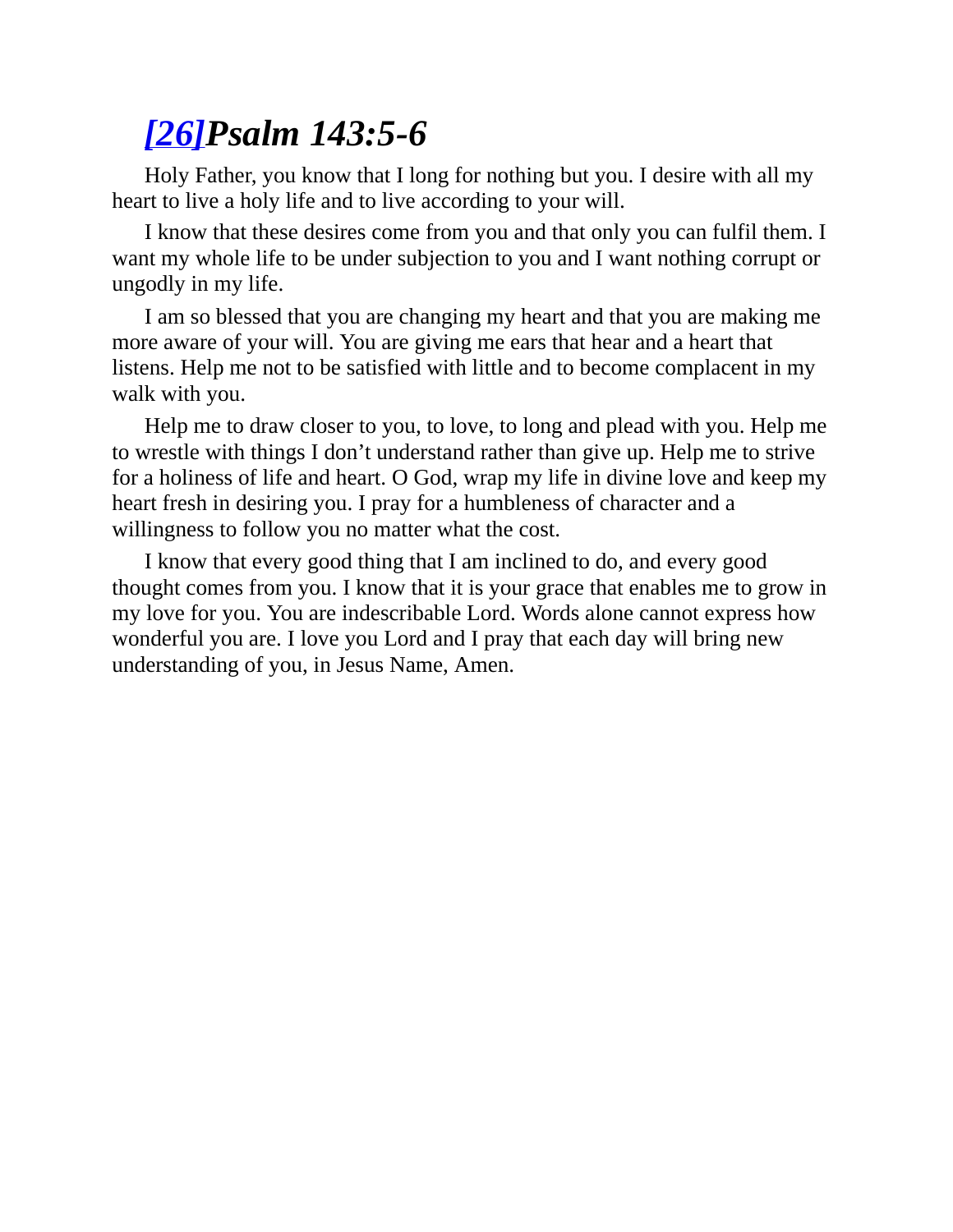## <span id="page-30-0"></span>*[\[26\]](#page-46-2)Psalm 143:5-6*

Holy Father, you know that I long for nothing but you. I desire with all my heart to live a holy life and to live according to your will.

I know that these desires come from you and that only you can fulfil them. I want my whole life to be under subjection to you and I want nothing corrupt or ungodly in my life.

I am so blessed that you are changing my heart and that you are making me more aware of your will. You are giving me ears that hear and a heart that listens. Help me not to be satisfied with little and to become complacent in my walk with you.

Help me to draw closer to you, to love, to long and plead with you. Help me to wrestle with things I don't understand rather than give up. Help me to strive for a holiness of life and heart. O God, wrap my life in divine love and keep my heart fresh in desiring you. I pray for a humbleness of character and a willingness to follow you no matter what the cost.

I know that every good thing that I am inclined to do, and every good thought comes from you. I know that it is your grace that enables me to grow in my love for you. You are indescribable Lord. Words alone cannot express how wonderful you are. I love you Lord and I pray that each day will bring new understanding of you, in Jesus Name, Amen.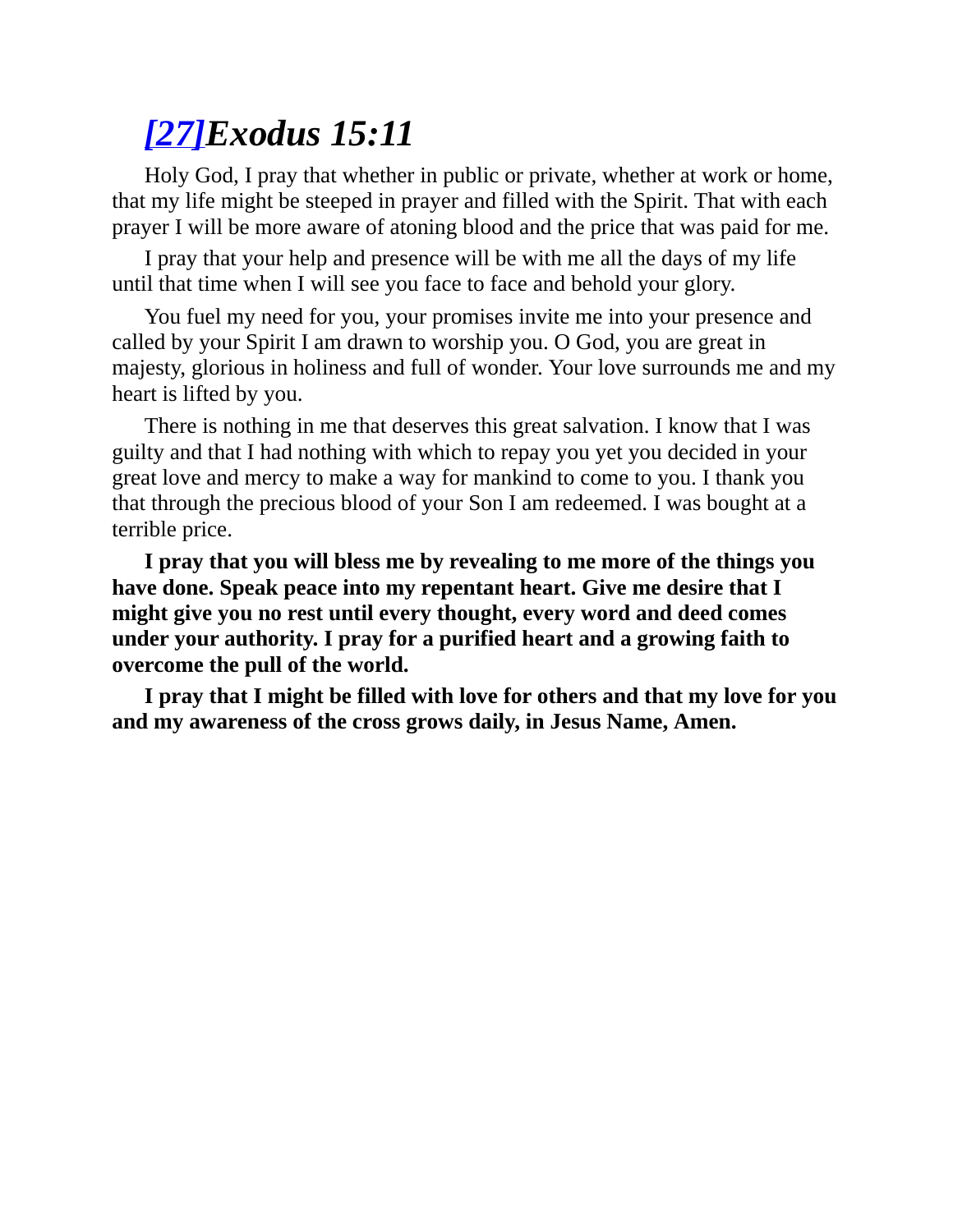## <span id="page-31-0"></span>*[\[27\]](#page-47-0)Exodus 15:11*

Holy God, I pray that whether in public or private, whether at work or home, that my life might be steeped in prayer and filled with the Spirit. That with each prayer I will be more aware of atoning blood and the price that was paid for me.

I pray that your help and presence will be with me all the days of my life until that time when I will see you face to face and behold your glory.

You fuel my need for you, your promises invite me into your presence and called by your Spirit I am drawn to worship you. O God, you are great in majesty, glorious in holiness and full of wonder. Your love surrounds me and my heart is lifted by you.

There is nothing in me that deserves this great salvation. I know that I was guilty and that I had nothing with which to repay you yet you decided in your great love and mercy to make a way for mankind to come to you. I thank you that through the precious blood of your Son I am redeemed. I was bought at a terrible price.

**I pray that you will bless me by revealing to me more of the things you have done. Speak peace into my repentant heart. Give me desire that I might give you no rest until every thought, every word and deed comes under your authority. I pray for a purified heart and a growing faith to overcome the pull of the world.**

**I pray that I might be filled with love for others and that my love for you and my awareness of the cross grows daily, in Jesus Name, Amen.**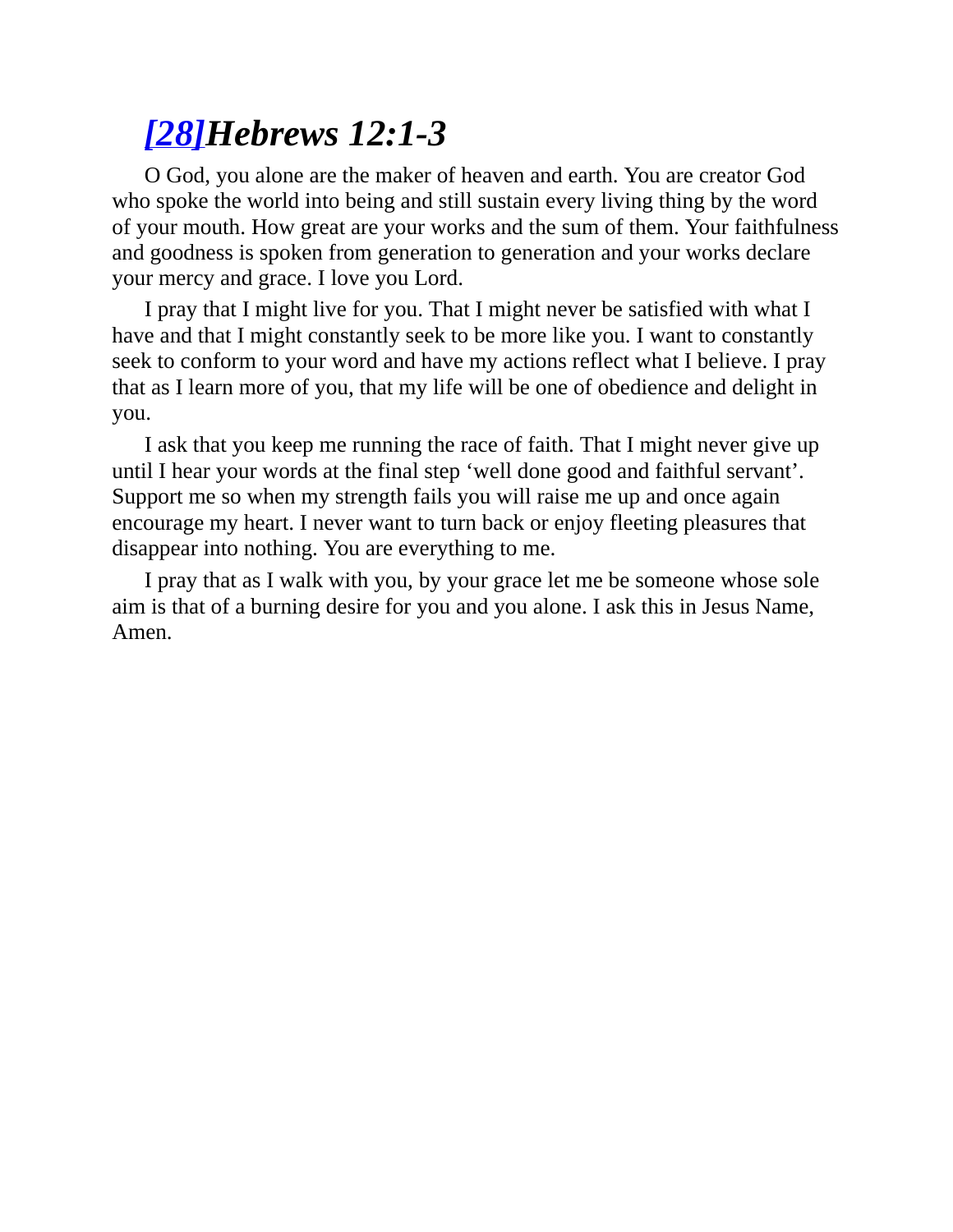## <span id="page-32-0"></span>*[\[28\]](#page-47-1)Hebrews 12:1-3*

O God, you alone are the maker of heaven and earth. You are creator God who spoke the world into being and still sustain every living thing by the word of your mouth. How great are your works and the sum of them. Your faithfulness and goodness is spoken from generation to generation and your works declare your mercy and grace. I love you Lord.

I pray that I might live for you. That I might never be satisfied with what I have and that I might constantly seek to be more like you. I want to constantly seek to conform to your word and have my actions reflect what I believe. I pray that as I learn more of you, that my life will be one of obedience and delight in you.

I ask that you keep me running the race of faith. That I might never give up until I hear your words at the final step 'well done good and faithful servant'. Support me so when my strength fails you will raise me up and once again encourage my heart. I never want to turn back or enjoy fleeting pleasures that disappear into nothing. You are everything to me.

I pray that as I walk with you, by your grace let me be someone whose sole aim is that of a burning desire for you and you alone. I ask this in Jesus Name, Amen.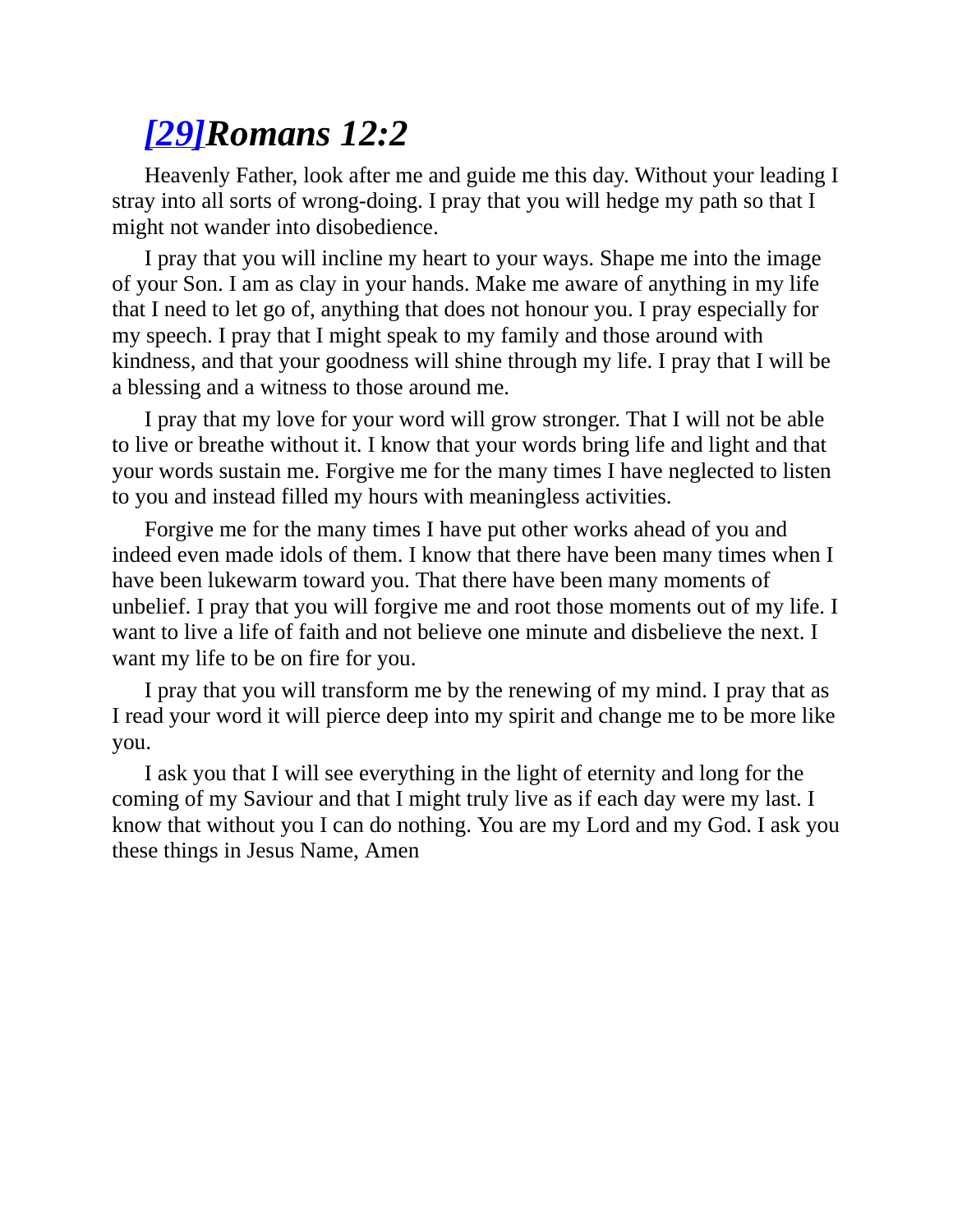## <span id="page-33-0"></span>*[\[29\]](#page-47-2)Romans 12:2*

Heavenly Father, look after me and guide me this day. Without your leading I stray into all sorts of wrong-doing. I pray that you will hedge my path so that I might not wander into disobedience.

I pray that you will incline my heart to your ways. Shape me into the image of your Son. I am as clay in your hands. Make me aware of anything in my life that I need to let go of, anything that does not honour you. I pray especially for my speech. I pray that I might speak to my family and those around with kindness, and that your goodness will shine through my life. I pray that I will be a blessing and a witness to those around me.

I pray that my love for your word will grow stronger. That I will not be able to live or breathe without it. I know that your words bring life and light and that your words sustain me. Forgive me for the many times I have neglected to listen to you and instead filled my hours with meaningless activities.

Forgive me for the many times I have put other works ahead of you and indeed even made idols of them. I know that there have been many times when I have been lukewarm toward you. That there have been many moments of unbelief. I pray that you will forgive me and root those moments out of my life. I want to live a life of faith and not believe one minute and disbelieve the next. I want my life to be on fire for you.

I pray that you will transform me by the renewing of my mind. I pray that as I read your word it will pierce deep into my spirit and change me to be more like you.

I ask you that I will see everything in the light of eternity and long for the coming of my Saviour and that I might truly live as if each day were my last. I know that without you I can do nothing. You are my Lord and my God. I ask you these things in Jesus Name, Amen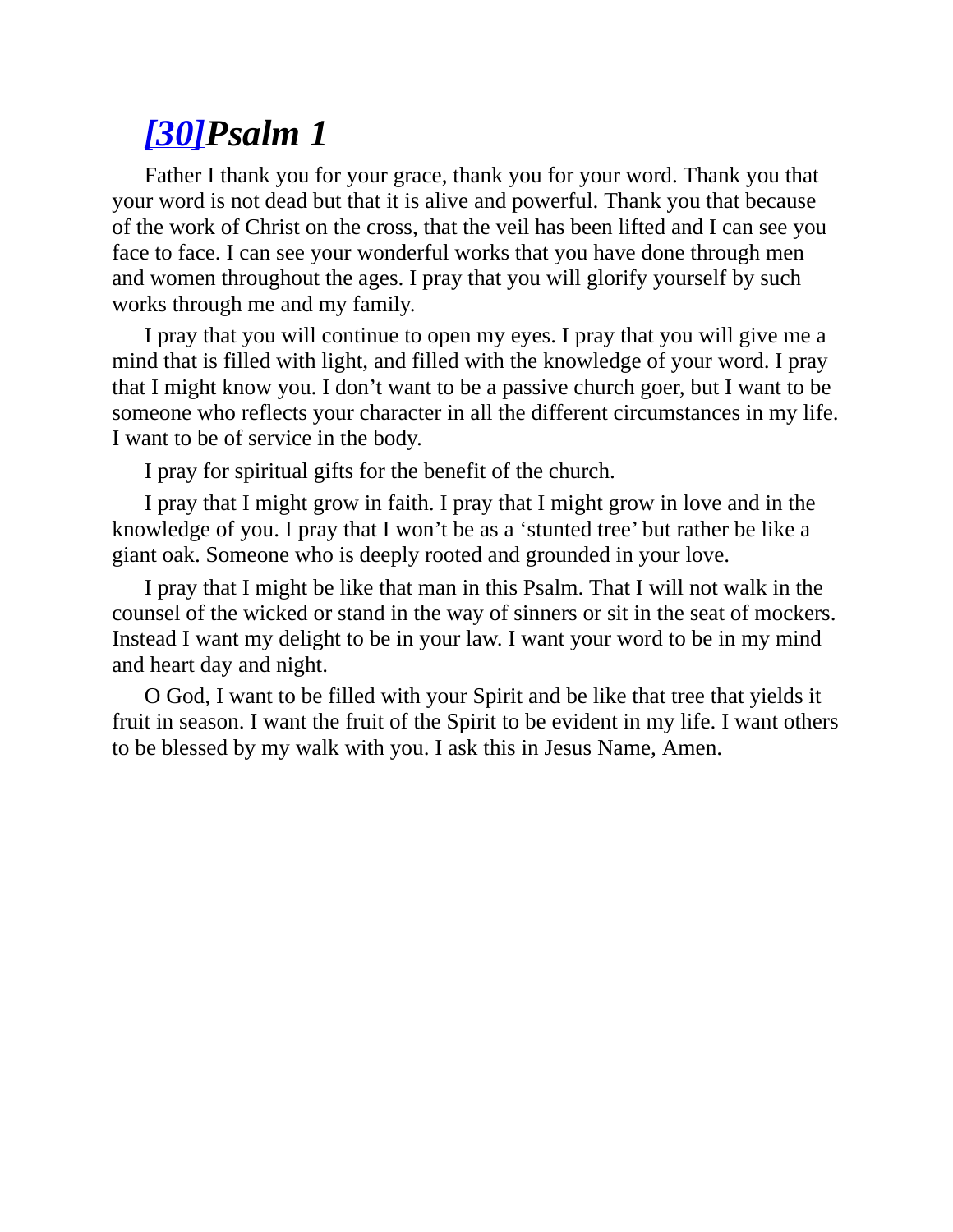## <span id="page-34-0"></span>*[\[30\]](#page-47-3)Psalm 1*

Father I thank you for your grace, thank you for your word. Thank you that your word is not dead but that it is alive and powerful. Thank you that because of the work of Christ on the cross, that the veil has been lifted and I can see you face to face. I can see your wonderful works that you have done through men and women throughout the ages. I pray that you will glorify yourself by such works through me and my family.

I pray that you will continue to open my eyes. I pray that you will give me a mind that is filled with light, and filled with the knowledge of your word. I pray that I might know you. I don't want to be a passive church goer, but I want to be someone who reflects your character in all the different circumstances in my life. I want to be of service in the body.

I pray for spiritual gifts for the benefit of the church.

I pray that I might grow in faith. I pray that I might grow in love and in the knowledge of you. I pray that I won't be as a 'stunted tree' but rather be like a giant oak. Someone who is deeply rooted and grounded in your love.

I pray that I might be like that man in this Psalm. That I will not walk in the counsel of the wicked or stand in the way of sinners or sit in the seat of mockers. Instead I want my delight to be in your law. I want your word to be in my mind and heart day and night.

O God, I want to be filled with your Spirit and be like that tree that yields it fruit in season. I want the fruit of the Spirit to be evident in my life. I want others to be blessed by my walk with you. I ask this in Jesus Name, Amen.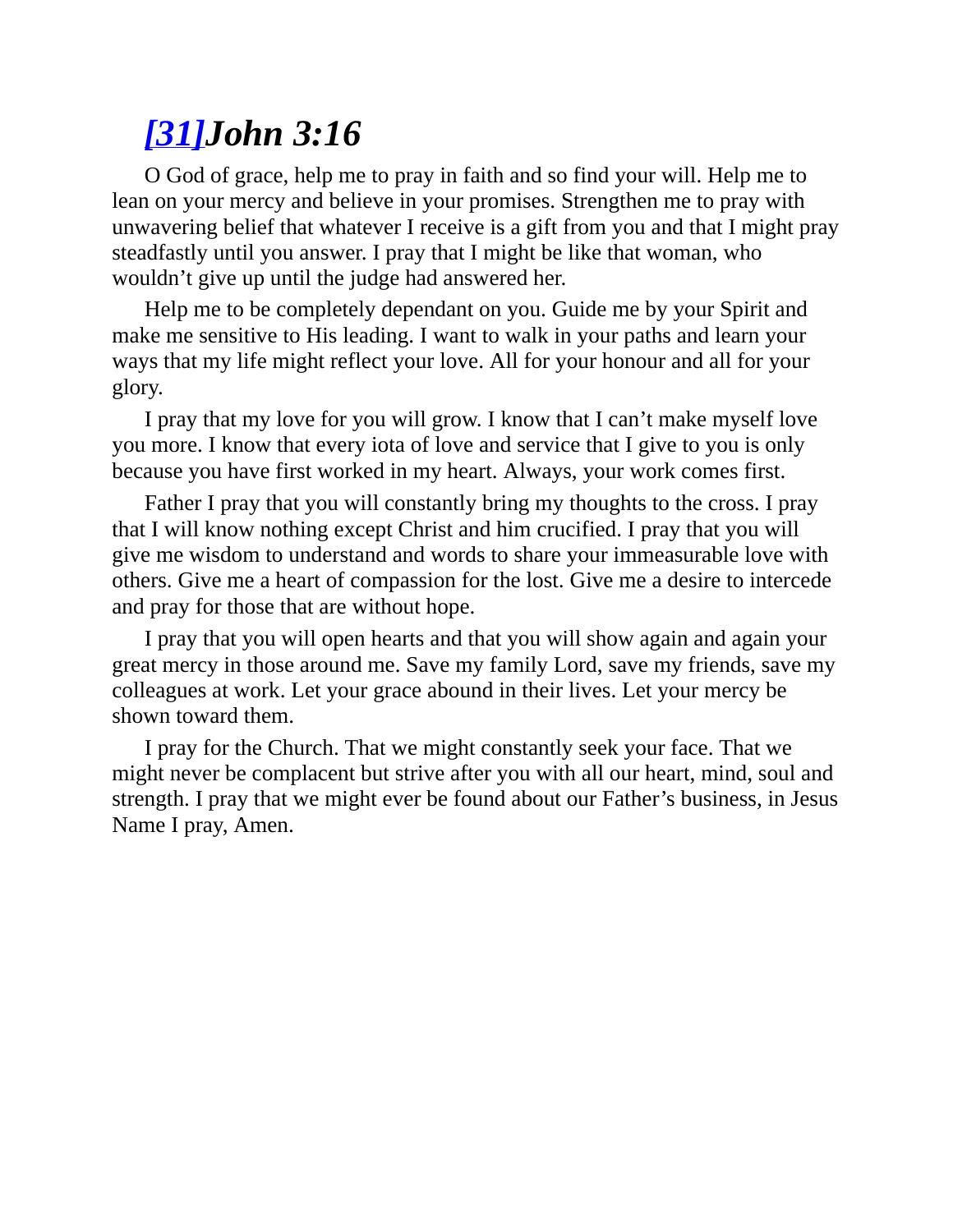## <span id="page-35-0"></span>*[\[31\]](#page-48-0)John 3:16*

O God of grace, help me to pray in faith and so find your will. Help me to lean on your mercy and believe in your promises. Strengthen me to pray with unwavering belief that whatever I receive is a gift from you and that I might pray steadfastly until you answer. I pray that I might be like that woman, who wouldn't give up until the judge had answered her.

Help me to be completely dependant on you. Guide me by your Spirit and make me sensitive to His leading. I want to walk in your paths and learn your ways that my life might reflect your love. All for your honour and all for your glory.

I pray that my love for you will grow. I know that I can't make myself love you more. I know that every iota of love and service that I give to you is only because you have first worked in my heart. Always, your work comes first.

Father I pray that you will constantly bring my thoughts to the cross. I pray that I will know nothing except Christ and him crucified. I pray that you will give me wisdom to understand and words to share your immeasurable love with others. Give me a heart of compassion for the lost. Give me a desire to intercede and pray for those that are without hope.

I pray that you will open hearts and that you will show again and again your great mercy in those around me. Save my family Lord, save my friends, save my colleagues at work. Let your grace abound in their lives. Let your mercy be shown toward them.

I pray for the Church. That we might constantly seek your face. That we might never be complacent but strive after you with all our heart, mind, soul and strength. I pray that we might ever be found about our Father's business, in Jesus Name I pray, Amen.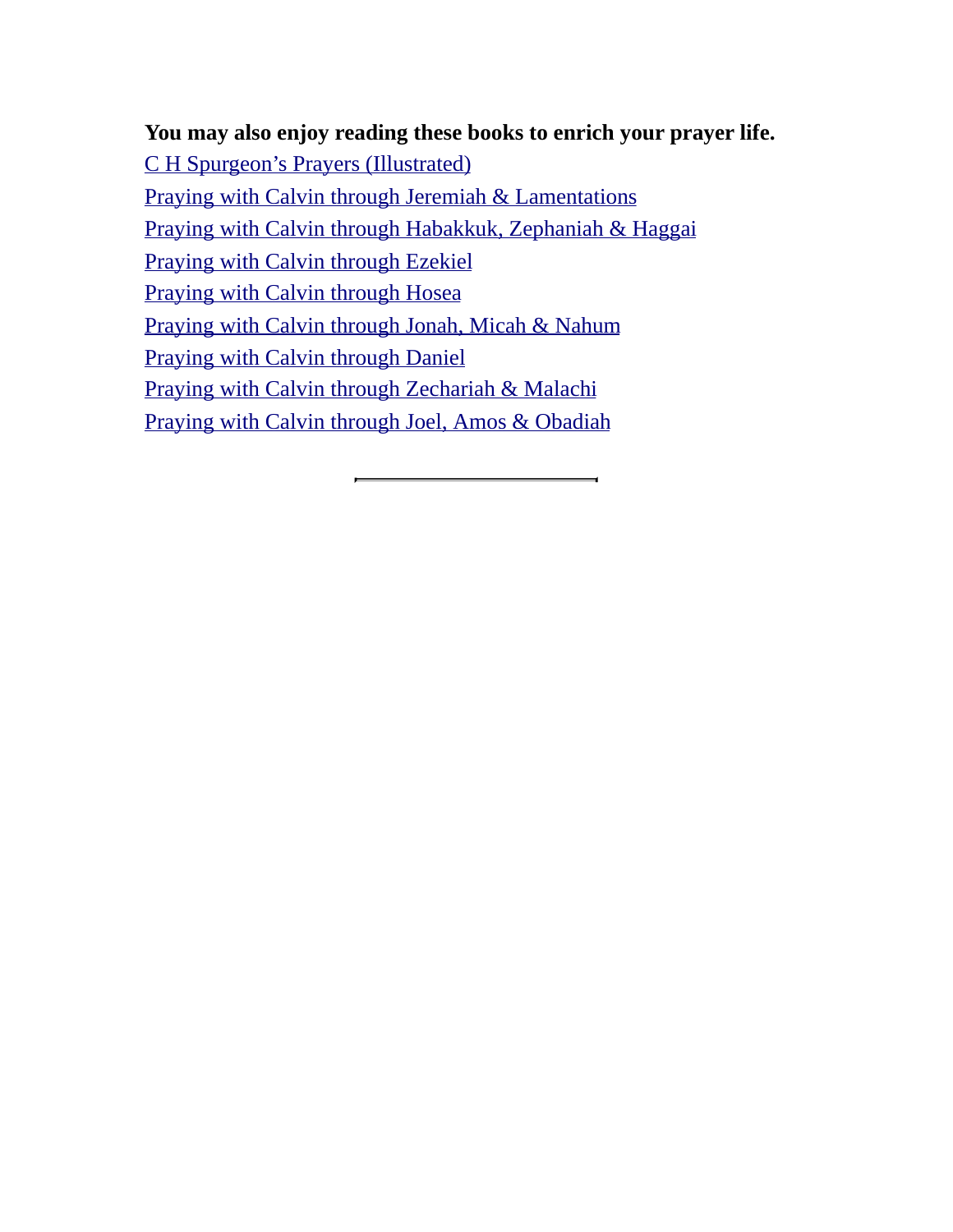**You may also enjoy reading these books to enrich your prayer life.**

C H Spurgeon's Prayers [\(Illustrated\)](http://www.amazon.com/Spurgeons-Prayers-Illustrated-ebook/dp/B008LDZ7NS/ref=sr_1_1?s=digital-text&ie=UTF8&qid=1359287816&sr=1-1&keywords=c+h+spurgeons+prayers) Praying with Calvin through Jeremiah & [Lamentations](http://www.amazon.com/Praying-through-Jeremiah-Lamentations-ebook/dp/B007UVXMB6/ref=sr_1_1?s=digital-text&ie=UTF8&qid=1359255629&sr=1-1&keywords=praying+with+calvin) Praying with Calvin through [Habakkuk,](http://www.amazon.com/Praying-through-Habakkuk-Zephaniah-ebook/dp/B007WFQT0G/ref=sr_1_2?s=digital-text&ie=UTF8&qid=1359255629&sr=1-2&keywords=praying+with+calvin) Zephaniah & Haggai Praying with Calvin [through](http://www.amazon.com/Praying-through-Ezekiel-prayers-ebook/dp/B0091V5AWC/ref=sr_1_3?s=digital-text&ie=UTF8&qid=1359255629&sr=1-3&keywords=praying+with+calvin) Ezekiel Praying with Calvin [through](http://www.amazon.com/Praying-Calvin-through-prayers-ebook/dp/B007WFO9I0/ref=sr_1_5?s=digital-text&ie=UTF8&qid=1359255629&sr=1-5&keywords=praying+with+calvin) Hosea Praying with Calvin [through](http://www.amazon.com/Praying-Calvin-through-prayers-ebook/dp/B007WFQTO2/ref=sr_1_4?s=digital-text&ie=UTF8&qid=1359255629&sr=1-4&keywords=praying+with+calvin) Jonah, Micah & Nahum Praying with Calvin [through](http://www.amazon.com/Praying-Calvin-through-prayers-ebook/dp/B0091J2KXG/ref=sr_1_6?s=digital-text&ie=UTF8&qid=1359255629&sr=1-6&keywords=praying+with+calvin) Daniel Praying with Calvin through [Zechariah](http://praying/) & Malachi Praying with Calvin through Joel, Amos & [Obadiah](http://www.amazon.com/Praying-through-Obadiah-prayers-ebook/dp/B007WFQTBU/ref=sr_1_8?s=digital-text&ie=UTF8&qid=1359255629&sr=1-8&keywords=praying+with+calvin)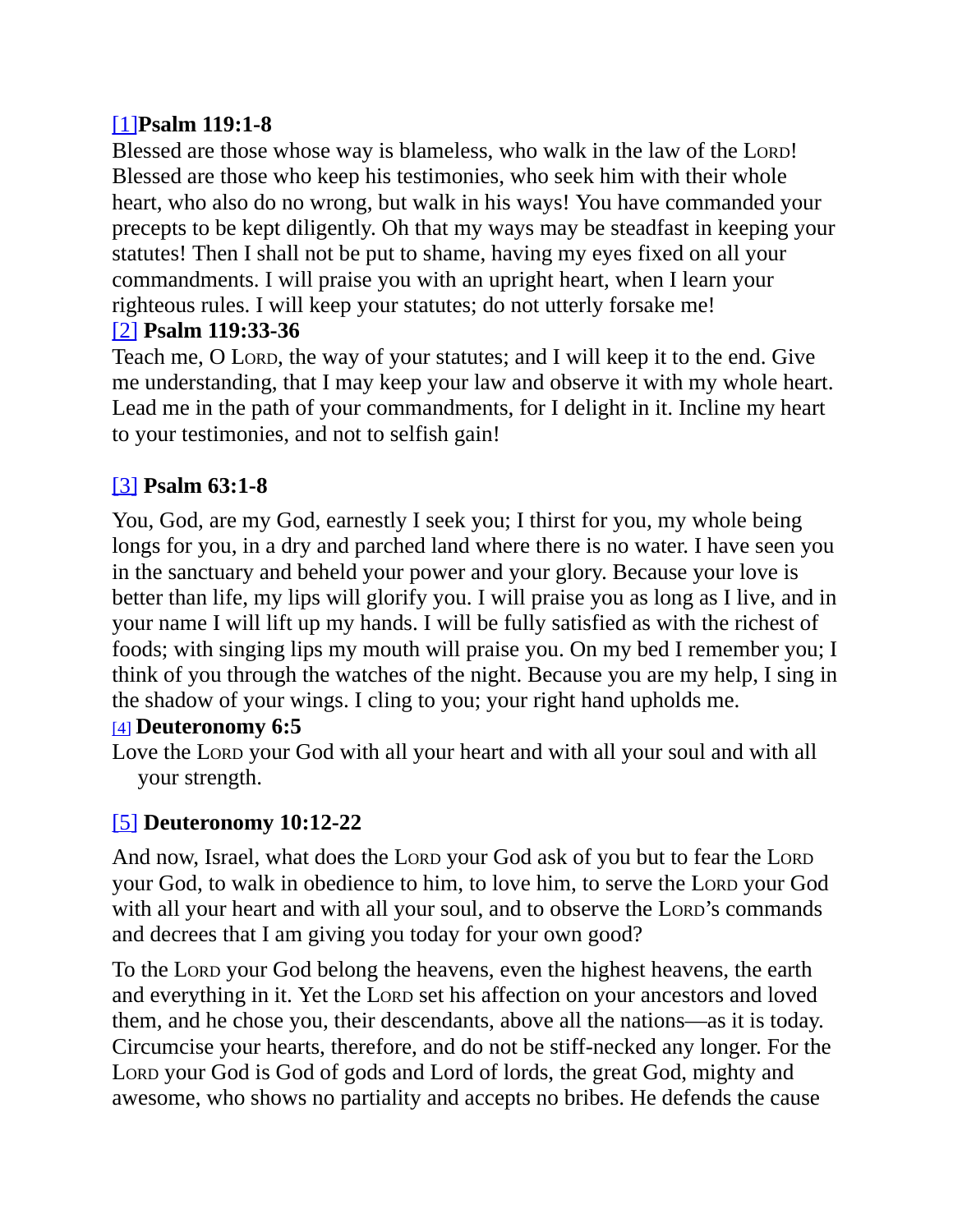#### <span id="page-37-0"></span>[\[1\]](#page-4-1)**Psalm 119:1-8**

Blessed are those whose way is blameless, who walk in the law of the LORD! Blessed are those who keep his testimonies, who seek him with their whole heart, who also do no wrong, but walk in his ways! You have commanded your precepts to be kept diligently. Oh that my ways may be steadfast in keeping your statutes! Then I shall not be put to shame, having my eyes fixed on all your commandments. I will praise you with an upright heart, when I learn your righteous rules. I will keep your statutes; do not utterly forsake me!

#### <span id="page-37-1"></span>[\[2\]](#page-5-1) **Psalm 119:33-36**

Teach me, O LORD, the way of your statutes; and I will keep it to the end. Give me understanding, that I may keep your law and observe it with my whole heart. Lead me in the path of your commandments, for I delight in it. Incline my heart to your testimonies, and not to selfish gain!

#### <span id="page-37-2"></span>[\[3\]](#page-6-1) **Psalm 63:1-8**

You, God, are my God, earnestly I seek you; I thirst for you, my whole being longs for you, in a dry and parched land where there is no water. I have seen you in the sanctuary and beheld your power and your glory. Because your love is better than life, my lips will glorify you. I will praise you as long as I live, and in your name I will lift up my hands. I will be fully satisfied as with the richest of foods; with singing lips my mouth will praise you. On my bed I remember you; I think of you through the watches of the night. Because you are my help, I sing in the shadow of your wings. I cling to you; your right hand upholds me.

#### <span id="page-37-3"></span>[4] **Deuteronomy 6:5**

Love the LORD your God with all your heart and with all your soul and with all your strength.

#### <span id="page-37-4"></span>[\[5\]](#page-8-1) **Deuteronomy 10:12-22**

And now, Israel, what does the LORD your God ask of you but to fear the LORD your God, to walk in obedience to him, to love him, to serve the LORD your God with all your heart and with all your soul, and to observe the LORD's commands and decrees that I am giving you today for your own good?

To the LORD your God belong the heavens, even the highest heavens, the earth and everything in it. Yet the LORD set his affection on your ancestors and loved them, and he chose you, their descendants, above all the nations—as it is today. Circumcise your hearts, therefore, and do not be stiff-necked any longer. For the LORD your God is God of gods and Lord of lords, the great God, mighty and awesome, who shows no partiality and accepts no bribes. He defends the cause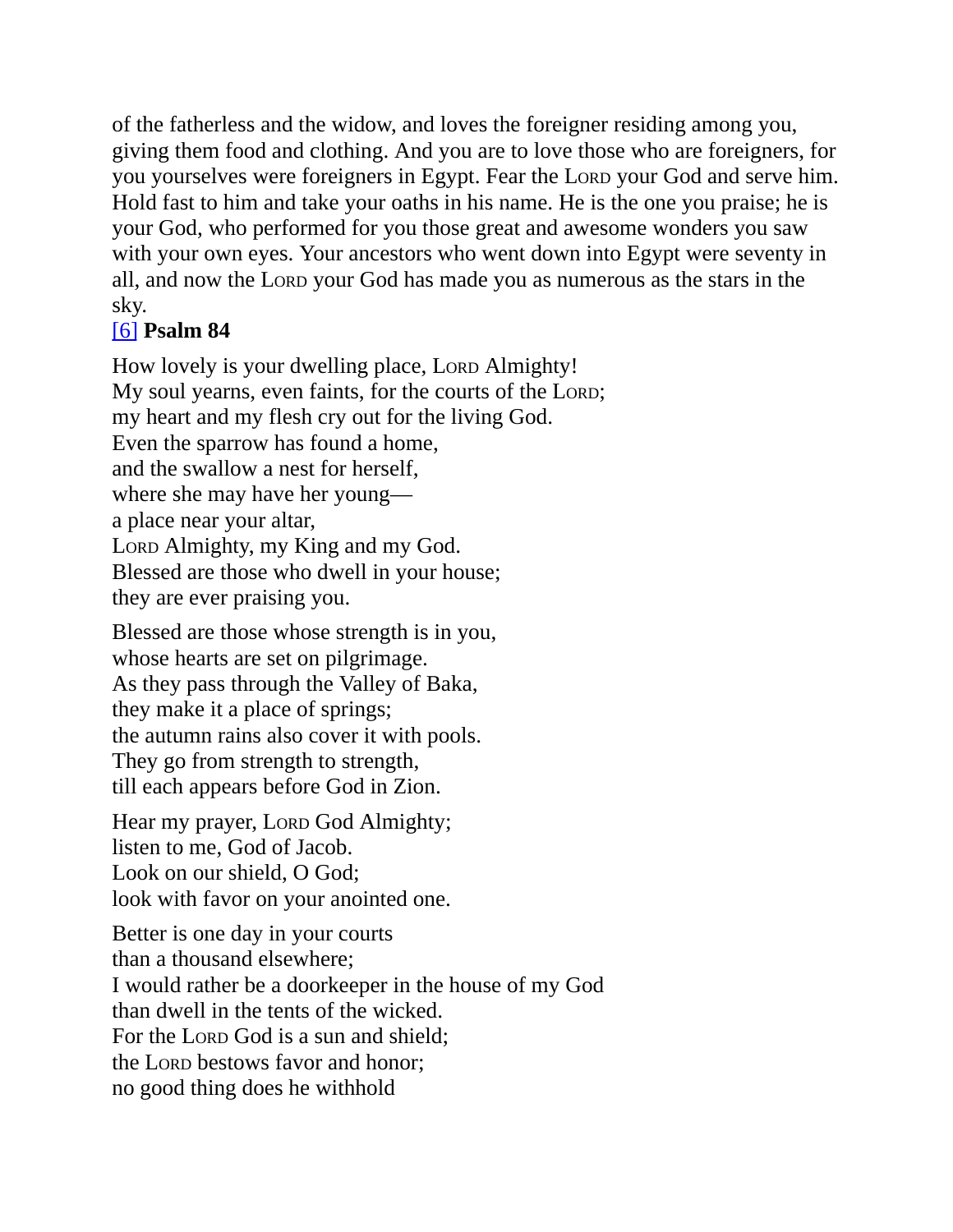of the fatherless and the widow, and loves the foreigner residing among you, giving them food and clothing. And you are to love those who are foreigners, for you yourselves were foreigners in Egypt. Fear the LORD your God and serve him. Hold fast to him and take your oaths in his name. He is the one you praise; he is your God, who performed for you those great and awesome wonders you saw with your own eyes. Your ancestors who went down into Egypt were seventy in all, and now the LORD your God has made you as numerous as the stars in the sky.

#### <span id="page-38-0"></span>[\[6\]](#page-9-1) **Psalm 84**

How lovely is your dwelling place, LORD Almighty! My soul yearns, even faints, for the courts of the LORD; my heart and my flesh cry out for the living God. Even the sparrow has found a home, and the swallow a nest for herself, where she may have her young a place near your altar, LORD Almighty, my King and my God. Blessed are those who dwell in your house; they are ever praising you.

Blessed are those whose strength is in you, whose hearts are set on pilgrimage. As they pass through the Valley of Baka, they make it a place of springs; the autumn rains also cover it with pools. They go from strength to strength, till each appears before God in Zion.

Hear my prayer, LORD God Almighty; listen to me, God of Jacob. Look on our shield, O God; look with favor on your anointed one.

Better is one day in your courts than a thousand elsewhere; I would rather be a doorkeeper in the house of my God than dwell in the tents of the wicked. For the LORD God is a sun and shield; the LORD bestows favor and honor; no good thing does he withhold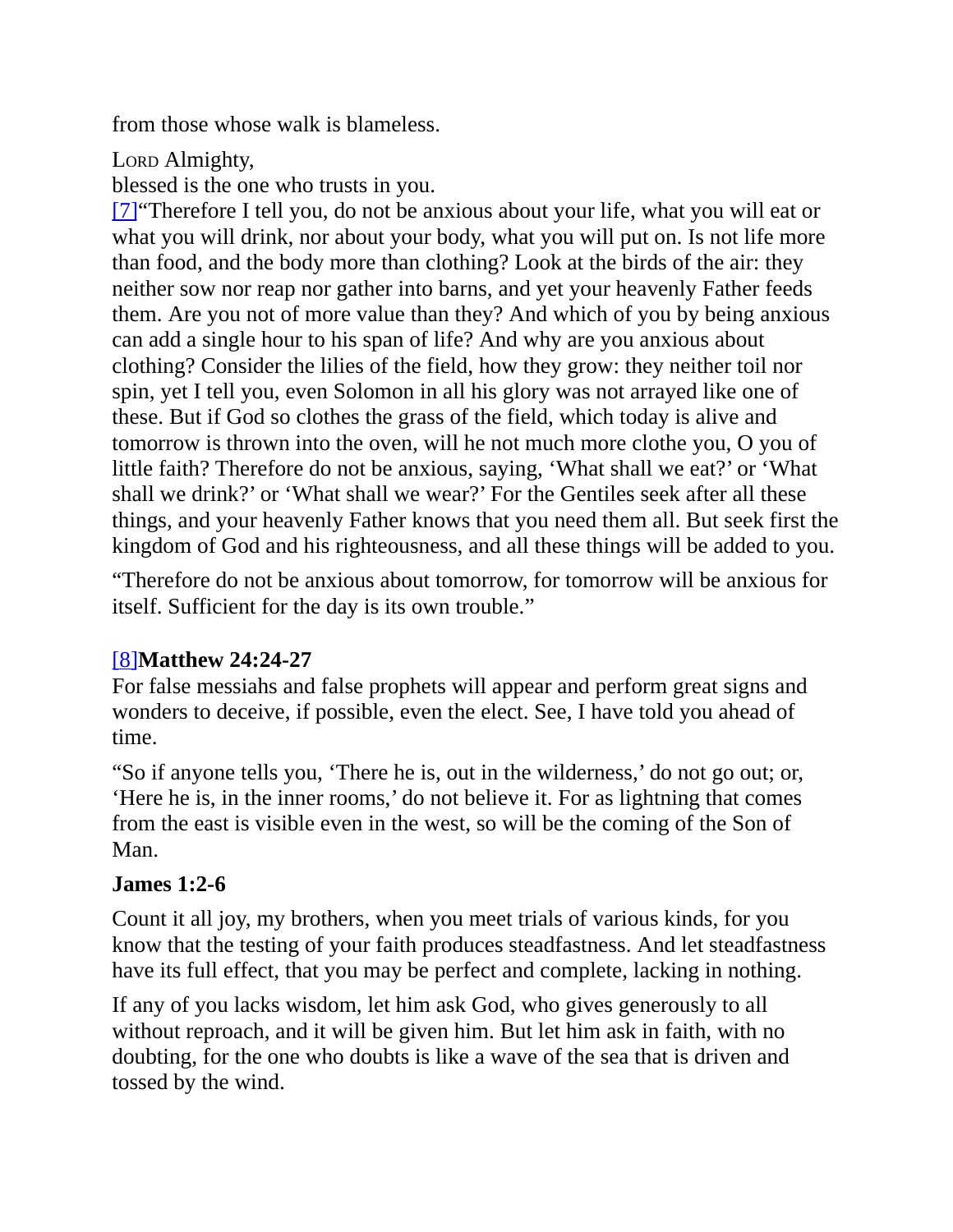from those whose walk is blameless.

LORD Almighty,

blessed is the one who trusts in you.

<span id="page-39-0"></span>[\[7\]"](#page-10-1)Therefore I tell you, do not be anxious about your life, what you will eat or what you will drink, nor about your body, what you will put on. Is not life more than food, and the body more than clothing? Look at the birds of the air: they neither sow nor reap nor gather into barns, and yet your heavenly Father feeds them. Are you not of more value than they? And which of you by being anxious can add a single hour to his span of life? And why are you anxious about clothing? Consider the lilies of the field, how they grow: they neither toil nor spin, yet I tell you, even Solomon in all his glory was not arrayed like one of these. But if God so clothes the grass of the field, which today is alive and tomorrow is thrown into the oven, will he not much more clothe you, O you of little faith? Therefore do not be anxious, saying, 'What shall we eat?' or 'What shall we drink?' or 'What shall we wear?' For the Gentiles seek after all these things, and your heavenly Father knows that you need them all. But seek first the kingdom of God and his righteousness, and all these things will be added to you.

"Therefore do not be anxious about tomorrow, for tomorrow will be anxious for itself. Sufficient for the day is its own trouble."

#### <span id="page-39-1"></span>[\[8\]](#page-11-1)**Matthew 24:24-27**

For false messiahs and false prophets will appear and perform great signs and wonders to deceive, if possible, even the elect. See, I have told you ahead of time.

"So if anyone tells you, 'There he is, out in the wilderness,' do not go out; or, 'Here he is, in the inner rooms,' do not believe it. For as lightning that comes from the east is visible even in the west, so will be the coming of the Son of Man.

#### **James 1:2-6**

Count it all joy, my brothers, when you meet trials of various kinds, for you know that the testing of your faith produces steadfastness. And let steadfastness have its full effect, that you may be perfect and complete, lacking in nothing.

If any of you lacks wisdom, let him ask God, who gives generously to all without reproach, and it will be given him. But let him ask in faith, with no doubting, for the one who doubts is like a wave of the sea that is driven and tossed by the wind.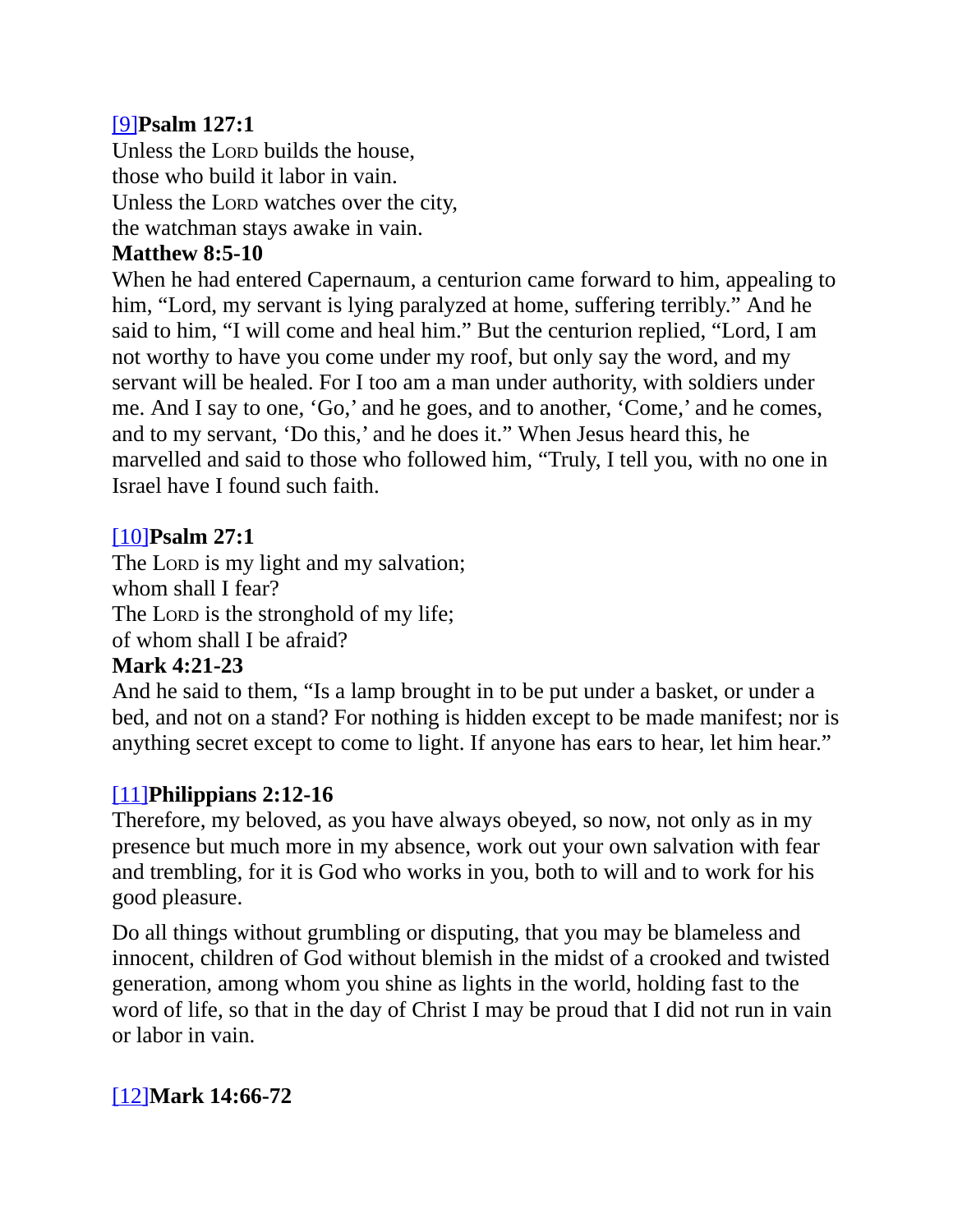#### <span id="page-40-0"></span>[\[9\]](#page-12-1)**Psalm 127:1**

Unless the LORD builds the house, those who build it labor in vain. Unless the LORD watches over the city, the watchman stays awake in vain.

#### **Matthew 8:5-10**

When he had entered Capernaum, a centurion came forward to him, appealing to him, "Lord, my servant is lying paralyzed at home, suffering terribly." And he said to him, "I will come and heal him." But the centurion replied, "Lord, I am not worthy to have you come under my roof, but only say the word, and my servant will be healed. For I too am a man under authority, with soldiers under me. And I say to one, 'Go,' and he goes, and to another, 'Come,' and he comes, and to my servant, 'Do this,' and he does it." When Jesus heard this, he marvelled and said to those who followed him, "Truly, I tell you, with no one in Israel have I found such faith.

#### <span id="page-40-1"></span>[\[10\]](#page-13-1)**Psalm 27:1**

The LORD is my light and my salvation; whom shall I fear? The LORD is the stronghold of my life; of whom shall I be afraid?

#### **Mark 4:21-23**

And he said to them, "Is a lamp brought in to be put under a basket, or under a bed, and not on a stand? For nothing is hidden except to be made manifest; nor is anything secret except to come to light. If anyone has ears to hear, let him hear."

#### <span id="page-40-2"></span>[\[11\]](#page-14-1)**Philippians 2:12-16**

Therefore, my beloved, as you have always obeyed, so now, not only as in my presence but much more in my absence, work out your own salvation with fear and trembling, for it is God who works in you, both to will and to work for his good pleasure.

Do all things without grumbling or disputing, that you may be blameless and innocent, children of God without blemish in the midst of a crooked and twisted generation, among whom you shine as lights in the world, holding fast to the word of life, so that in the day of Christ I may be proud that I did not run in vain or labor in vain.

#### <span id="page-40-3"></span>[\[12\]](#page-15-1)**Mark 14:66-72**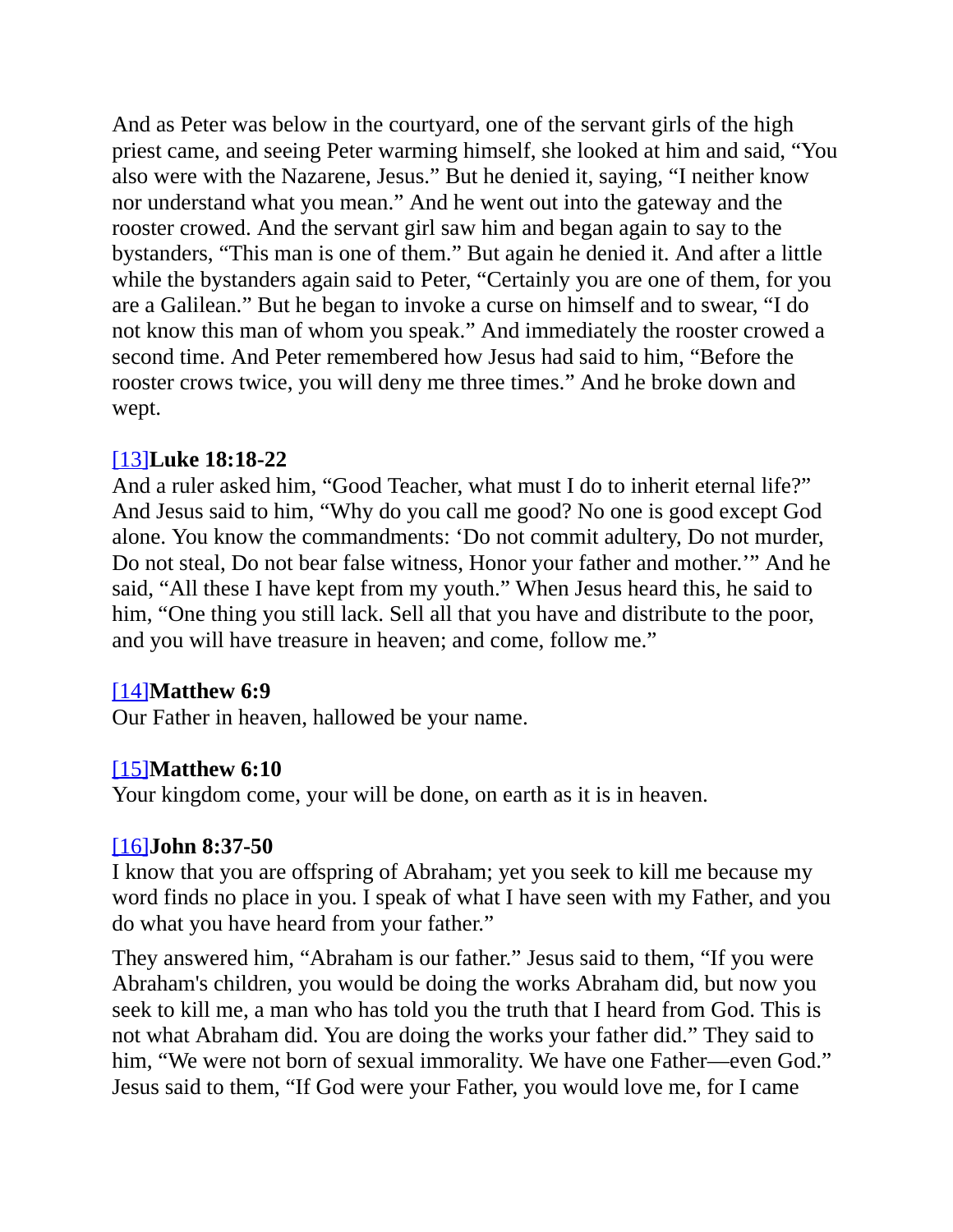And as Peter was below in the courtyard, one of the servant girls of the high priest came, and seeing Peter warming himself, she looked at him and said, "You also were with the Nazarene, Jesus." But he denied it, saying, "I neither know nor understand what you mean." And he went out into the gateway and the rooster crowed. And the servant girl saw him and began again to say to the bystanders, "This man is one of them." But again he denied it. And after a little while the bystanders again said to Peter, "Certainly you are one of them, for you are a Galilean." But he began to invoke a curse on himself and to swear, "I do not know this man of whom you speak." And immediately the rooster crowed a second time. And Peter remembered how Jesus had said to him, "Before the rooster crows twice, you will deny me three times." And he broke down and wept.

#### <span id="page-41-0"></span>[\[13\]](#page-16-1)**Luke 18:18-22**

And a ruler asked him, "Good Teacher, what must I do to inherit eternal life?" And Jesus said to him, "Why do you call me good? No one is good except God alone. You know the commandments: 'Do not commit adultery, Do not murder, Do not steal, Do not bear false witness, Honor your father and mother.'" And he said, "All these I have kept from my youth." When Jesus heard this, he said to him, "One thing you still lack. Sell all that you have and distribute to the poor, and you will have treasure in heaven; and come, follow me."

#### <span id="page-41-1"></span>[\[14\]](#page-17-1)**Matthew 6:9**

Our Father in heaven, hallowed be your name.

#### <span id="page-41-2"></span>[\[15\]](#page-18-1)**Matthew 6:10**

Your kingdom come, your will be done, on earth as it is in heaven.

#### <span id="page-41-3"></span>[\[16\]](#page-19-1)**John 8:37-50**

I know that you are offspring of Abraham; yet you seek to kill me because my word finds no place in you. I speak of what I have seen with my Father, and you do what you have heard from your father."

They answered him, "Abraham is our father." Jesus said to them, "If you were Abraham's children, you would be doing the works Abraham did, but now you seek to kill me, a man who has told you the truth that I heard from God. This is not what Abraham did. You are doing the works your father did." They said to him, "We were not born of sexual immorality. We have one Father—even God." Jesus said to them, "If God were your Father, you would love me, for I came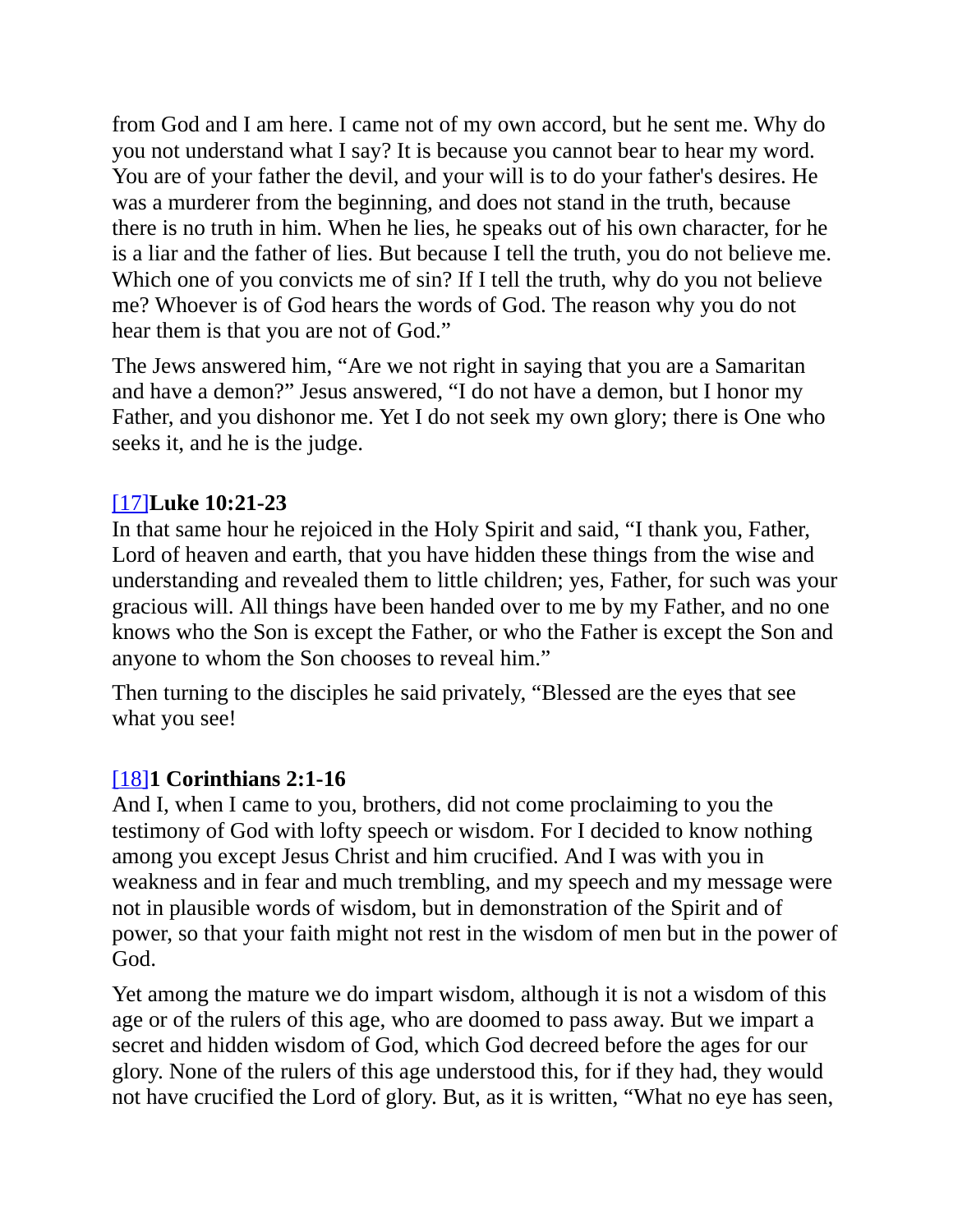from God and I am here. I came not of my own accord, but he sent me. Why do you not understand what I say? It is because you cannot bear to hear my word. You are of your father the devil, and your will is to do your father's desires. He was a murderer from the beginning, and does not stand in the truth, because there is no truth in him. When he lies, he speaks out of his own character, for he is a liar and the father of lies. But because I tell the truth, you do not believe me. Which one of you convicts me of sin? If I tell the truth, why do you not believe me? Whoever is of God hears the words of God. The reason why you do not hear them is that you are not of God."

The Jews answered him, "Are we not right in saying that you are a Samaritan and have a demon?" Jesus answered, "I do not have a demon, but I honor my Father, and you dishonor me. Yet I do not seek my own glory; there is One who seeks it, and he is the judge.

#### <span id="page-42-0"></span>[\[17\]](#page-20-1)**Luke 10:21-23**

In that same hour he rejoiced in the Holy Spirit and said, "I thank you, Father, Lord of heaven and earth, that you have hidden these things from the wise and understanding and revealed them to little children; yes, Father, for such was your gracious will. All things have been handed over to me by my Father, and no one knows who the Son is except the Father, or who the Father is except the Son and anyone to whom the Son chooses to reveal him."

Then turning to the disciples he said privately, "Blessed are the eyes that see what you see!

#### <span id="page-42-1"></span>[\[18\]](#page-21-1)**1 Corinthians 2:1-16**

And I, when I came to you, brothers, did not come proclaiming to you the testimony of God with lofty speech or wisdom. For I decided to know nothing among you except Jesus Christ and him crucified. And I was with you in weakness and in fear and much trembling, and my speech and my message were not in plausible words of wisdom, but in demonstration of the Spirit and of power, so that your faith might not rest in the wisdom of men but in the power of God.

Yet among the mature we do impart wisdom, although it is not a wisdom of this age or of the rulers of this age, who are doomed to pass away. But we impart a secret and hidden wisdom of God, which God decreed before the ages for our glory. None of the rulers of this age understood this, for if they had, they would not have crucified the Lord of glory. But, as it is written, "What no eye has seen,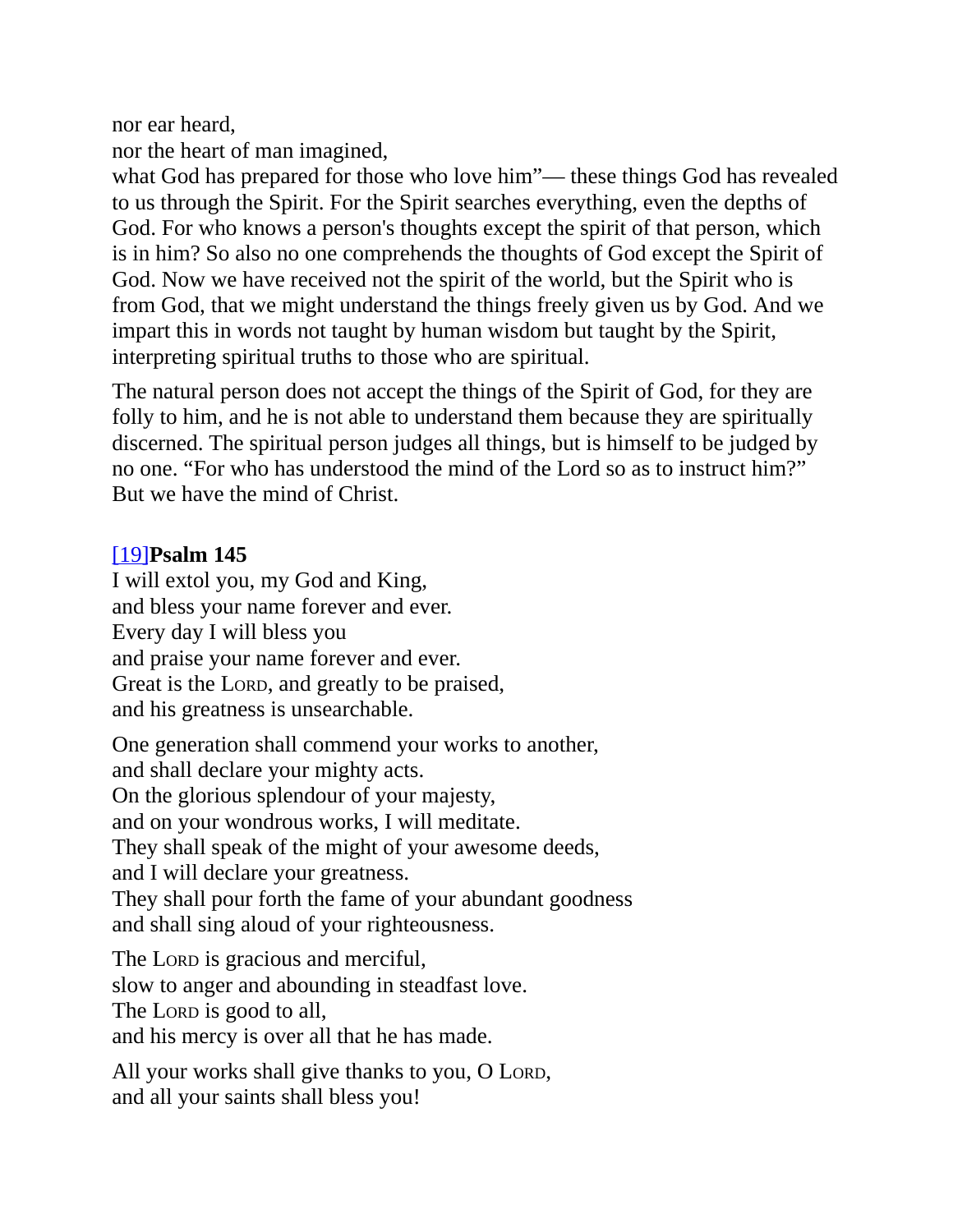nor ear heard,

nor the heart of man imagined,

what God has prepared for those who love him"— these things God has revealed to us through the Spirit. For the Spirit searches everything, even the depths of God. For who knows a person's thoughts except the spirit of that person, which is in him? So also no one comprehends the thoughts of God except the Spirit of God. Now we have received not the spirit of the world, but the Spirit who is from God, that we might understand the things freely given us by God. And we impart this in words not taught by human wisdom but taught by the Spirit, interpreting spiritual truths to those who are spiritual.

The natural person does not accept the things of the Spirit of God, for they are folly to him, and he is not able to understand them because they are spiritually discerned. The spiritual person judges all things, but is himself to be judged by no one. "For who has understood the mind of the Lord so as to instruct him?" But we have the mind of Christ.

#### <span id="page-43-0"></span>[\[19\]](#page-22-1)**Psalm 145**

I will extol you, my God and King, and bless your name forever and ever. Every day I will bless you and praise your name forever and ever. Great is the LORD, and greatly to be praised, and his greatness is unsearchable.

One generation shall commend your works to another, and shall declare your mighty acts. On the glorious splendour of your majesty, and on your wondrous works, I will meditate. They shall speak of the might of your awesome deeds, and I will declare your greatness. They shall pour forth the fame of your abundant goodness and shall sing aloud of your righteousness.

The LORD is gracious and merciful, slow to anger and abounding in steadfast love. The LORD is good to all, and his mercy is over all that he has made.

All your works shall give thanks to you, O LORD, and all your saints shall bless you!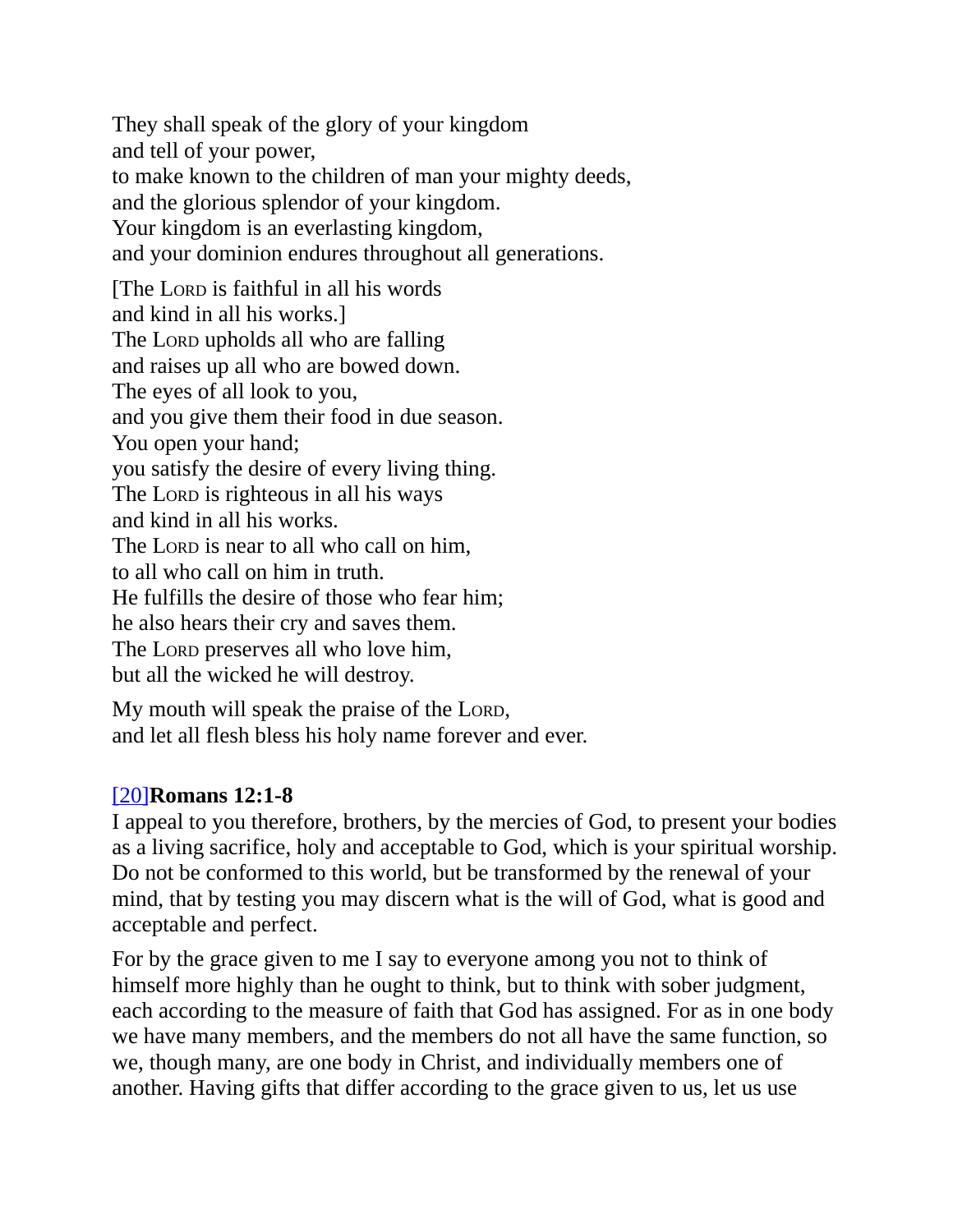They shall speak of the glory of your kingdom and tell of your power, to make known to the children of man your mighty deeds, and the glorious splendor of your kingdom. Your kingdom is an everlasting kingdom, and your dominion endures throughout all generations. [The LORD is faithful in all his words and kind in all his works.] The LORD upholds all who are falling and raises up all who are bowed down. The eyes of all look to you, and you give them their food in due season. You open your hand; you satisfy the desire of every living thing. The LORD is righteous in all his ways and kind in all his works. The LORD is near to all who call on him, to all who call on him in truth. He fulfills the desire of those who fear him; he also hears their cry and saves them. The LORD preserves all who love him, but all the wicked he will destroy. My mouth will speak the praise of the LORD,

and let all flesh bless his holy name forever and ever.

#### <span id="page-44-0"></span>[\[20\]](#page-23-1)**Romans 12:1-8**

I appeal to you therefore, brothers, by the mercies of God, to present your bodies as a living sacrifice, holy and acceptable to God, which is your spiritual worship. Do not be conformed to this world, but be transformed by the renewal of your mind, that by testing you may discern what is the will of God, what is good and acceptable and perfect.

For by the grace given to me I say to everyone among you not to think of himself more highly than he ought to think, but to think with sober judgment, each according to the measure of faith that God has assigned. For as in one body we have many members, and the members do not all have the same function, so we, though many, are one body in Christ, and individually members one of another. Having gifts that differ according to the grace given to us, let us use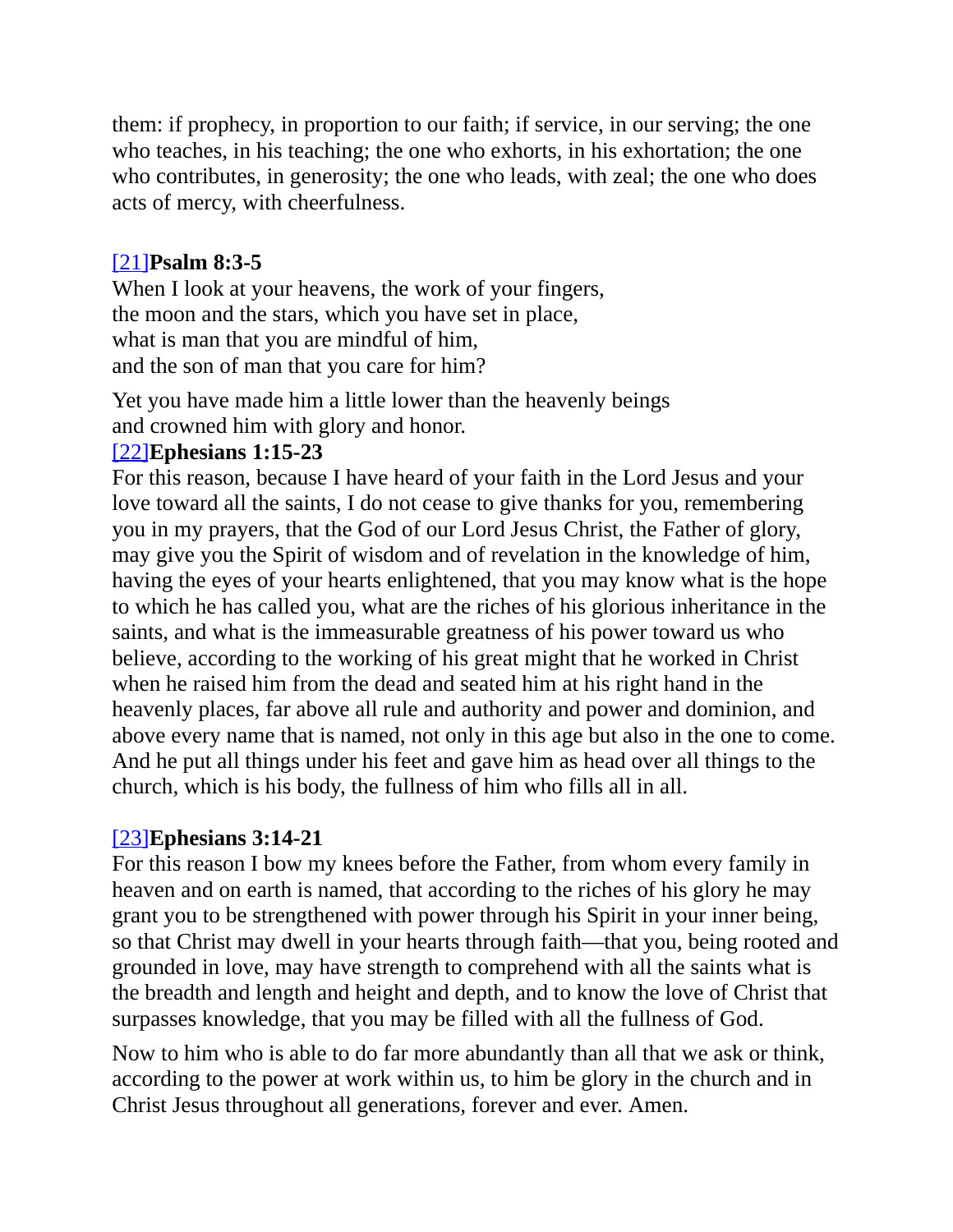them: if prophecy, in proportion to our faith; if service, in our serving; the one who teaches, in his teaching; the one who exhorts, in his exhortation; the one who contributes, in generosity; the one who leads, with zeal; the one who does acts of mercy, with cheerfulness.

#### <span id="page-45-0"></span>[\[21\]](#page-24-1)**Psalm 8:3-5**

When I look at your heavens, the work of your fingers, the moon and the stars, which you have set in place, what is man that you are mindful of him, and the son of man that you care for him?

Yet you have made him a little lower than the heavenly beings and crowned him with glory and honor.

#### <span id="page-45-1"></span>[\[22\]](#page-25-1)**Ephesians 1:15-23**

For this reason, because I have heard of your faith in the Lord Jesus and your love toward all the saints, I do not cease to give thanks for you, remembering you in my prayers, that the God of our Lord Jesus Christ, the Father of glory, may give you the Spirit of wisdom and of revelation in the knowledge of him, having the eyes of your hearts enlightened, that you may know what is the hope to which he has called you, what are the riches of his glorious inheritance in the saints, and what is the immeasurable greatness of his power toward us who believe, according to the working of his great might that he worked in Christ when he raised him from the dead and seated him at his right hand in the heavenly places, far above all rule and authority and power and dominion, and above every name that is named, not only in this age but also in the one to come. And he put all things under his feet and gave him as head over all things to the church, which is his body, the fullness of him who fills all in all.

#### <span id="page-45-2"></span>[\[23\]](#page-26-1)**Ephesians 3:14-21**

For this reason I bow my knees before the Father, from whom every family in heaven and on earth is named, that according to the riches of his glory he may grant you to be strengthened with power through his Spirit in your inner being, so that Christ may dwell in your hearts through faith—that you, being rooted and grounded in love, may have strength to comprehend with all the saints what is the breadth and length and height and depth, and to know the love of Christ that surpasses knowledge, that you may be filled with all the fullness of God.

Now to him who is able to do far more abundantly than all that we ask or think, according to the power at work within us, to him be glory in the church and in Christ Jesus throughout all generations, forever and ever. Amen.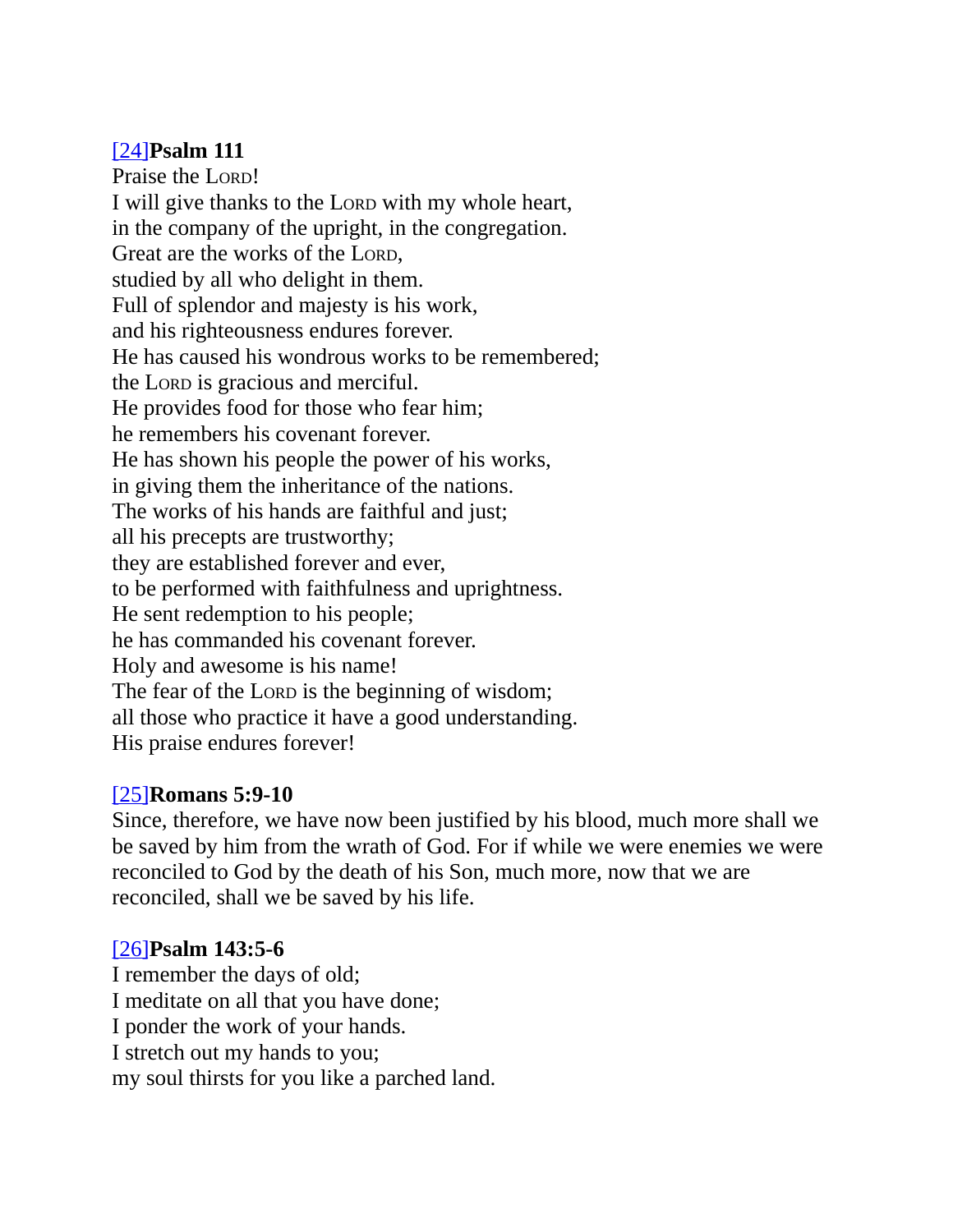#### <span id="page-46-0"></span>[\[24\]](#page-27-1)**Psalm 111**

Praise the LORD! I will give thanks to the LORD with my whole heart, in the company of the upright, in the congregation. Great are the works of the LORD, studied by all who delight in them. Full of splendor and majesty is his work, and his righteousness endures forever. He has caused his wondrous works to be remembered; the LORD is gracious and merciful. He provides food for those who fear him; he remembers his covenant forever. He has shown his people the power of his works, in giving them the inheritance of the nations. The works of his hands are faithful and just; all his precepts are trustworthy; they are established forever and ever, to be performed with faithfulness and uprightness. He sent redemption to his people; he has commanded his covenant forever. Holy and awesome is his name! The fear of the LORD is the beginning of wisdom; all those who practice it have a good understanding. His praise endures forever!

#### <span id="page-46-1"></span>[\[25\]](#page-28-1)**Romans 5:9-10**

Since, therefore, we have now been justified by his blood, much more shall we be saved by him from the wrath of God. For if while we were enemies we were reconciled to God by the death of his Son, much more, now that we are reconciled, shall we be saved by his life.

#### <span id="page-46-2"></span>[\[26\]](#page-29-1)**Psalm 143:5-6**

I remember the days of old; I meditate on all that you have done; I ponder the work of your hands. I stretch out my hands to you; my soul thirsts for you like a parched land.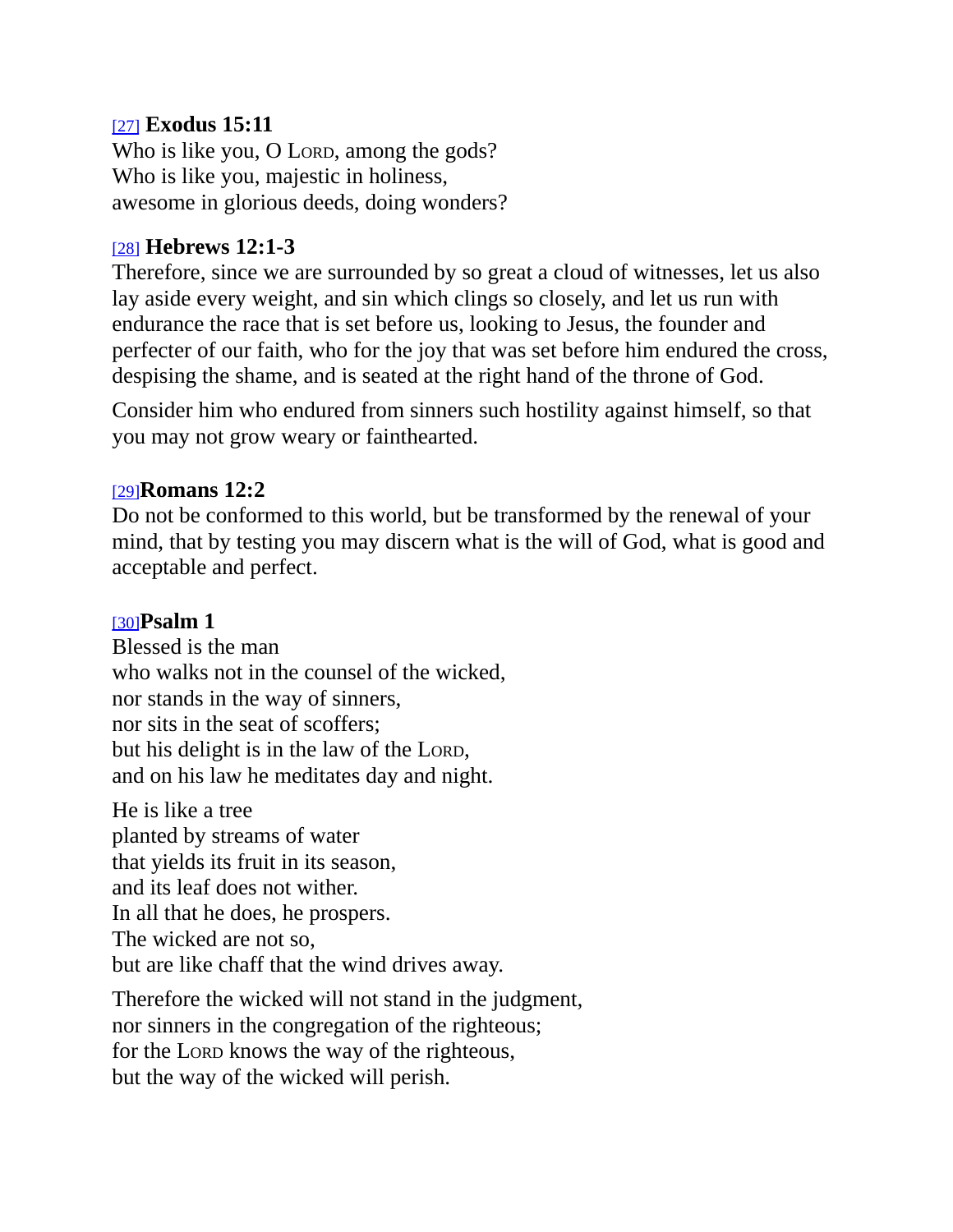#### <span id="page-47-0"></span>[27] **Exodus 15:11**

Who is like you, O LORD, among the gods? Who is like you, majestic in holiness, awesome in glorious deeds, doing wonders?

#### <span id="page-47-1"></span>[28] **Hebrews 12:1-3**

Therefore, since we are surrounded by so great a cloud of witnesses, let us also lay aside every weight, and sin which clings so closely, and let us run with endurance the race that is set before us, looking to Jesus, the founder and perfecter of our faith, who for the joy that was set before him endured the cross, despising the shame, and is seated at the right hand of the throne of God.

Consider him who endured from sinners such hostility against himself, so that you may not grow weary or fainthearted.

#### <span id="page-47-2"></span>[29]**Romans 12:2**

Do not be conformed to this world, but be transformed by the renewal of your mind, that by testing you may discern what is the will of God, what is good and acceptable and perfect.

#### <span id="page-47-3"></span>[30]**Psalm 1**

Blessed is the man who walks not in the counsel of the wicked, nor stands in the way of sinners, nor sits in the seat of scoffers; but his delight is in the law of the LORD, and on his law he meditates day and night.

He is like a tree planted by streams of water that yields its fruit in its season, and its leaf does not wither. In all that he does, he prospers. The wicked are not so, but are like chaff that the wind drives away.

Therefore the wicked will not stand in the judgment, nor sinners in the congregation of the righteous; for the LORD knows the way of the righteous, but the way of the wicked will perish.